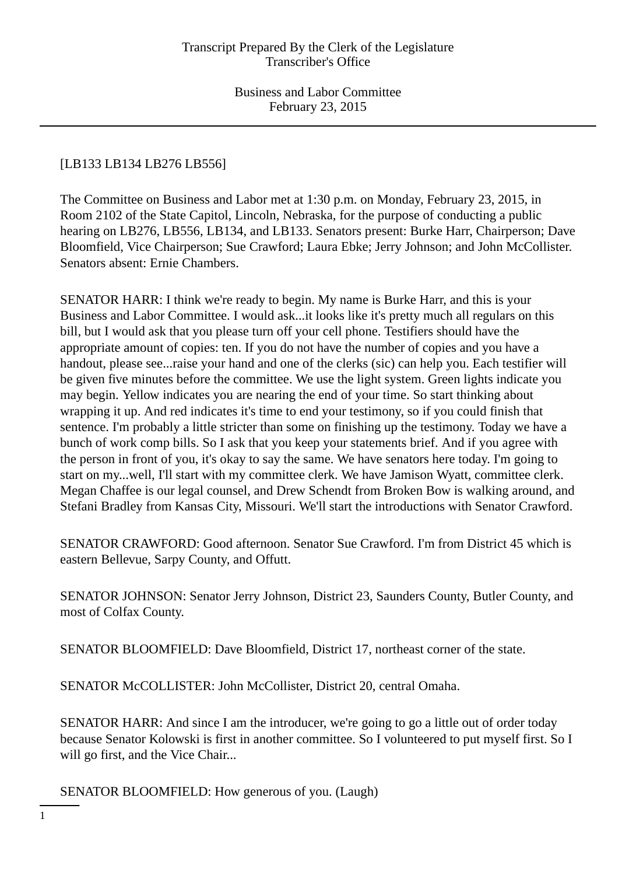# [LB133 LB134 LB276 LB556]

The Committee on Business and Labor met at 1:30 p.m. on Monday, February 23, 2015, in Room 2102 of the State Capitol, Lincoln, Nebraska, for the purpose of conducting a public hearing on LB276, LB556, LB134, and LB133. Senators present: Burke Harr, Chairperson; Dave Bloomfield, Vice Chairperson; Sue Crawford; Laura Ebke; Jerry Johnson; and John McCollister. Senators absent: Ernie Chambers.

SENATOR HARR: I think we're ready to begin. My name is Burke Harr, and this is your Business and Labor Committee. I would ask...it looks like it's pretty much all regulars on this bill, but I would ask that you please turn off your cell phone. Testifiers should have the appropriate amount of copies: ten. If you do not have the number of copies and you have a handout, please see...raise your hand and one of the clerks (sic) can help you. Each testifier will be given five minutes before the committee. We use the light system. Green lights indicate you may begin. Yellow indicates you are nearing the end of your time. So start thinking about wrapping it up. And red indicates it's time to end your testimony, so if you could finish that sentence. I'm probably a little stricter than some on finishing up the testimony. Today we have a bunch of work comp bills. So I ask that you keep your statements brief. And if you agree with the person in front of you, it's okay to say the same. We have senators here today. I'm going to start on my...well, I'll start with my committee clerk. We have Jamison Wyatt, committee clerk. Megan Chaffee is our legal counsel, and Drew Schendt from Broken Bow is walking around, and Stefani Bradley from Kansas City, Missouri. We'll start the introductions with Senator Crawford.

SENATOR CRAWFORD: Good afternoon. Senator Sue Crawford. I'm from District 45 which is eastern Bellevue, Sarpy County, and Offutt.

SENATOR JOHNSON: Senator Jerry Johnson, District 23, Saunders County, Butler County, and most of Colfax County.

SENATOR BLOOMFIELD: Dave Bloomfield, District 17, northeast corner of the state.

SENATOR McCOLLISTER: John McCollister, District 20, central Omaha.

SENATOR HARR: And since I am the introducer, we're going to go a little out of order today because Senator Kolowski is first in another committee. So I volunteered to put myself first. So I will go first, and the Vice Chair...

SENATOR BLOOMFIELD: How generous of you. (Laugh)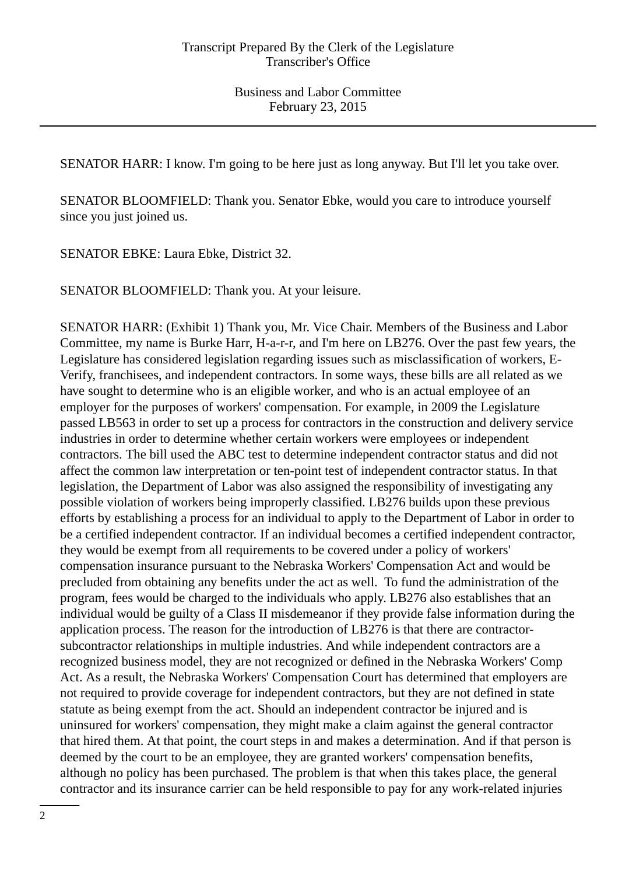SENATOR HARR: I know. I'm going to be here just as long anyway. But I'll let you take over.

SENATOR BLOOMFIELD: Thank you. Senator Ebke, would you care to introduce yourself since you just joined us.

SENATOR EBKE: Laura Ebke, District 32.

SENATOR BLOOMFIELD: Thank you. At your leisure.

SENATOR HARR: (Exhibit 1) Thank you, Mr. Vice Chair. Members of the Business and Labor Committee, my name is Burke Harr, H-a-r-r, and I'm here on LB276. Over the past few years, the Legislature has considered legislation regarding issues such as misclassification of workers, E-Verify, franchisees, and independent contractors. In some ways, these bills are all related as we have sought to determine who is an eligible worker, and who is an actual employee of an employer for the purposes of workers' compensation. For example, in 2009 the Legislature passed LB563 in order to set up a process for contractors in the construction and delivery service industries in order to determine whether certain workers were employees or independent contractors. The bill used the ABC test to determine independent contractor status and did not affect the common law interpretation or ten-point test of independent contractor status. In that legislation, the Department of Labor was also assigned the responsibility of investigating any possible violation of workers being improperly classified. LB276 builds upon these previous efforts by establishing a process for an individual to apply to the Department of Labor in order to be a certified independent contractor. If an individual becomes a certified independent contractor, they would be exempt from all requirements to be covered under a policy of workers' compensation insurance pursuant to the Nebraska Workers' Compensation Act and would be precluded from obtaining any benefits under the act as well. To fund the administration of the program, fees would be charged to the individuals who apply. LB276 also establishes that an individual would be guilty of a Class II misdemeanor if they provide false information during the application process. The reason for the introduction of LB276 is that there are contractorsubcontractor relationships in multiple industries. And while independent contractors are a recognized business model, they are not recognized or defined in the Nebraska Workers' Comp Act. As a result, the Nebraska Workers' Compensation Court has determined that employers are not required to provide coverage for independent contractors, but they are not defined in state statute as being exempt from the act. Should an independent contractor be injured and is uninsured for workers' compensation, they might make a claim against the general contractor that hired them. At that point, the court steps in and makes a determination. And if that person is deemed by the court to be an employee, they are granted workers' compensation benefits, although no policy has been purchased. The problem is that when this takes place, the general contractor and its insurance carrier can be held responsible to pay for any work-related injuries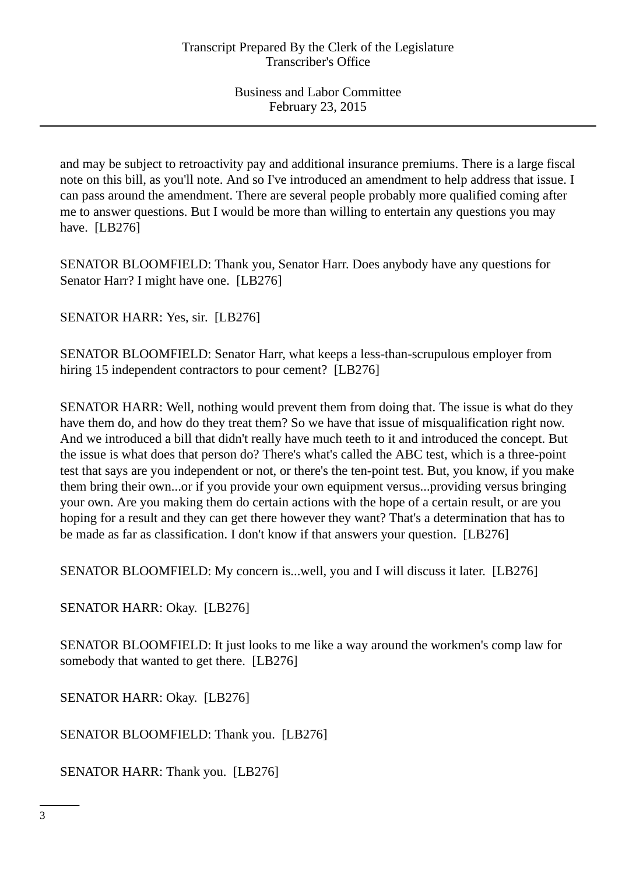and may be subject to retroactivity pay and additional insurance premiums. There is a large fiscal note on this bill, as you'll note. And so I've introduced an amendment to help address that issue. I can pass around the amendment. There are several people probably more qualified coming after me to answer questions. But I would be more than willing to entertain any questions you may have. [LB276]

SENATOR BLOOMFIELD: Thank you, Senator Harr. Does anybody have any questions for Senator Harr? I might have one. [LB276]

SENATOR HARR: Yes, sir. [LB276]

SENATOR BLOOMFIELD: Senator Harr, what keeps a less-than-scrupulous employer from hiring 15 independent contractors to pour cement? [LB276]

SENATOR HARR: Well, nothing would prevent them from doing that. The issue is what do they have them do, and how do they treat them? So we have that issue of misqualification right now. And we introduced a bill that didn't really have much teeth to it and introduced the concept. But the issue is what does that person do? There's what's called the ABC test, which is a three-point test that says are you independent or not, or there's the ten-point test. But, you know, if you make them bring their own...or if you provide your own equipment versus...providing versus bringing your own. Are you making them do certain actions with the hope of a certain result, or are you hoping for a result and they can get there however they want? That's a determination that has to be made as far as classification. I don't know if that answers your question. [LB276]

SENATOR BLOOMFIELD: My concern is...well, you and I will discuss it later. [LB276]

SENATOR HARR: Okay. [LB276]

SENATOR BLOOMFIELD: It just looks to me like a way around the workmen's comp law for somebody that wanted to get there. [LB276]

SENATOR HARR: Okay. [LB276]

SENATOR BLOOMFIELD: Thank you. [LB276]

SENATOR HARR: Thank you. [LB276]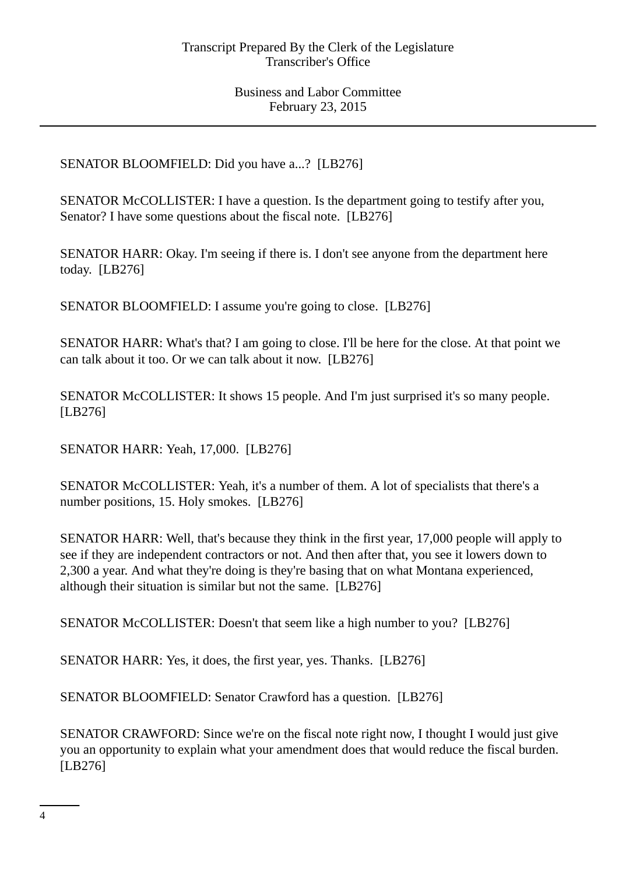SENATOR BLOOMFIELD: Did you have a...? [LB276]

SENATOR McCOLLISTER: I have a question. Is the department going to testify after you, Senator? I have some questions about the fiscal note. [LB276]

SENATOR HARR: Okay. I'm seeing if there is. I don't see anyone from the department here today. [LB276]

SENATOR BLOOMFIELD: I assume you're going to close. [LB276]

SENATOR HARR: What's that? I am going to close. I'll be here for the close. At that point we can talk about it too. Or we can talk about it now. [LB276]

SENATOR McCOLLISTER: It shows 15 people. And I'm just surprised it's so many people. [LB276]

SENATOR HARR: Yeah, 17,000. [LB276]

SENATOR McCOLLISTER: Yeah, it's a number of them. A lot of specialists that there's a number positions, 15. Holy smokes. [LB276]

SENATOR HARR: Well, that's because they think in the first year, 17,000 people will apply to see if they are independent contractors or not. And then after that, you see it lowers down to 2,300 a year. And what they're doing is they're basing that on what Montana experienced, although their situation is similar but not the same. [LB276]

SENATOR McCOLLISTER: Doesn't that seem like a high number to you? [LB276]

SENATOR HARR: Yes, it does, the first year, yes. Thanks. [LB276]

SENATOR BLOOMFIELD: Senator Crawford has a question. [LB276]

SENATOR CRAWFORD: Since we're on the fiscal note right now, I thought I would just give you an opportunity to explain what your amendment does that would reduce the fiscal burden. [LB276]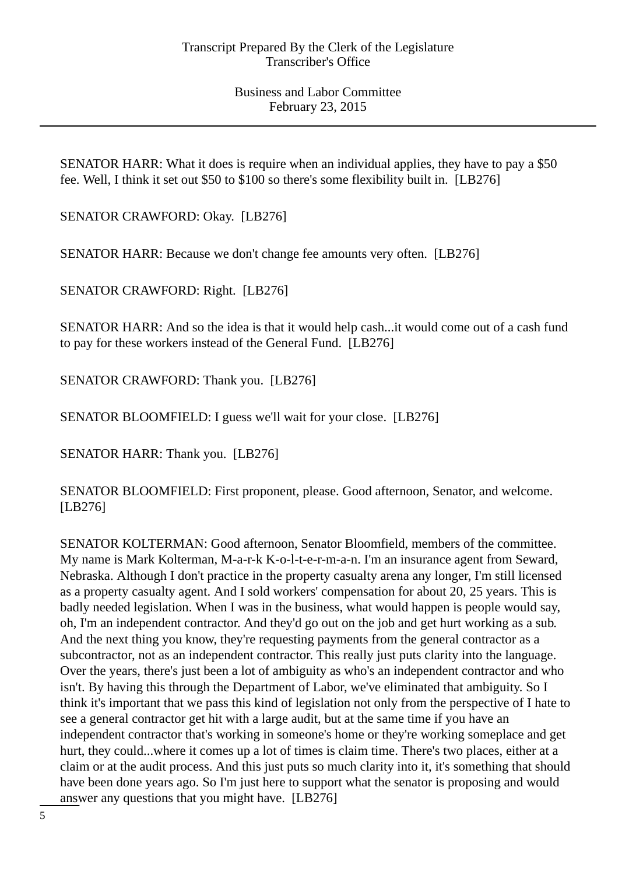SENATOR HARR: What it does is require when an individual applies, they have to pay a \$50 fee. Well, I think it set out \$50 to \$100 so there's some flexibility built in. [LB276]

SENATOR CRAWFORD: Okay. [LB276]

SENATOR HARR: Because we don't change fee amounts very often. [LB276]

SENATOR CRAWFORD: Right. [LB276]

SENATOR HARR: And so the idea is that it would help cash...it would come out of a cash fund to pay for these workers instead of the General Fund. [LB276]

SENATOR CRAWFORD: Thank you. [LB276]

SENATOR BLOOMFIELD: I guess we'll wait for your close. [LB276]

SENATOR HARR: Thank you. [LB276]

SENATOR BLOOMFIELD: First proponent, please. Good afternoon, Senator, and welcome. [LB276]

SENATOR KOLTERMAN: Good afternoon, Senator Bloomfield, members of the committee. My name is Mark Kolterman, M-a-r-k K-o-l-t-e-r-m-a-n. I'm an insurance agent from Seward, Nebraska. Although I don't practice in the property casualty arena any longer, I'm still licensed as a property casualty agent. And I sold workers' compensation for about 20, 25 years. This is badly needed legislation. When I was in the business, what would happen is people would say, oh, I'm an independent contractor. And they'd go out on the job and get hurt working as a sub. And the next thing you know, they're requesting payments from the general contractor as a subcontractor, not as an independent contractor. This really just puts clarity into the language. Over the years, there's just been a lot of ambiguity as who's an independent contractor and who isn't. By having this through the Department of Labor, we've eliminated that ambiguity. So I think it's important that we pass this kind of legislation not only from the perspective of I hate to see a general contractor get hit with a large audit, but at the same time if you have an independent contractor that's working in someone's home or they're working someplace and get hurt, they could...where it comes up a lot of times is claim time. There's two places, either at a claim or at the audit process. And this just puts so much clarity into it, it's something that should have been done years ago. So I'm just here to support what the senator is proposing and would answer any questions that you might have. [LB276]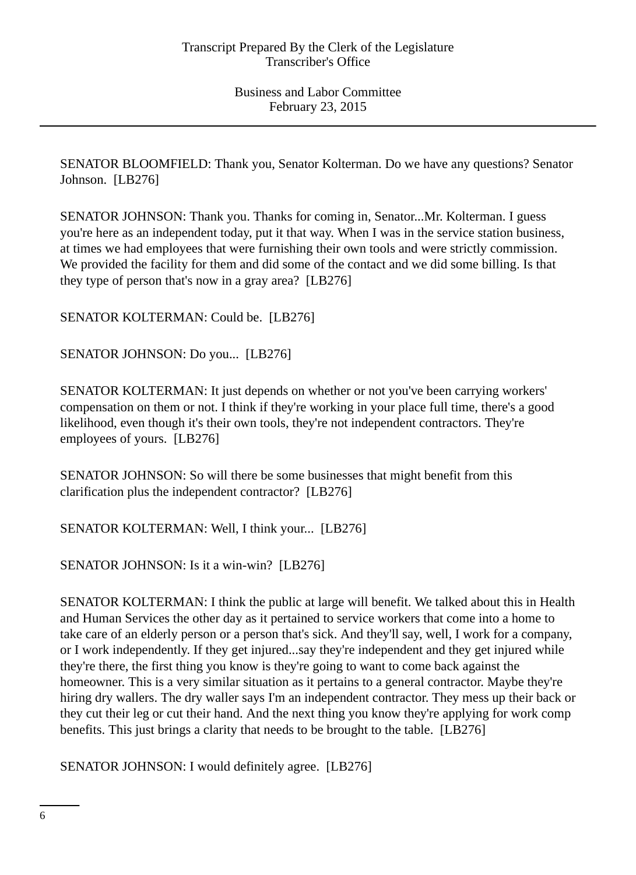SENATOR BLOOMFIELD: Thank you, Senator Kolterman. Do we have any questions? Senator Johnson. [LB276]

SENATOR JOHNSON: Thank you. Thanks for coming in, Senator...Mr. Kolterman. I guess you're here as an independent today, put it that way. When I was in the service station business, at times we had employees that were furnishing their own tools and were strictly commission. We provided the facility for them and did some of the contact and we did some billing. Is that they type of person that's now in a gray area? [LB276]

SENATOR KOLTERMAN: Could be. [LB276]

SENATOR JOHNSON: Do you... [LB276]

SENATOR KOLTERMAN: It just depends on whether or not you've been carrying workers' compensation on them or not. I think if they're working in your place full time, there's a good likelihood, even though it's their own tools, they're not independent contractors. They're employees of yours. [LB276]

SENATOR JOHNSON: So will there be some businesses that might benefit from this clarification plus the independent contractor? [LB276]

SENATOR KOLTERMAN: Well, I think your... [LB276]

SENATOR JOHNSON: Is it a win-win? [LB276]

SENATOR KOLTERMAN: I think the public at large will benefit. We talked about this in Health and Human Services the other day as it pertained to service workers that come into a home to take care of an elderly person or a person that's sick. And they'll say, well, I work for a company, or I work independently. If they get injured...say they're independent and they get injured while they're there, the first thing you know is they're going to want to come back against the homeowner. This is a very similar situation as it pertains to a general contractor. Maybe they're hiring dry wallers. The dry waller says I'm an independent contractor. They mess up their back or they cut their leg or cut their hand. And the next thing you know they're applying for work comp benefits. This just brings a clarity that needs to be brought to the table. [LB276]

SENATOR JOHNSON: I would definitely agree. [LB276]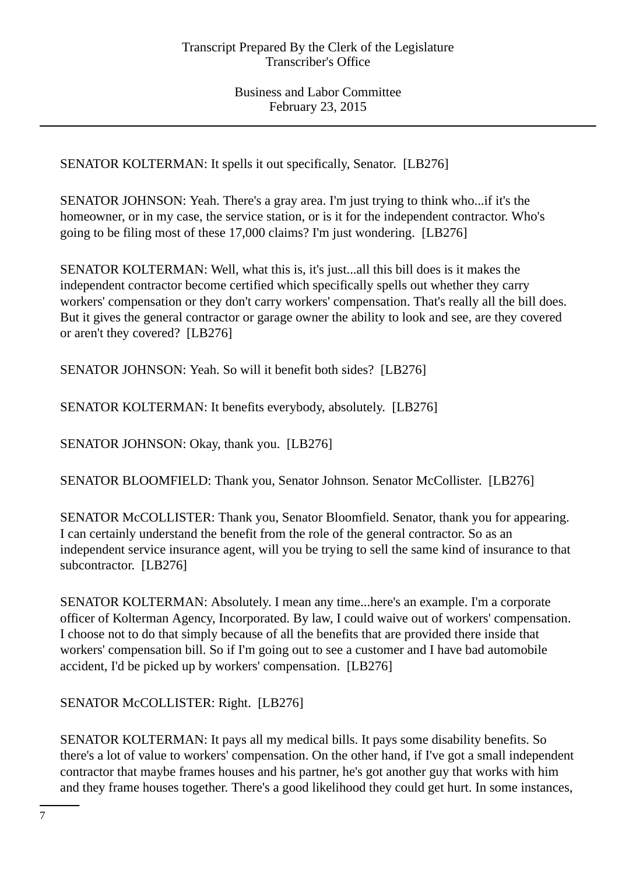SENATOR KOLTERMAN: It spells it out specifically, Senator. [LB276]

SENATOR JOHNSON: Yeah. There's a gray area. I'm just trying to think who...if it's the homeowner, or in my case, the service station, or is it for the independent contractor. Who's going to be filing most of these 17,000 claims? I'm just wondering. [LB276]

SENATOR KOLTERMAN: Well, what this is, it's just...all this bill does is it makes the independent contractor become certified which specifically spells out whether they carry workers' compensation or they don't carry workers' compensation. That's really all the bill does. But it gives the general contractor or garage owner the ability to look and see, are they covered or aren't they covered? [LB276]

SENATOR JOHNSON: Yeah. So will it benefit both sides? [LB276]

SENATOR KOLTERMAN: It benefits everybody, absolutely. [LB276]

SENATOR JOHNSON: Okay, thank you. [LB276]

SENATOR BLOOMFIELD: Thank you, Senator Johnson. Senator McCollister. [LB276]

SENATOR McCOLLISTER: Thank you, Senator Bloomfield. Senator, thank you for appearing. I can certainly understand the benefit from the role of the general contractor. So as an independent service insurance agent, will you be trying to sell the same kind of insurance to that subcontractor. [LB276]

SENATOR KOLTERMAN: Absolutely. I mean any time...here's an example. I'm a corporate officer of Kolterman Agency, Incorporated. By law, I could waive out of workers' compensation. I choose not to do that simply because of all the benefits that are provided there inside that workers' compensation bill. So if I'm going out to see a customer and I have bad automobile accident, I'd be picked up by workers' compensation. [LB276]

SENATOR McCOLLISTER: Right. [LB276]

SENATOR KOLTERMAN: It pays all my medical bills. It pays some disability benefits. So there's a lot of value to workers' compensation. On the other hand, if I've got a small independent contractor that maybe frames houses and his partner, he's got another guy that works with him and they frame houses together. There's a good likelihood they could get hurt. In some instances,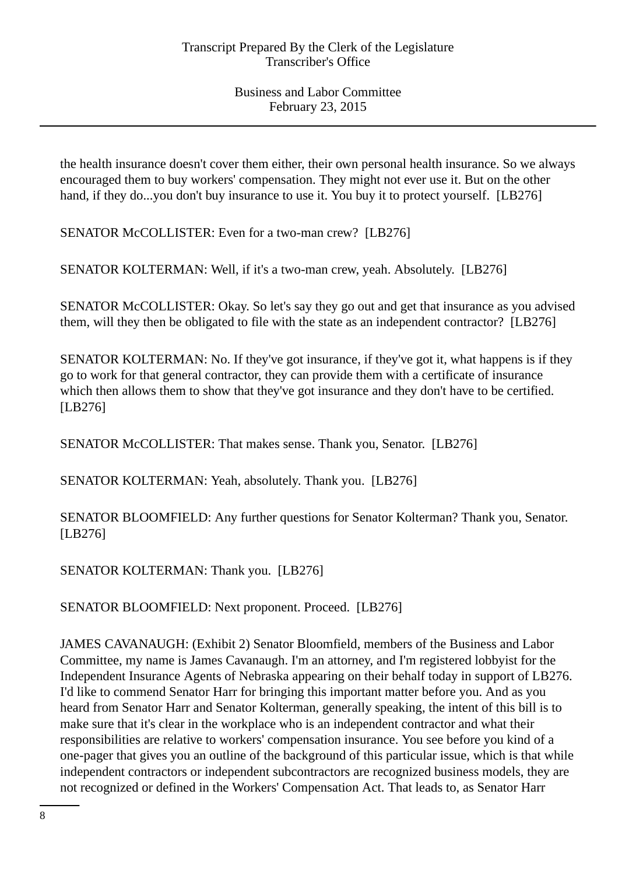the health insurance doesn't cover them either, their own personal health insurance. So we always encouraged them to buy workers' compensation. They might not ever use it. But on the other hand, if they do...you don't buy insurance to use it. You buy it to protect yourself. [LB276]

SENATOR McCOLLISTER: Even for a two-man crew? [LB276]

SENATOR KOLTERMAN: Well, if it's a two-man crew, yeah. Absolutely. [LB276]

SENATOR McCOLLISTER: Okay. So let's say they go out and get that insurance as you advised them, will they then be obligated to file with the state as an independent contractor? [LB276]

SENATOR KOLTERMAN: No. If they've got insurance, if they've got it, what happens is if they go to work for that general contractor, they can provide them with a certificate of insurance which then allows them to show that they've got insurance and they don't have to be certified. [LB276]

SENATOR McCOLLISTER: That makes sense. Thank you, Senator. [LB276]

SENATOR KOLTERMAN: Yeah, absolutely. Thank you. [LB276]

SENATOR BLOOMFIELD: Any further questions for Senator Kolterman? Thank you, Senator. [LB276]

SENATOR KOLTERMAN: Thank you. [LB276]

SENATOR BLOOMFIELD: Next proponent. Proceed. [LB276]

JAMES CAVANAUGH: (Exhibit 2) Senator Bloomfield, members of the Business and Labor Committee, my name is James Cavanaugh. I'm an attorney, and I'm registered lobbyist for the Independent Insurance Agents of Nebraska appearing on their behalf today in support of LB276. I'd like to commend Senator Harr for bringing this important matter before you. And as you heard from Senator Harr and Senator Kolterman, generally speaking, the intent of this bill is to make sure that it's clear in the workplace who is an independent contractor and what their responsibilities are relative to workers' compensation insurance. You see before you kind of a one-pager that gives you an outline of the background of this particular issue, which is that while independent contractors or independent subcontractors are recognized business models, they are not recognized or defined in the Workers' Compensation Act. That leads to, as Senator Harr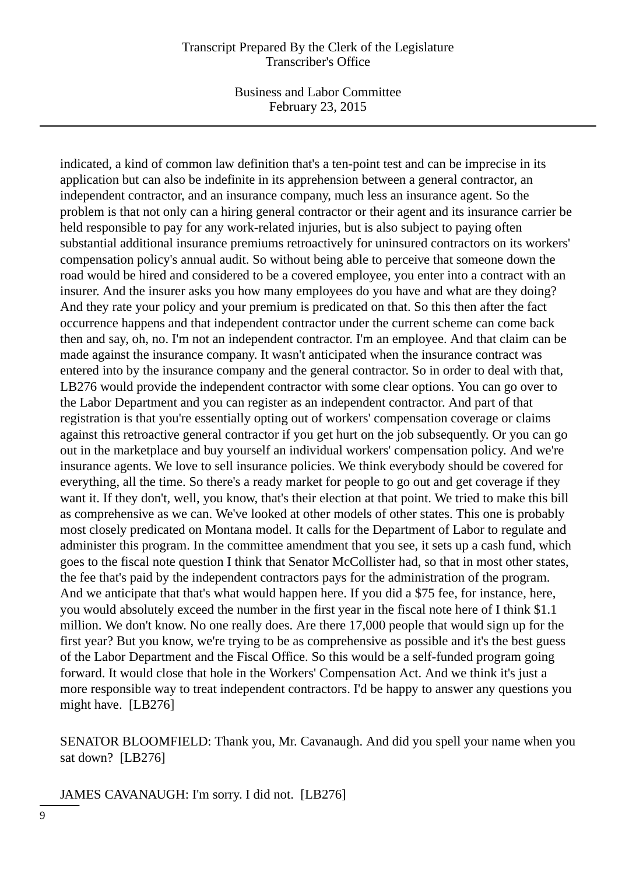#### Transcript Prepared By the Clerk of the Legislature Transcriber's Office

Business and Labor Committee February 23, 2015

indicated, a kind of common law definition that's a ten-point test and can be imprecise in its application but can also be indefinite in its apprehension between a general contractor, an independent contractor, and an insurance company, much less an insurance agent. So the problem is that not only can a hiring general contractor or their agent and its insurance carrier be held responsible to pay for any work-related injuries, but is also subject to paying often substantial additional insurance premiums retroactively for uninsured contractors on its workers' compensation policy's annual audit. So without being able to perceive that someone down the road would be hired and considered to be a covered employee, you enter into a contract with an insurer. And the insurer asks you how many employees do you have and what are they doing? And they rate your policy and your premium is predicated on that. So this then after the fact occurrence happens and that independent contractor under the current scheme can come back then and say, oh, no. I'm not an independent contractor. I'm an employee. And that claim can be made against the insurance company. It wasn't anticipated when the insurance contract was entered into by the insurance company and the general contractor. So in order to deal with that, LB276 would provide the independent contractor with some clear options. You can go over to the Labor Department and you can register as an independent contractor. And part of that registration is that you're essentially opting out of workers' compensation coverage or claims against this retroactive general contractor if you get hurt on the job subsequently. Or you can go out in the marketplace and buy yourself an individual workers' compensation policy. And we're insurance agents. We love to sell insurance policies. We think everybody should be covered for everything, all the time. So there's a ready market for people to go out and get coverage if they want it. If they don't, well, you know, that's their election at that point. We tried to make this bill as comprehensive as we can. We've looked at other models of other states. This one is probably most closely predicated on Montana model. It calls for the Department of Labor to regulate and administer this program. In the committee amendment that you see, it sets up a cash fund, which goes to the fiscal note question I think that Senator McCollister had, so that in most other states, the fee that's paid by the independent contractors pays for the administration of the program. And we anticipate that that's what would happen here. If you did a \$75 fee, for instance, here, you would absolutely exceed the number in the first year in the fiscal note here of I think \$1.1 million. We don't know. No one really does. Are there 17,000 people that would sign up for the first year? But you know, we're trying to be as comprehensive as possible and it's the best guess of the Labor Department and the Fiscal Office. So this would be a self-funded program going forward. It would close that hole in the Workers' Compensation Act. And we think it's just a more responsible way to treat independent contractors. I'd be happy to answer any questions you might have. [LB276]

SENATOR BLOOMFIELD: Thank you, Mr. Cavanaugh. And did you spell your name when you sat down? [LB276]

JAMES CAVANAUGH: I'm sorry. I did not. [LB276]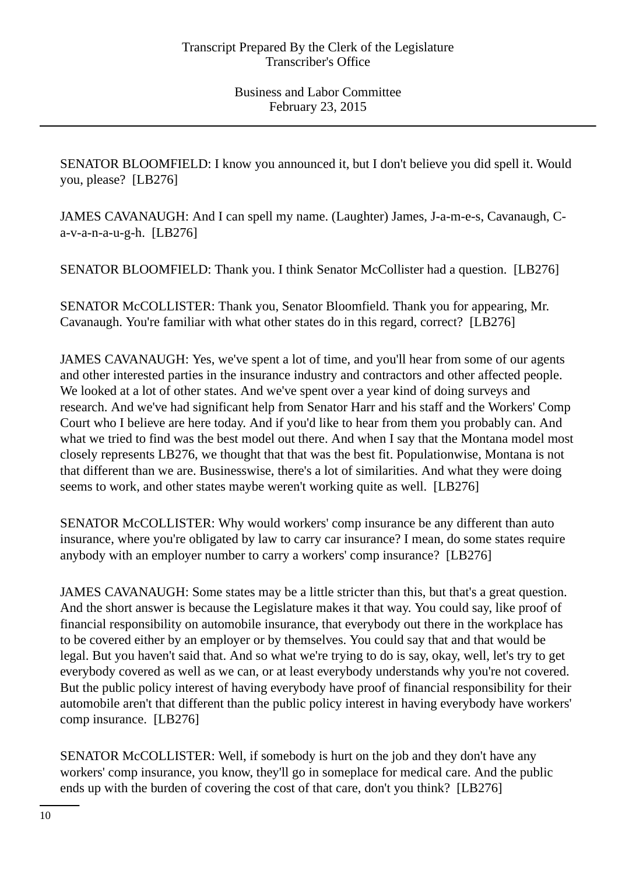SENATOR BLOOMFIELD: I know you announced it, but I don't believe you did spell it. Would you, please? [LB276]

JAMES CAVANAUGH: And I can spell my name. (Laughter) James, J-a-m-e-s, Cavanaugh, Ca-v-a-n-a-u-g-h. [LB276]

SENATOR BLOOMFIELD: Thank you. I think Senator McCollister had a question. [LB276]

SENATOR McCOLLISTER: Thank you, Senator Bloomfield. Thank you for appearing, Mr. Cavanaugh. You're familiar with what other states do in this regard, correct? [LB276]

JAMES CAVANAUGH: Yes, we've spent a lot of time, and you'll hear from some of our agents and other interested parties in the insurance industry and contractors and other affected people. We looked at a lot of other states. And we've spent over a year kind of doing surveys and research. And we've had significant help from Senator Harr and his staff and the Workers' Comp Court who I believe are here today. And if you'd like to hear from them you probably can. And what we tried to find was the best model out there. And when I say that the Montana model most closely represents LB276, we thought that that was the best fit. Populationwise, Montana is not that different than we are. Businesswise, there's a lot of similarities. And what they were doing seems to work, and other states maybe weren't working quite as well. [LB276]

SENATOR McCOLLISTER: Why would workers' comp insurance be any different than auto insurance, where you're obligated by law to carry car insurance? I mean, do some states require anybody with an employer number to carry a workers' comp insurance? [LB276]

JAMES CAVANAUGH: Some states may be a little stricter than this, but that's a great question. And the short answer is because the Legislature makes it that way. You could say, like proof of financial responsibility on automobile insurance, that everybody out there in the workplace has to be covered either by an employer or by themselves. You could say that and that would be legal. But you haven't said that. And so what we're trying to do is say, okay, well, let's try to get everybody covered as well as we can, or at least everybody understands why you're not covered. But the public policy interest of having everybody have proof of financial responsibility for their automobile aren't that different than the public policy interest in having everybody have workers' comp insurance. [LB276]

SENATOR McCOLLISTER: Well, if somebody is hurt on the job and they don't have any workers' comp insurance, you know, they'll go in someplace for medical care. And the public ends up with the burden of covering the cost of that care, don't you think? [LB276]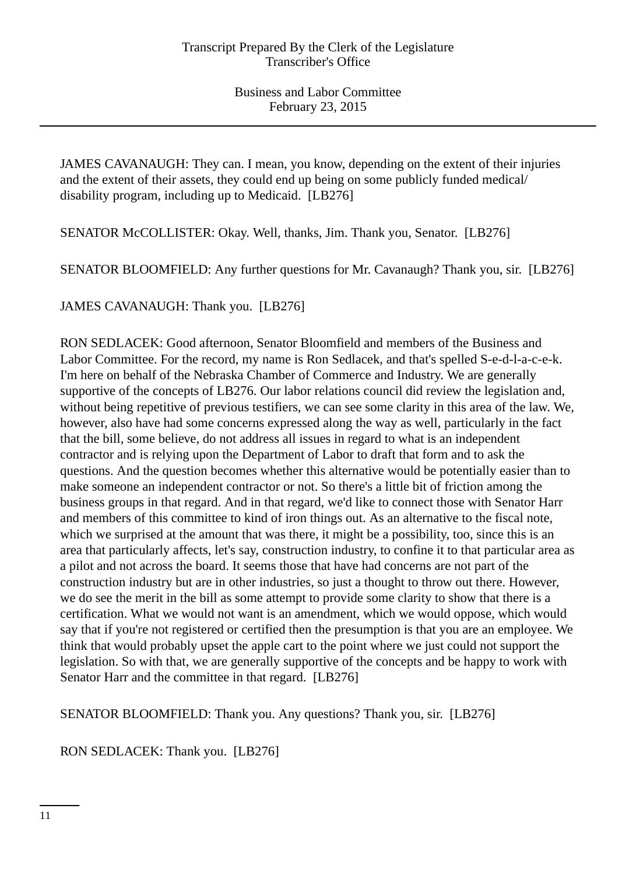JAMES CAVANAUGH: They can. I mean, you know, depending on the extent of their injuries and the extent of their assets, they could end up being on some publicly funded medical/ disability program, including up to Medicaid. [LB276]

SENATOR McCOLLISTER: Okay. Well, thanks, Jim. Thank you, Senator. [LB276]

SENATOR BLOOMFIELD: Any further questions for Mr. Cavanaugh? Thank you, sir. [LB276]

JAMES CAVANAUGH: Thank you. [LB276]

RON SEDLACEK: Good afternoon, Senator Bloomfield and members of the Business and Labor Committee. For the record, my name is Ron Sedlacek, and that's spelled S-e-d-l-a-c-e-k. I'm here on behalf of the Nebraska Chamber of Commerce and Industry. We are generally supportive of the concepts of LB276. Our labor relations council did review the legislation and, without being repetitive of previous testifiers, we can see some clarity in this area of the law. We, however, also have had some concerns expressed along the way as well, particularly in the fact that the bill, some believe, do not address all issues in regard to what is an independent contractor and is relying upon the Department of Labor to draft that form and to ask the questions. And the question becomes whether this alternative would be potentially easier than to make someone an independent contractor or not. So there's a little bit of friction among the business groups in that regard. And in that regard, we'd like to connect those with Senator Harr and members of this committee to kind of iron things out. As an alternative to the fiscal note, which we surprised at the amount that was there, it might be a possibility, too, since this is an area that particularly affects, let's say, construction industry, to confine it to that particular area as a pilot and not across the board. It seems those that have had concerns are not part of the construction industry but are in other industries, so just a thought to throw out there. However, we do see the merit in the bill as some attempt to provide some clarity to show that there is a certification. What we would not want is an amendment, which we would oppose, which would say that if you're not registered or certified then the presumption is that you are an employee. We think that would probably upset the apple cart to the point where we just could not support the legislation. So with that, we are generally supportive of the concepts and be happy to work with Senator Harr and the committee in that regard. [LB276]

SENATOR BLOOMFIELD: Thank you. Any questions? Thank you, sir. [LB276]

RON SEDLACEK: Thank you. [LB276]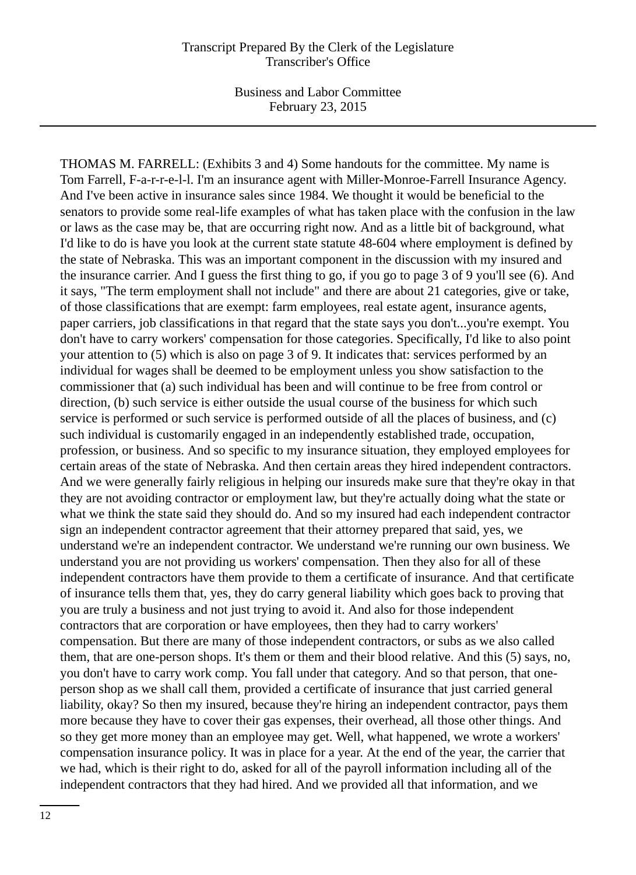THOMAS M. FARRELL: (Exhibits 3 and 4) Some handouts for the committee. My name is Tom Farrell, F-a-r-r-e-l-l. I'm an insurance agent with Miller-Monroe-Farrell Insurance Agency. And I've been active in insurance sales since 1984. We thought it would be beneficial to the senators to provide some real-life examples of what has taken place with the confusion in the law or laws as the case may be, that are occurring right now. And as a little bit of background, what I'd like to do is have you look at the current state statute 48-604 where employment is defined by the state of Nebraska. This was an important component in the discussion with my insured and the insurance carrier. And I guess the first thing to go, if you go to page 3 of 9 you'll see (6). And it says, "The term employment shall not include" and there are about 21 categories, give or take, of those classifications that are exempt: farm employees, real estate agent, insurance agents, paper carriers, job classifications in that regard that the state says you don't...you're exempt. You don't have to carry workers' compensation for those categories. Specifically, I'd like to also point your attention to (5) which is also on page 3 of 9. It indicates that: services performed by an individual for wages shall be deemed to be employment unless you show satisfaction to the commissioner that (a) such individual has been and will continue to be free from control or direction, (b) such service is either outside the usual course of the business for which such service is performed or such service is performed outside of all the places of business, and (c) such individual is customarily engaged in an independently established trade, occupation, profession, or business. And so specific to my insurance situation, they employed employees for certain areas of the state of Nebraska. And then certain areas they hired independent contractors. And we were generally fairly religious in helping our insureds make sure that they're okay in that they are not avoiding contractor or employment law, but they're actually doing what the state or what we think the state said they should do. And so my insured had each independent contractor sign an independent contractor agreement that their attorney prepared that said, yes, we understand we're an independent contractor. We understand we're running our own business. We understand you are not providing us workers' compensation. Then they also for all of these independent contractors have them provide to them a certificate of insurance. And that certificate of insurance tells them that, yes, they do carry general liability which goes back to proving that you are truly a business and not just trying to avoid it. And also for those independent contractors that are corporation or have employees, then they had to carry workers' compensation. But there are many of those independent contractors, or subs as we also called them, that are one-person shops. It's them or them and their blood relative. And this (5) says, no, you don't have to carry work comp. You fall under that category. And so that person, that oneperson shop as we shall call them, provided a certificate of insurance that just carried general liability, okay? So then my insured, because they're hiring an independent contractor, pays them more because they have to cover their gas expenses, their overhead, all those other things. And so they get more money than an employee may get. Well, what happened, we wrote a workers' compensation insurance policy. It was in place for a year. At the end of the year, the carrier that we had, which is their right to do, asked for all of the payroll information including all of the independent contractors that they had hired. And we provided all that information, and we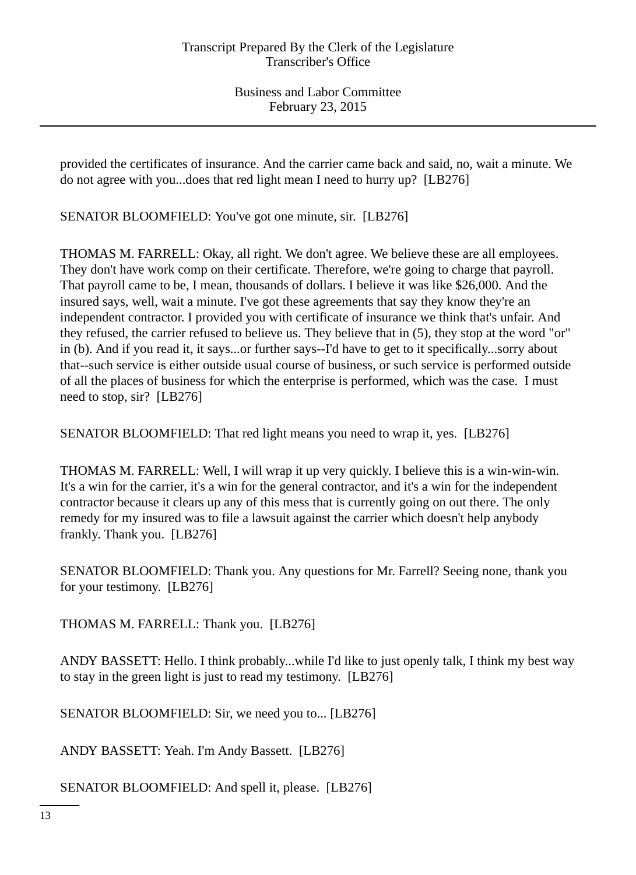provided the certificates of insurance. And the carrier came back and said, no, wait a minute. We do not agree with you...does that red light mean I need to hurry up? [LB276]

SENATOR BLOOMFIELD: You've got one minute, sir. [LB276]

THOMAS M. FARRELL: Okay, all right. We don't agree. We believe these are all employees. They don't have work comp on their certificate. Therefore, we're going to charge that payroll. That payroll came to be, I mean, thousands of dollars. I believe it was like \$26,000. And the insured says, well, wait a minute. I've got these agreements that say they know they're an independent contractor. I provided you with certificate of insurance we think that's unfair. And they refused, the carrier refused to believe us. They believe that in (5), they stop at the word "or" in (b). And if you read it, it says...or further says--I'd have to get to it specifically...sorry about that--such service is either outside usual course of business, or such service is performed outside of all the places of business for which the enterprise is performed, which was the case. I must need to stop, sir? [LB276]

SENATOR BLOOMFIELD: That red light means you need to wrap it, yes. [LB276]

THOMAS M. FARRELL: Well, I will wrap it up very quickly. I believe this is a win-win-win. It's a win for the carrier, it's a win for the general contractor, and it's a win for the independent contractor because it clears up any of this mess that is currently going on out there. The only remedy for my insured was to file a lawsuit against the carrier which doesn't help anybody frankly. Thank you. [LB276]

SENATOR BLOOMFIELD: Thank you. Any questions for Mr. Farrell? Seeing none, thank you for your testimony. [LB276]

THOMAS M. FARRELL: Thank you. [LB276]

ANDY BASSETT: Hello. I think probably...while I'd like to just openly talk, I think my best way to stay in the green light is just to read my testimony. [LB276]

SENATOR BLOOMFIELD: Sir, we need you to... [LB276]

ANDY BASSETT: Yeah. I'm Andy Bassett. [LB276]

SENATOR BLOOMFIELD: And spell it, please. [LB276]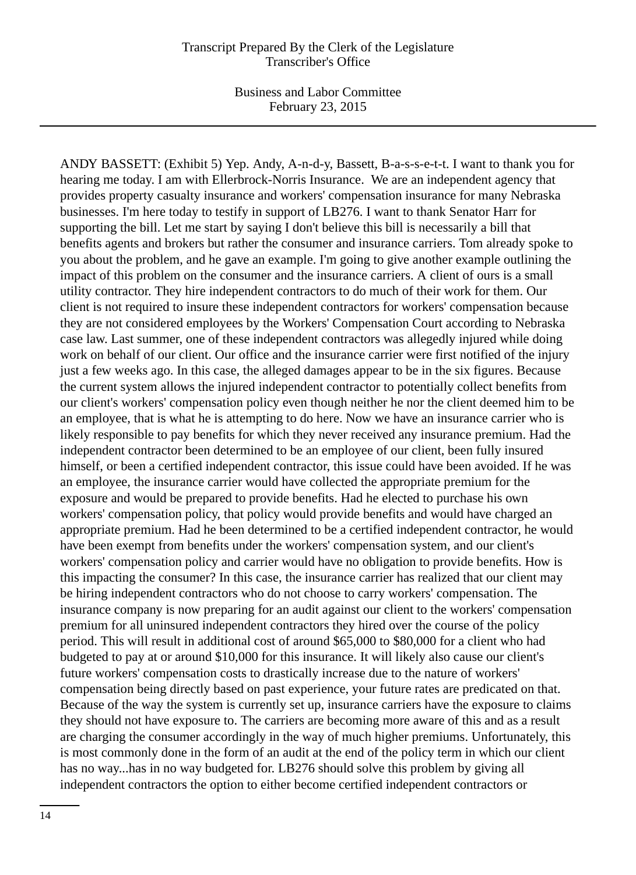ANDY BASSETT: (Exhibit 5) Yep. Andy, A-n-d-y, Bassett, B-a-s-s-e-t-t. I want to thank you for hearing me today. I am with Ellerbrock-Norris Insurance. We are an independent agency that provides property casualty insurance and workers' compensation insurance for many Nebraska businesses. I'm here today to testify in support of LB276. I want to thank Senator Harr for supporting the bill. Let me start by saying I don't believe this bill is necessarily a bill that benefits agents and brokers but rather the consumer and insurance carriers. Tom already spoke to you about the problem, and he gave an example. I'm going to give another example outlining the impact of this problem on the consumer and the insurance carriers. A client of ours is a small utility contractor. They hire independent contractors to do much of their work for them. Our client is not required to insure these independent contractors for workers' compensation because they are not considered employees by the Workers' Compensation Court according to Nebraska case law. Last summer, one of these independent contractors was allegedly injured while doing work on behalf of our client. Our office and the insurance carrier were first notified of the injury just a few weeks ago. In this case, the alleged damages appear to be in the six figures. Because the current system allows the injured independent contractor to potentially collect benefits from our client's workers' compensation policy even though neither he nor the client deemed him to be an employee, that is what he is attempting to do here. Now we have an insurance carrier who is likely responsible to pay benefits for which they never received any insurance premium. Had the independent contractor been determined to be an employee of our client, been fully insured himself, or been a certified independent contractor, this issue could have been avoided. If he was an employee, the insurance carrier would have collected the appropriate premium for the exposure and would be prepared to provide benefits. Had he elected to purchase his own workers' compensation policy, that policy would provide benefits and would have charged an appropriate premium. Had he been determined to be a certified independent contractor, he would have been exempt from benefits under the workers' compensation system, and our client's workers' compensation policy and carrier would have no obligation to provide benefits. How is this impacting the consumer? In this case, the insurance carrier has realized that our client may be hiring independent contractors who do not choose to carry workers' compensation. The insurance company is now preparing for an audit against our client to the workers' compensation premium for all uninsured independent contractors they hired over the course of the policy period. This will result in additional cost of around \$65,000 to \$80,000 for a client who had budgeted to pay at or around \$10,000 for this insurance. It will likely also cause our client's future workers' compensation costs to drastically increase due to the nature of workers' compensation being directly based on past experience, your future rates are predicated on that. Because of the way the system is currently set up, insurance carriers have the exposure to claims they should not have exposure to. The carriers are becoming more aware of this and as a result are charging the consumer accordingly in the way of much higher premiums. Unfortunately, this is most commonly done in the form of an audit at the end of the policy term in which our client has no way...has in no way budgeted for. LB276 should solve this problem by giving all independent contractors the option to either become certified independent contractors or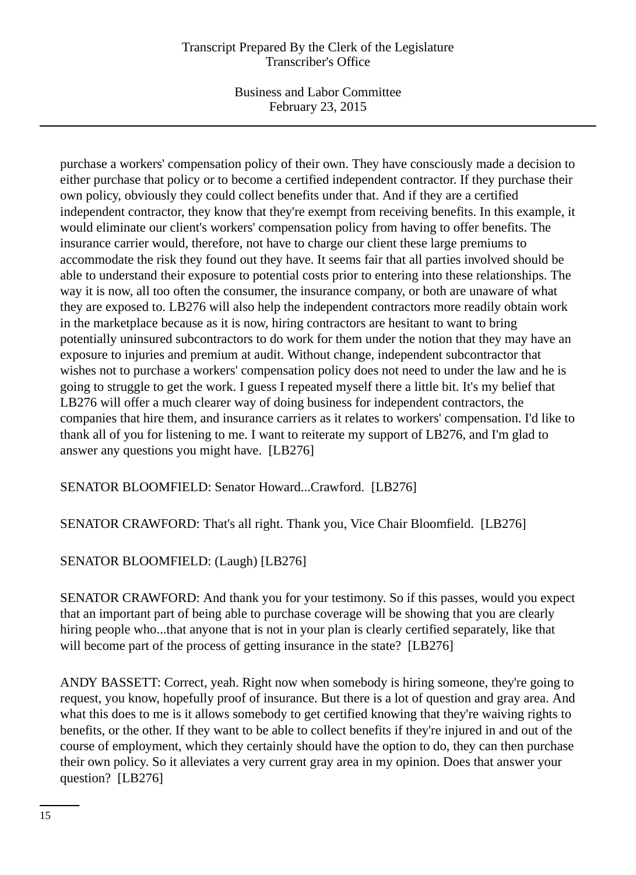## Transcript Prepared By the Clerk of the Legislature Transcriber's Office

Business and Labor Committee February 23, 2015

purchase a workers' compensation policy of their own. They have consciously made a decision to either purchase that policy or to become a certified independent contractor. If they purchase their own policy, obviously they could collect benefits under that. And if they are a certified independent contractor, they know that they're exempt from receiving benefits. In this example, it would eliminate our client's workers' compensation policy from having to offer benefits. The insurance carrier would, therefore, not have to charge our client these large premiums to accommodate the risk they found out they have. It seems fair that all parties involved should be able to understand their exposure to potential costs prior to entering into these relationships. The way it is now, all too often the consumer, the insurance company, or both are unaware of what they are exposed to. LB276 will also help the independent contractors more readily obtain work in the marketplace because as it is now, hiring contractors are hesitant to want to bring potentially uninsured subcontractors to do work for them under the notion that they may have an exposure to injuries and premium at audit. Without change, independent subcontractor that wishes not to purchase a workers' compensation policy does not need to under the law and he is going to struggle to get the work. I guess I repeated myself there a little bit. It's my belief that LB276 will offer a much clearer way of doing business for independent contractors, the companies that hire them, and insurance carriers as it relates to workers' compensation. I'd like to thank all of you for listening to me. I want to reiterate my support of LB276, and I'm glad to answer any questions you might have. [LB276]

SENATOR BLOOMFIELD: Senator Howard...Crawford. [LB276]

SENATOR CRAWFORD: That's all right. Thank you, Vice Chair Bloomfield. [LB276]

SENATOR BLOOMFIELD: (Laugh) [LB276]

SENATOR CRAWFORD: And thank you for your testimony. So if this passes, would you expect that an important part of being able to purchase coverage will be showing that you are clearly hiring people who...that anyone that is not in your plan is clearly certified separately, like that will become part of the process of getting insurance in the state? [LB276]

ANDY BASSETT: Correct, yeah. Right now when somebody is hiring someone, they're going to request, you know, hopefully proof of insurance. But there is a lot of question and gray area. And what this does to me is it allows somebody to get certified knowing that they're waiving rights to benefits, or the other. If they want to be able to collect benefits if they're injured in and out of the course of employment, which they certainly should have the option to do, they can then purchase their own policy. So it alleviates a very current gray area in my opinion. Does that answer your question? [LB276]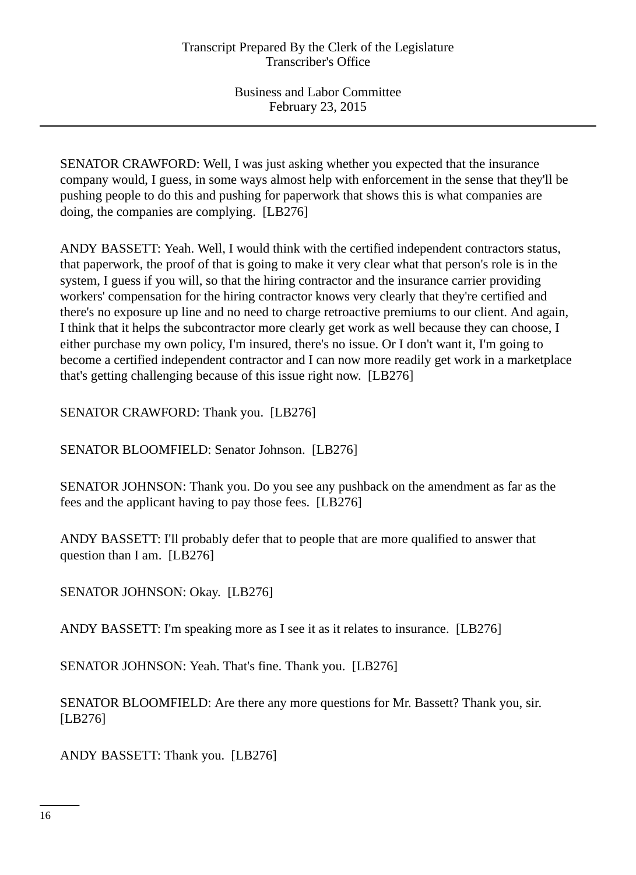SENATOR CRAWFORD: Well, I was just asking whether you expected that the insurance company would, I guess, in some ways almost help with enforcement in the sense that they'll be pushing people to do this and pushing for paperwork that shows this is what companies are doing, the companies are complying. [LB276]

ANDY BASSETT: Yeah. Well, I would think with the certified independent contractors status, that paperwork, the proof of that is going to make it very clear what that person's role is in the system, I guess if you will, so that the hiring contractor and the insurance carrier providing workers' compensation for the hiring contractor knows very clearly that they're certified and there's no exposure up line and no need to charge retroactive premiums to our client. And again, I think that it helps the subcontractor more clearly get work as well because they can choose, I either purchase my own policy, I'm insured, there's no issue. Or I don't want it, I'm going to become a certified independent contractor and I can now more readily get work in a marketplace that's getting challenging because of this issue right now. [LB276]

SENATOR CRAWFORD: Thank you. [LB276]

SENATOR BLOOMFIELD: Senator Johnson. [LB276]

SENATOR JOHNSON: Thank you. Do you see any pushback on the amendment as far as the fees and the applicant having to pay those fees. [LB276]

ANDY BASSETT: I'll probably defer that to people that are more qualified to answer that question than I am. [LB276]

SENATOR JOHNSON: Okay. [LB276]

ANDY BASSETT: I'm speaking more as I see it as it relates to insurance. [LB276]

SENATOR JOHNSON: Yeah. That's fine. Thank you. [LB276]

SENATOR BLOOMFIELD: Are there any more questions for Mr. Bassett? Thank you, sir. [LB276]

ANDY BASSETT: Thank you. [LB276]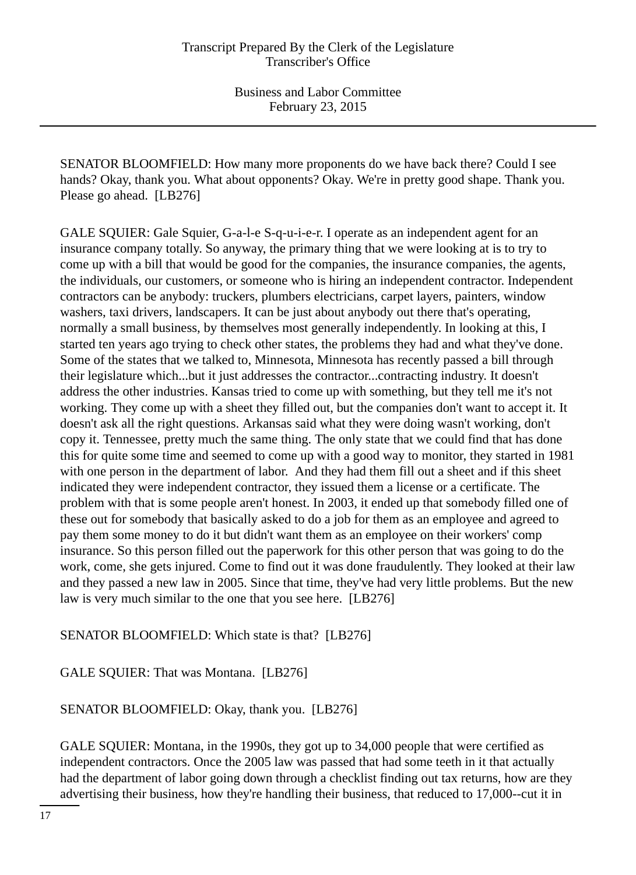SENATOR BLOOMFIELD: How many more proponents do we have back there? Could I see hands? Okay, thank you. What about opponents? Okay. We're in pretty good shape. Thank you. Please go ahead. [LB276]

GALE SQUIER: Gale Squier, G-a-l-e S-q-u-i-e-r. I operate as an independent agent for an insurance company totally. So anyway, the primary thing that we were looking at is to try to come up with a bill that would be good for the companies, the insurance companies, the agents, the individuals, our customers, or someone who is hiring an independent contractor. Independent contractors can be anybody: truckers, plumbers electricians, carpet layers, painters, window washers, taxi drivers, landscapers. It can be just about anybody out there that's operating, normally a small business, by themselves most generally independently. In looking at this, I started ten years ago trying to check other states, the problems they had and what they've done. Some of the states that we talked to, Minnesota, Minnesota has recently passed a bill through their legislature which...but it just addresses the contractor...contracting industry. It doesn't address the other industries. Kansas tried to come up with something, but they tell me it's not working. They come up with a sheet they filled out, but the companies don't want to accept it. It doesn't ask all the right questions. Arkansas said what they were doing wasn't working, don't copy it. Tennessee, pretty much the same thing. The only state that we could find that has done this for quite some time and seemed to come up with a good way to monitor, they started in 1981 with one person in the department of labor. And they had them fill out a sheet and if this sheet indicated they were independent contractor, they issued them a license or a certificate. The problem with that is some people aren't honest. In 2003, it ended up that somebody filled one of these out for somebody that basically asked to do a job for them as an employee and agreed to pay them some money to do it but didn't want them as an employee on their workers' comp insurance. So this person filled out the paperwork for this other person that was going to do the work, come, she gets injured. Come to find out it was done fraudulently. They looked at their law and they passed a new law in 2005. Since that time, they've had very little problems. But the new law is very much similar to the one that you see here. [LB276]

SENATOR BLOOMFIELD: Which state is that? [LB276]

GALE SQUIER: That was Montana. [LB276]

SENATOR BLOOMFIELD: Okay, thank you. [LB276]

GALE SQUIER: Montana, in the 1990s, they got up to 34,000 people that were certified as independent contractors. Once the 2005 law was passed that had some teeth in it that actually had the department of labor going down through a checklist finding out tax returns, how are they advertising their business, how they're handling their business, that reduced to 17,000--cut it in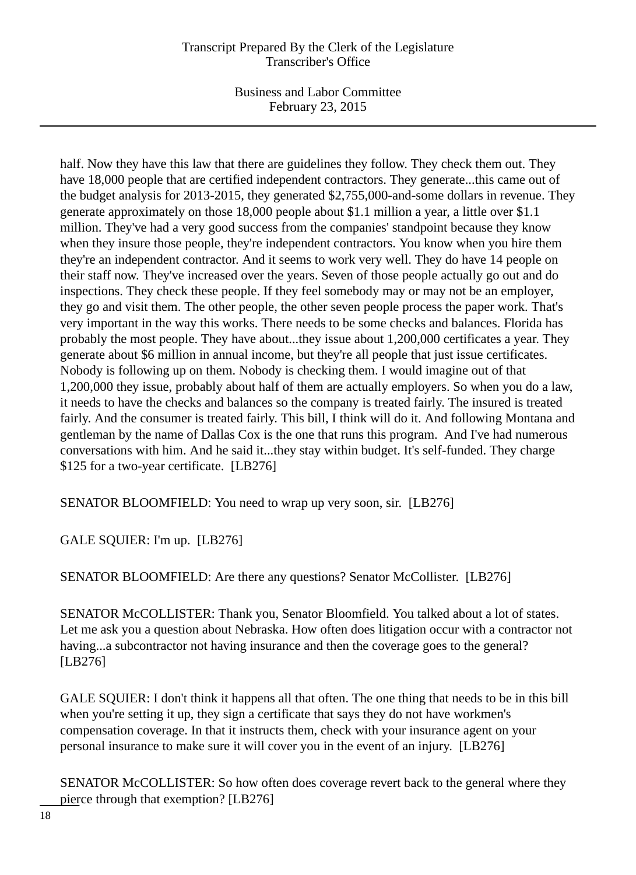## Transcript Prepared By the Clerk of the Legislature Transcriber's Office

Business and Labor Committee February 23, 2015

half. Now they have this law that there are guidelines they follow. They check them out. They have 18,000 people that are certified independent contractors. They generate...this came out of the budget analysis for 2013-2015, they generated \$2,755,000-and-some dollars in revenue. They generate approximately on those 18,000 people about \$1.1 million a year, a little over \$1.1 million. They've had a very good success from the companies' standpoint because they know when they insure those people, they're independent contractors. You know when you hire them they're an independent contractor. And it seems to work very well. They do have 14 people on their staff now. They've increased over the years. Seven of those people actually go out and do inspections. They check these people. If they feel somebody may or may not be an employer, they go and visit them. The other people, the other seven people process the paper work. That's very important in the way this works. There needs to be some checks and balances. Florida has probably the most people. They have about...they issue about 1,200,000 certificates a year. They generate about \$6 million in annual income, but they're all people that just issue certificates. Nobody is following up on them. Nobody is checking them. I would imagine out of that 1,200,000 they issue, probably about half of them are actually employers. So when you do a law, it needs to have the checks and balances so the company is treated fairly. The insured is treated fairly. And the consumer is treated fairly. This bill, I think will do it. And following Montana and gentleman by the name of Dallas Cox is the one that runs this program. And I've had numerous conversations with him. And he said it...they stay within budget. It's self-funded. They charge \$125 for a two-year certificate. [LB276]

SENATOR BLOOMFIELD: You need to wrap up very soon, sir. [LB276]

GALE SQUIER: I'm up. [LB276]

SENATOR BLOOMFIELD: Are there any questions? Senator McCollister. [LB276]

SENATOR McCOLLISTER: Thank you, Senator Bloomfield. You talked about a lot of states. Let me ask you a question about Nebraska. How often does litigation occur with a contractor not having...a subcontractor not having insurance and then the coverage goes to the general? [LB276]

GALE SQUIER: I don't think it happens all that often. The one thing that needs to be in this bill when you're setting it up, they sign a certificate that says they do not have workmen's compensation coverage. In that it instructs them, check with your insurance agent on your personal insurance to make sure it will cover you in the event of an injury. [LB276]

SENATOR McCOLLISTER: So how often does coverage revert back to the general where they pierce through that exemption? [LB276]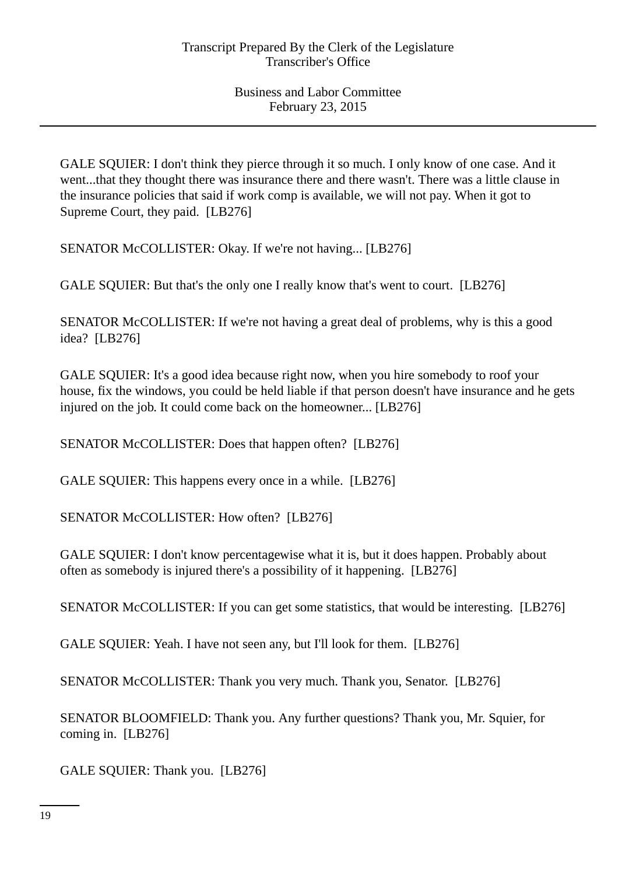GALE SQUIER: I don't think they pierce through it so much. I only know of one case. And it went...that they thought there was insurance there and there wasn't. There was a little clause in the insurance policies that said if work comp is available, we will not pay. When it got to Supreme Court, they paid. [LB276]

SENATOR McCOLLISTER: Okay. If we're not having... [LB276]

GALE SQUIER: But that's the only one I really know that's went to court. [LB276]

SENATOR McCOLLISTER: If we're not having a great deal of problems, why is this a good idea? [LB276]

GALE SQUIER: It's a good idea because right now, when you hire somebody to roof your house, fix the windows, you could be held liable if that person doesn't have insurance and he gets injured on the job. It could come back on the homeowner... [LB276]

SENATOR McCOLLISTER: Does that happen often? [LB276]

GALE SOUIER: This happens every once in a while. [LB276]

SENATOR McCOLLISTER: How often? [LB276]

GALE SQUIER: I don't know percentagewise what it is, but it does happen. Probably about often as somebody is injured there's a possibility of it happening. [LB276]

SENATOR McCOLLISTER: If you can get some statistics, that would be interesting. [LB276]

GALE SQUIER: Yeah. I have not seen any, but I'll look for them. [LB276]

SENATOR McCOLLISTER: Thank you very much. Thank you, Senator. [LB276]

SENATOR BLOOMFIELD: Thank you. Any further questions? Thank you, Mr. Squier, for coming in. [LB276]

GALE SQUIER: Thank you. [LB276]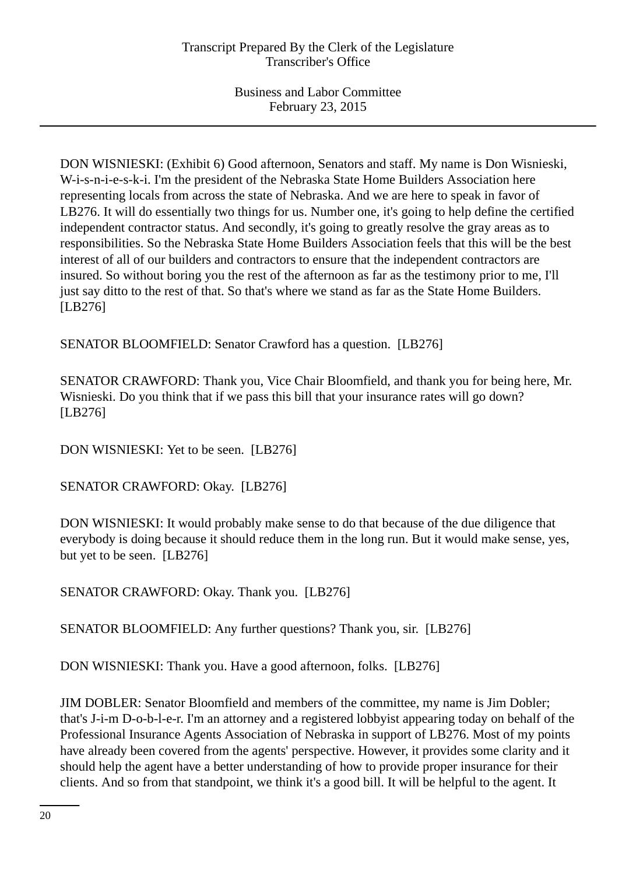DON WISNIESKI: (Exhibit 6) Good afternoon, Senators and staff. My name is Don Wisnieski, W-i-s-n-i-e-s-k-i. I'm the president of the Nebraska State Home Builders Association here representing locals from across the state of Nebraska. And we are here to speak in favor of LB276. It will do essentially two things for us. Number one, it's going to help define the certified independent contractor status. And secondly, it's going to greatly resolve the gray areas as to responsibilities. So the Nebraska State Home Builders Association feels that this will be the best interest of all of our builders and contractors to ensure that the independent contractors are insured. So without boring you the rest of the afternoon as far as the testimony prior to me, I'll just say ditto to the rest of that. So that's where we stand as far as the State Home Builders. [LB276]

SENATOR BLOOMFIELD: Senator Crawford has a question. [LB276]

SENATOR CRAWFORD: Thank you, Vice Chair Bloomfield, and thank you for being here, Mr. Wisnieski. Do you think that if we pass this bill that your insurance rates will go down? [LB276]

DON WISNIESKI: Yet to be seen. [LB276]

SENATOR CRAWFORD: Okay. [LB276]

DON WISNIESKI: It would probably make sense to do that because of the due diligence that everybody is doing because it should reduce them in the long run. But it would make sense, yes, but yet to be seen. [LB276]

SENATOR CRAWFORD: Okay. Thank you. [LB276]

SENATOR BLOOMFIELD: Any further questions? Thank you, sir. [LB276]

DON WISNIESKI: Thank you. Have a good afternoon, folks. [LB276]

JIM DOBLER: Senator Bloomfield and members of the committee, my name is Jim Dobler; that's J-i-m D-o-b-l-e-r. I'm an attorney and a registered lobbyist appearing today on behalf of the Professional Insurance Agents Association of Nebraska in support of LB276. Most of my points have already been covered from the agents' perspective. However, it provides some clarity and it should help the agent have a better understanding of how to provide proper insurance for their clients. And so from that standpoint, we think it's a good bill. It will be helpful to the agent. It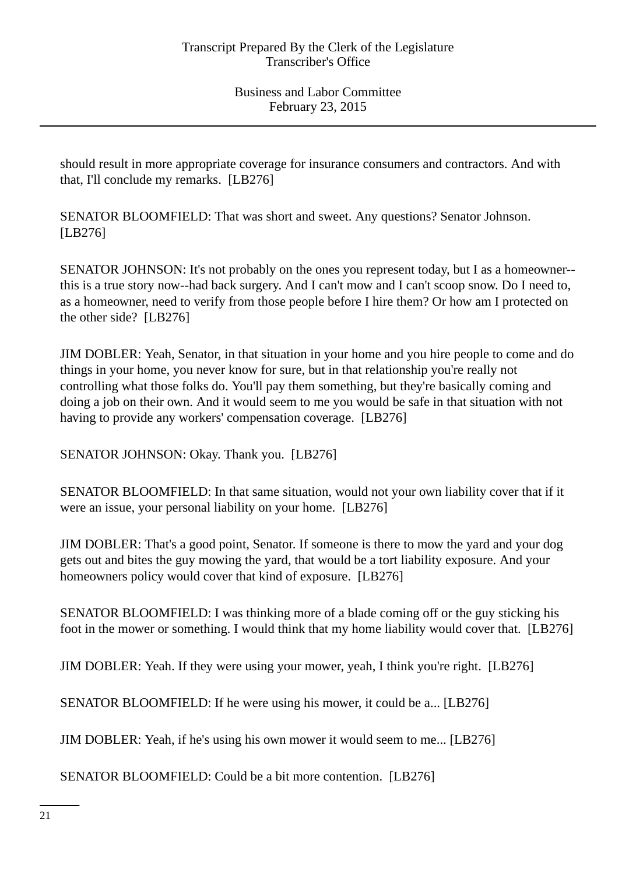should result in more appropriate coverage for insurance consumers and contractors. And with that, I'll conclude my remarks. [LB276]

SENATOR BLOOMFIELD: That was short and sweet. Any questions? Senator Johnson. [LB276]

SENATOR JOHNSON: It's not probably on the ones you represent today, but I as a homeowner- this is a true story now--had back surgery. And I can't mow and I can't scoop snow. Do I need to, as a homeowner, need to verify from those people before I hire them? Or how am I protected on the other side? [LB276]

JIM DOBLER: Yeah, Senator, in that situation in your home and you hire people to come and do things in your home, you never know for sure, but in that relationship you're really not controlling what those folks do. You'll pay them something, but they're basically coming and doing a job on their own. And it would seem to me you would be safe in that situation with not having to provide any workers' compensation coverage. [LB276]

SENATOR JOHNSON: Okay. Thank you. [LB276]

SENATOR BLOOMFIELD: In that same situation, would not your own liability cover that if it were an issue, your personal liability on your home. [LB276]

JIM DOBLER: That's a good point, Senator. If someone is there to mow the yard and your dog gets out and bites the guy mowing the yard, that would be a tort liability exposure. And your homeowners policy would cover that kind of exposure. [LB276]

SENATOR BLOOMFIELD: I was thinking more of a blade coming off or the guy sticking his foot in the mower or something. I would think that my home liability would cover that. [LB276]

JIM DOBLER: Yeah. If they were using your mower, yeah, I think you're right. [LB276]

SENATOR BLOOMFIELD: If he were using his mower, it could be a... [LB276]

JIM DOBLER: Yeah, if he's using his own mower it would seem to me... [LB276]

SENATOR BLOOMFIELD: Could be a bit more contention. [LB276]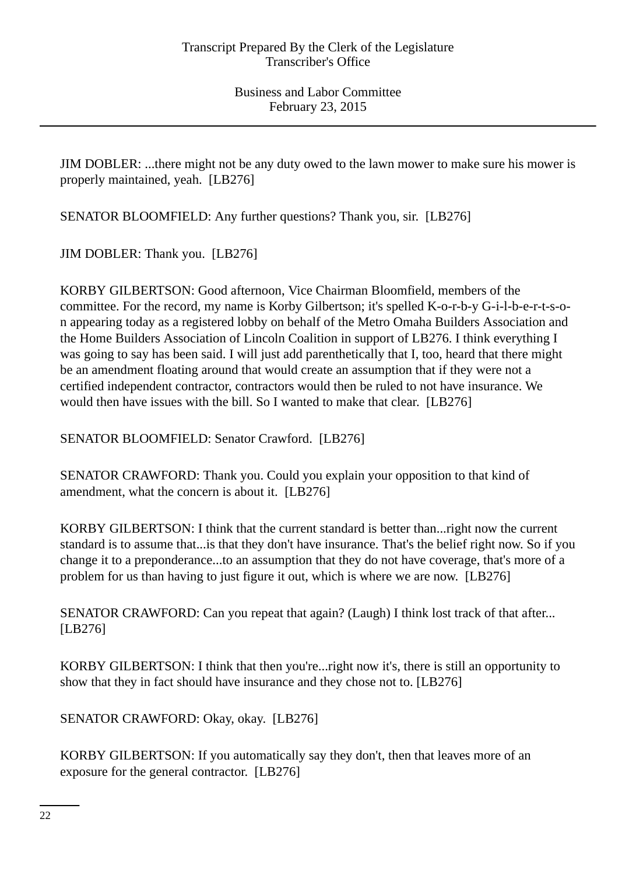JIM DOBLER: ...there might not be any duty owed to the lawn mower to make sure his mower is properly maintained, yeah. [LB276]

SENATOR BLOOMFIELD: Any further questions? Thank you, sir. [LB276]

JIM DOBLER: Thank you. [LB276]

KORBY GILBERTSON: Good afternoon, Vice Chairman Bloomfield, members of the committee. For the record, my name is Korby Gilbertson; it's spelled K-o-r-b-y G-i-l-b-e-r-t-s-on appearing today as a registered lobby on behalf of the Metro Omaha Builders Association and the Home Builders Association of Lincoln Coalition in support of LB276. I think everything I was going to say has been said. I will just add parenthetically that I, too, heard that there might be an amendment floating around that would create an assumption that if they were not a certified independent contractor, contractors would then be ruled to not have insurance. We would then have issues with the bill. So I wanted to make that clear. [LB276]

SENATOR BLOOMFIELD: Senator Crawford. [LB276]

SENATOR CRAWFORD: Thank you. Could you explain your opposition to that kind of amendment, what the concern is about it. [LB276]

KORBY GILBERTSON: I think that the current standard is better than...right now the current standard is to assume that...is that they don't have insurance. That's the belief right now. So if you change it to a preponderance...to an assumption that they do not have coverage, that's more of a problem for us than having to just figure it out, which is where we are now. [LB276]

SENATOR CRAWFORD: Can you repeat that again? (Laugh) I think lost track of that after... [LB276]

KORBY GILBERTSON: I think that then you're...right now it's, there is still an opportunity to show that they in fact should have insurance and they chose not to. [LB276]

SENATOR CRAWFORD: Okay, okay. [LB276]

KORBY GILBERTSON: If you automatically say they don't, then that leaves more of an exposure for the general contractor. [LB276]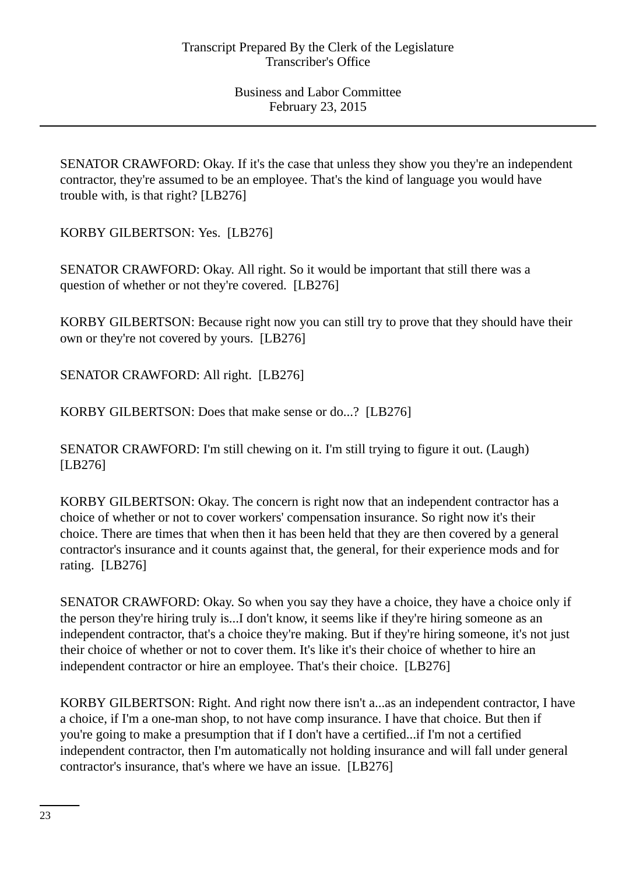SENATOR CRAWFORD: Okay. If it's the case that unless they show you they're an independent contractor, they're assumed to be an employee. That's the kind of language you would have trouble with, is that right? [LB276]

KORBY GILBERTSON: Yes. [LB276]

SENATOR CRAWFORD: Okay. All right. So it would be important that still there was a question of whether or not they're covered. [LB276]

KORBY GILBERTSON: Because right now you can still try to prove that they should have their own or they're not covered by yours. [LB276]

SENATOR CRAWFORD: All right. [LB276]

KORBY GILBERTSON: Does that make sense or do...? [LB276]

SENATOR CRAWFORD: I'm still chewing on it. I'm still trying to figure it out. (Laugh) [LB276]

KORBY GILBERTSON: Okay. The concern is right now that an independent contractor has a choice of whether or not to cover workers' compensation insurance. So right now it's their choice. There are times that when then it has been held that they are then covered by a general contractor's insurance and it counts against that, the general, for their experience mods and for rating. [LB276]

SENATOR CRAWFORD: Okay. So when you say they have a choice, they have a choice only if the person they're hiring truly is...I don't know, it seems like if they're hiring someone as an independent contractor, that's a choice they're making. But if they're hiring someone, it's not just their choice of whether or not to cover them. It's like it's their choice of whether to hire an independent contractor or hire an employee. That's their choice. [LB276]

KORBY GILBERTSON: Right. And right now there isn't a...as an independent contractor, I have a choice, if I'm a one-man shop, to not have comp insurance. I have that choice. But then if you're going to make a presumption that if I don't have a certified...if I'm not a certified independent contractor, then I'm automatically not holding insurance and will fall under general contractor's insurance, that's where we have an issue. [LB276]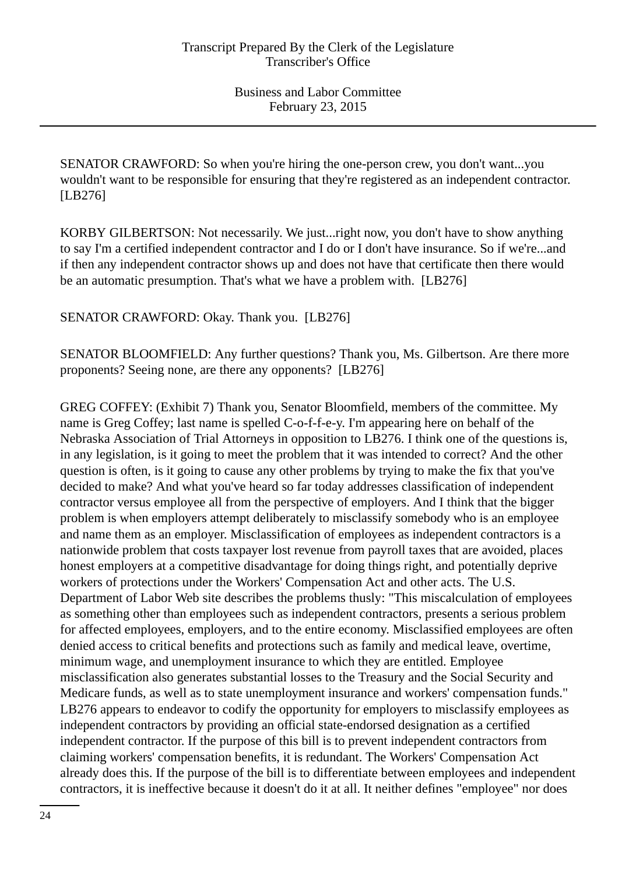SENATOR CRAWFORD: So when you're hiring the one-person crew, you don't want...you wouldn't want to be responsible for ensuring that they're registered as an independent contractor. [LB276]

KORBY GILBERTSON: Not necessarily. We just...right now, you don't have to show anything to say I'm a certified independent contractor and I do or I don't have insurance. So if we're...and if then any independent contractor shows up and does not have that certificate then there would be an automatic presumption. That's what we have a problem with. [LB276]

SENATOR CRAWFORD: Okay. Thank you. [LB276]

SENATOR BLOOMFIELD: Any further questions? Thank you, Ms. Gilbertson. Are there more proponents? Seeing none, are there any opponents? [LB276]

GREG COFFEY: (Exhibit 7) Thank you, Senator Bloomfield, members of the committee. My name is Greg Coffey; last name is spelled C-o-f-f-e-y. I'm appearing here on behalf of the Nebraska Association of Trial Attorneys in opposition to LB276. I think one of the questions is, in any legislation, is it going to meet the problem that it was intended to correct? And the other question is often, is it going to cause any other problems by trying to make the fix that you've decided to make? And what you've heard so far today addresses classification of independent contractor versus employee all from the perspective of employers. And I think that the bigger problem is when employers attempt deliberately to misclassify somebody who is an employee and name them as an employer. Misclassification of employees as independent contractors is a nationwide problem that costs taxpayer lost revenue from payroll taxes that are avoided, places honest employers at a competitive disadvantage for doing things right, and potentially deprive workers of protections under the Workers' Compensation Act and other acts. The U.S. Department of Labor Web site describes the problems thusly: "This miscalculation of employees as something other than employees such as independent contractors, presents a serious problem for affected employees, employers, and to the entire economy. Misclassified employees are often denied access to critical benefits and protections such as family and medical leave, overtime, minimum wage, and unemployment insurance to which they are entitled. Employee misclassification also generates substantial losses to the Treasury and the Social Security and Medicare funds, as well as to state unemployment insurance and workers' compensation funds." LB276 appears to endeavor to codify the opportunity for employers to misclassify employees as independent contractors by providing an official state-endorsed designation as a certified independent contractor. If the purpose of this bill is to prevent independent contractors from claiming workers' compensation benefits, it is redundant. The Workers' Compensation Act already does this. If the purpose of the bill is to differentiate between employees and independent contractors, it is ineffective because it doesn't do it at all. It neither defines "employee" nor does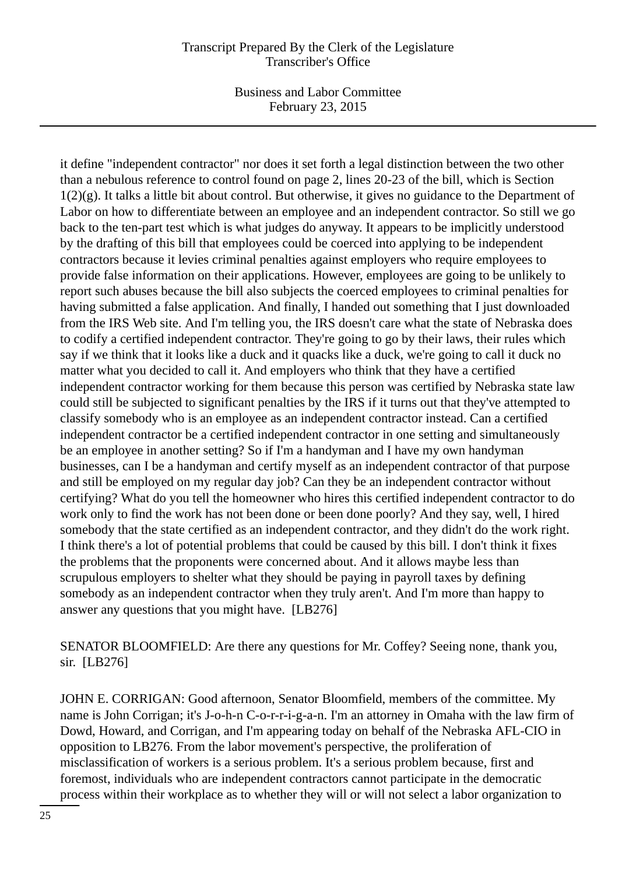### Transcript Prepared By the Clerk of the Legislature Transcriber's Office

Business and Labor Committee February 23, 2015

it define "independent contractor" nor does it set forth a legal distinction between the two other than a nebulous reference to control found on page 2, lines 20-23 of the bill, which is Section  $1(2)(g)$ . It talks a little bit about control. But otherwise, it gives no guidance to the Department of Labor on how to differentiate between an employee and an independent contractor. So still we go back to the ten-part test which is what judges do anyway. It appears to be implicitly understood by the drafting of this bill that employees could be coerced into applying to be independent contractors because it levies criminal penalties against employers who require employees to provide false information on their applications. However, employees are going to be unlikely to report such abuses because the bill also subjects the coerced employees to criminal penalties for having submitted a false application. And finally, I handed out something that I just downloaded from the IRS Web site. And I'm telling you, the IRS doesn't care what the state of Nebraska does to codify a certified independent contractor. They're going to go by their laws, their rules which say if we think that it looks like a duck and it quacks like a duck, we're going to call it duck no matter what you decided to call it. And employers who think that they have a certified independent contractor working for them because this person was certified by Nebraska state law could still be subjected to significant penalties by the IRS if it turns out that they've attempted to classify somebody who is an employee as an independent contractor instead. Can a certified independent contractor be a certified independent contractor in one setting and simultaneously be an employee in another setting? So if I'm a handyman and I have my own handyman businesses, can I be a handyman and certify myself as an independent contractor of that purpose and still be employed on my regular day job? Can they be an independent contractor without certifying? What do you tell the homeowner who hires this certified independent contractor to do work only to find the work has not been done or been done poorly? And they say, well, I hired somebody that the state certified as an independent contractor, and they didn't do the work right. I think there's a lot of potential problems that could be caused by this bill. I don't think it fixes the problems that the proponents were concerned about. And it allows maybe less than scrupulous employers to shelter what they should be paying in payroll taxes by defining somebody as an independent contractor when they truly aren't. And I'm more than happy to answer any questions that you might have. [LB276]

SENATOR BLOOMFIELD: Are there any questions for Mr. Coffey? Seeing none, thank you, sir. [LB276]

JOHN E. CORRIGAN: Good afternoon, Senator Bloomfield, members of the committee. My name is John Corrigan; it's J-o-h-n C-o-r-r-i-g-a-n. I'm an attorney in Omaha with the law firm of Dowd, Howard, and Corrigan, and I'm appearing today on behalf of the Nebraska AFL-CIO in opposition to LB276. From the labor movement's perspective, the proliferation of misclassification of workers is a serious problem. It's a serious problem because, first and foremost, individuals who are independent contractors cannot participate in the democratic process within their workplace as to whether they will or will not select a labor organization to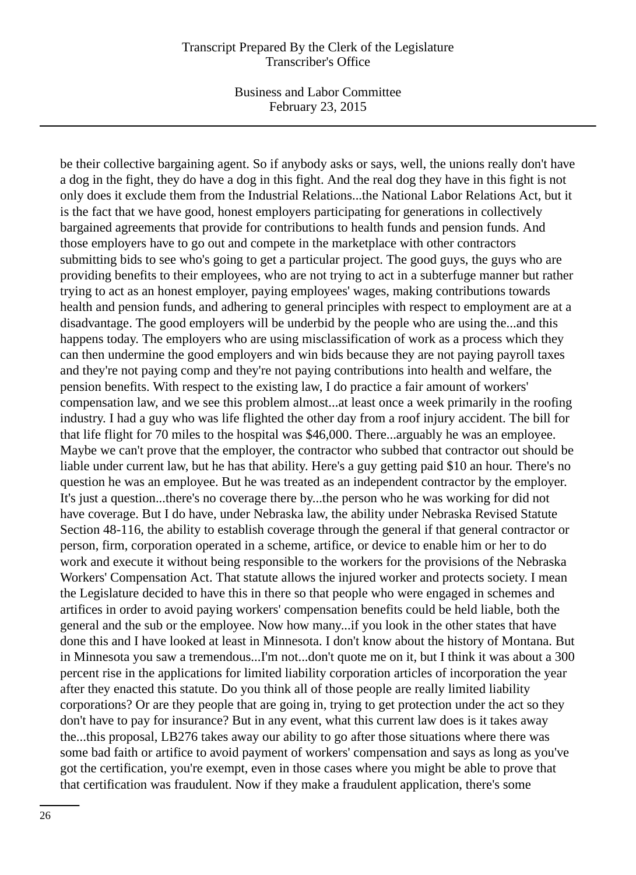#### Transcript Prepared By the Clerk of the Legislature Transcriber's Office

Business and Labor Committee February 23, 2015

be their collective bargaining agent. So if anybody asks or says, well, the unions really don't have a dog in the fight, they do have a dog in this fight. And the real dog they have in this fight is not only does it exclude them from the Industrial Relations...the National Labor Relations Act, but it is the fact that we have good, honest employers participating for generations in collectively bargained agreements that provide for contributions to health funds and pension funds. And those employers have to go out and compete in the marketplace with other contractors submitting bids to see who's going to get a particular project. The good guys, the guys who are providing benefits to their employees, who are not trying to act in a subterfuge manner but rather trying to act as an honest employer, paying employees' wages, making contributions towards health and pension funds, and adhering to general principles with respect to employment are at a disadvantage. The good employers will be underbid by the people who are using the...and this happens today. The employers who are using misclassification of work as a process which they can then undermine the good employers and win bids because they are not paying payroll taxes and they're not paying comp and they're not paying contributions into health and welfare, the pension benefits. With respect to the existing law, I do practice a fair amount of workers' compensation law, and we see this problem almost...at least once a week primarily in the roofing industry. I had a guy who was life flighted the other day from a roof injury accident. The bill for that life flight for 70 miles to the hospital was \$46,000. There...arguably he was an employee. Maybe we can't prove that the employer, the contractor who subbed that contractor out should be liable under current law, but he has that ability. Here's a guy getting paid \$10 an hour. There's no question he was an employee. But he was treated as an independent contractor by the employer. It's just a question...there's no coverage there by...the person who he was working for did not have coverage. But I do have, under Nebraska law, the ability under Nebraska Revised Statute Section 48-116, the ability to establish coverage through the general if that general contractor or person, firm, corporation operated in a scheme, artifice, or device to enable him or her to do work and execute it without being responsible to the workers for the provisions of the Nebraska Workers' Compensation Act. That statute allows the injured worker and protects society. I mean the Legislature decided to have this in there so that people who were engaged in schemes and artifices in order to avoid paying workers' compensation benefits could be held liable, both the general and the sub or the employee. Now how many...if you look in the other states that have done this and I have looked at least in Minnesota. I don't know about the history of Montana. But in Minnesota you saw a tremendous...I'm not...don't quote me on it, but I think it was about a 300 percent rise in the applications for limited liability corporation articles of incorporation the year after they enacted this statute. Do you think all of those people are really limited liability corporations? Or are they people that are going in, trying to get protection under the act so they don't have to pay for insurance? But in any event, what this current law does is it takes away the...this proposal, LB276 takes away our ability to go after those situations where there was some bad faith or artifice to avoid payment of workers' compensation and says as long as you've got the certification, you're exempt, even in those cases where you might be able to prove that that certification was fraudulent. Now if they make a fraudulent application, there's some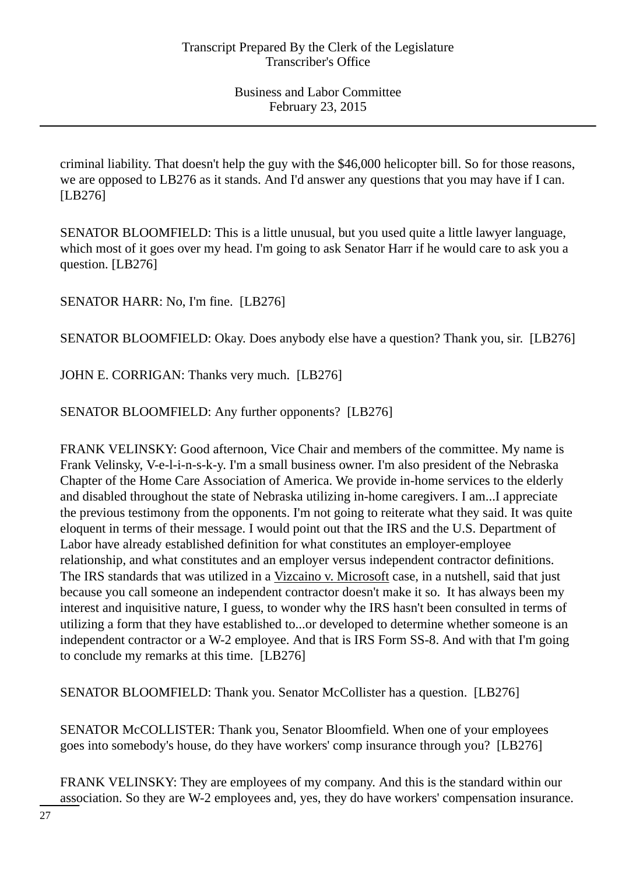criminal liability. That doesn't help the guy with the \$46,000 helicopter bill. So for those reasons, we are opposed to LB276 as it stands. And I'd answer any questions that you may have if I can. [LB276]

SENATOR BLOOMFIELD: This is a little unusual, but you used quite a little lawyer language, which most of it goes over my head. I'm going to ask Senator Harr if he would care to ask you a question. [LB276]

SENATOR HARR: No, I'm fine. [LB276]

SENATOR BLOOMFIELD: Okay. Does anybody else have a question? Thank you, sir. [LB276]

JOHN E. CORRIGAN: Thanks very much. [LB276]

SENATOR BLOOMFIELD: Any further opponents? [LB276]

FRANK VELINSKY: Good afternoon, Vice Chair and members of the committee. My name is Frank Velinsky, V-e-l-i-n-s-k-y. I'm a small business owner. I'm also president of the Nebraska Chapter of the Home Care Association of America. We provide in-home services to the elderly and disabled throughout the state of Nebraska utilizing in-home caregivers. I am...I appreciate the previous testimony from the opponents. I'm not going to reiterate what they said. It was quite eloquent in terms of their message. I would point out that the IRS and the U.S. Department of Labor have already established definition for what constitutes an employer-employee relationship, and what constitutes and an employer versus independent contractor definitions. The IRS standards that was utilized in a Vizcaino v. Microsoft case, in a nutshell, said that just because you call someone an independent contractor doesn't make it so. It has always been my interest and inquisitive nature, I guess, to wonder why the IRS hasn't been consulted in terms of utilizing a form that they have established to...or developed to determine whether someone is an independent contractor or a W-2 employee. And that is IRS Form SS-8. And with that I'm going to conclude my remarks at this time. [LB276]

SENATOR BLOOMFIELD: Thank you. Senator McCollister has a question. [LB276]

SENATOR McCOLLISTER: Thank you, Senator Bloomfield. When one of your employees goes into somebody's house, do they have workers' comp insurance through you? [LB276]

FRANK VELINSKY: They are employees of my company. And this is the standard within our association. So they are W-2 employees and, yes, they do have workers' compensation insurance.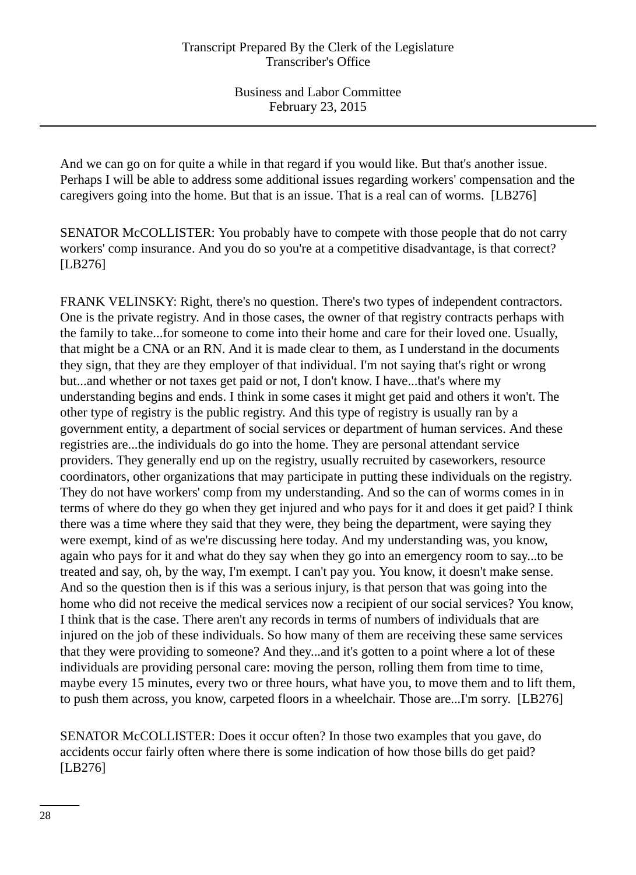And we can go on for quite a while in that regard if you would like. But that's another issue. Perhaps I will be able to address some additional issues regarding workers' compensation and the caregivers going into the home. But that is an issue. That is a real can of worms. [LB276]

SENATOR McCOLLISTER: You probably have to compete with those people that do not carry workers' comp insurance. And you do so you're at a competitive disadvantage, is that correct? [LB276]

FRANK VELINSKY: Right, there's no question. There's two types of independent contractors. One is the private registry. And in those cases, the owner of that registry contracts perhaps with the family to take...for someone to come into their home and care for their loved one. Usually, that might be a CNA or an RN. And it is made clear to them, as I understand in the documents they sign, that they are they employer of that individual. I'm not saying that's right or wrong but...and whether or not taxes get paid or not, I don't know. I have...that's where my understanding begins and ends. I think in some cases it might get paid and others it won't. The other type of registry is the public registry. And this type of registry is usually ran by a government entity, a department of social services or department of human services. And these registries are...the individuals do go into the home. They are personal attendant service providers. They generally end up on the registry, usually recruited by caseworkers, resource coordinators, other organizations that may participate in putting these individuals on the registry. They do not have workers' comp from my understanding. And so the can of worms comes in in terms of where do they go when they get injured and who pays for it and does it get paid? I think there was a time where they said that they were, they being the department, were saying they were exempt, kind of as we're discussing here today. And my understanding was, you know, again who pays for it and what do they say when they go into an emergency room to say...to be treated and say, oh, by the way, I'm exempt. I can't pay you. You know, it doesn't make sense. And so the question then is if this was a serious injury, is that person that was going into the home who did not receive the medical services now a recipient of our social services? You know, I think that is the case. There aren't any records in terms of numbers of individuals that are injured on the job of these individuals. So how many of them are receiving these same services that they were providing to someone? And they...and it's gotten to a point where a lot of these individuals are providing personal care: moving the person, rolling them from time to time, maybe every 15 minutes, every two or three hours, what have you, to move them and to lift them, to push them across, you know, carpeted floors in a wheelchair. Those are...I'm sorry. [LB276]

SENATOR McCOLLISTER: Does it occur often? In those two examples that you gave, do accidents occur fairly often where there is some indication of how those bills do get paid? [LB276]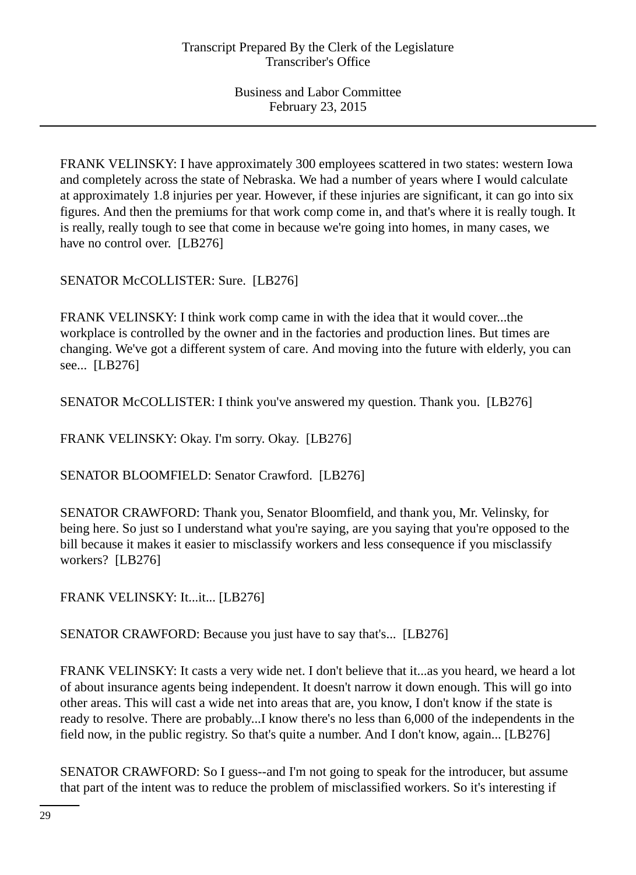FRANK VELINSKY: I have approximately 300 employees scattered in two states: western Iowa and completely across the state of Nebraska. We had a number of years where I would calculate at approximately 1.8 injuries per year. However, if these injuries are significant, it can go into six figures. And then the premiums for that work comp come in, and that's where it is really tough. It is really, really tough to see that come in because we're going into homes, in many cases, we have no control over. [LB276]

SENATOR McCOLLISTER: Sure. [LB276]

FRANK VELINSKY: I think work comp came in with the idea that it would cover...the workplace is controlled by the owner and in the factories and production lines. But times are changing. We've got a different system of care. And moving into the future with elderly, you can see... [LB276]

SENATOR McCOLLISTER: I think you've answered my question. Thank you. [LB276]

FRANK VELINSKY: Okay. I'm sorry. Okay. [LB276]

SENATOR BLOOMFIELD: Senator Crawford. [LB276]

SENATOR CRAWFORD: Thank you, Senator Bloomfield, and thank you, Mr. Velinsky, for being here. So just so I understand what you're saying, are you saying that you're opposed to the bill because it makes it easier to misclassify workers and less consequence if you misclassify workers? [LB276]

FRANK VELINSKY: It...it... [LB276]

SENATOR CRAWFORD: Because you just have to say that's... [LB276]

FRANK VELINSKY: It casts a very wide net. I don't believe that it...as you heard, we heard a lot of about insurance agents being independent. It doesn't narrow it down enough. This will go into other areas. This will cast a wide net into areas that are, you know, I don't know if the state is ready to resolve. There are probably...I know there's no less than 6,000 of the independents in the field now, in the public registry. So that's quite a number. And I don't know, again... [LB276]

SENATOR CRAWFORD: So I guess--and I'm not going to speak for the introducer, but assume that part of the intent was to reduce the problem of misclassified workers. So it's interesting if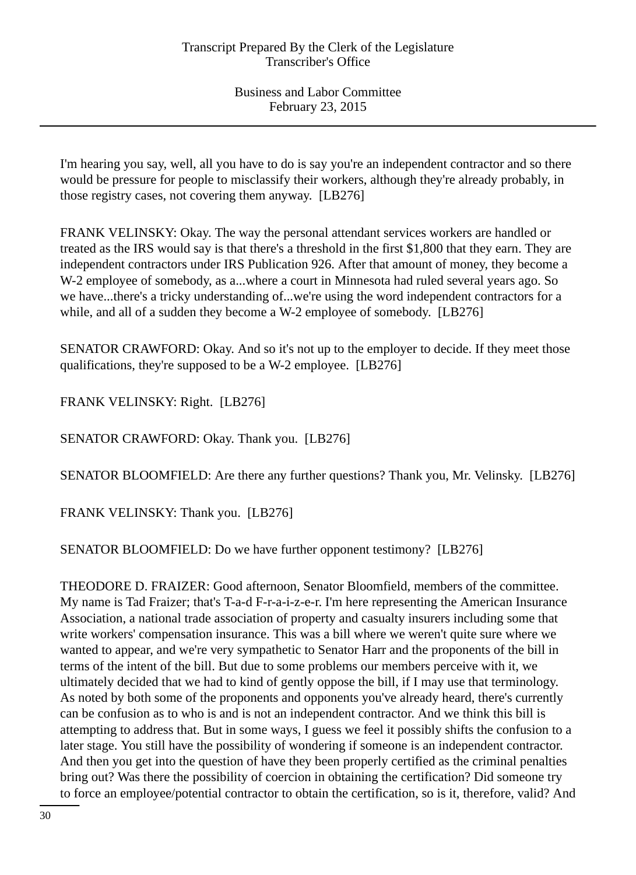I'm hearing you say, well, all you have to do is say you're an independent contractor and so there would be pressure for people to misclassify their workers, although they're already probably, in those registry cases, not covering them anyway. [LB276]

FRANK VELINSKY: Okay. The way the personal attendant services workers are handled or treated as the IRS would say is that there's a threshold in the first \$1,800 that they earn. They are independent contractors under IRS Publication 926. After that amount of money, they become a W-2 employee of somebody, as a...where a court in Minnesota had ruled several years ago. So we have...there's a tricky understanding of...we're using the word independent contractors for a while, and all of a sudden they become a W-2 employee of somebody. [LB276]

SENATOR CRAWFORD: Okay. And so it's not up to the employer to decide. If they meet those qualifications, they're supposed to be a W-2 employee. [LB276]

FRANK VELINSKY: Right. [LB276]

SENATOR CRAWFORD: Okay. Thank you. [LB276]

SENATOR BLOOMFIELD: Are there any further questions? Thank you, Mr. Velinsky. [LB276]

FRANK VELINSKY: Thank you. [LB276]

SENATOR BLOOMFIELD: Do we have further opponent testimony? [LB276]

THEODORE D. FRAIZER: Good afternoon, Senator Bloomfield, members of the committee. My name is Tad Fraizer; that's T-a-d F-r-a-i-z-e-r. I'm here representing the American Insurance Association, a national trade association of property and casualty insurers including some that write workers' compensation insurance. This was a bill where we weren't quite sure where we wanted to appear, and we're very sympathetic to Senator Harr and the proponents of the bill in terms of the intent of the bill. But due to some problems our members perceive with it, we ultimately decided that we had to kind of gently oppose the bill, if I may use that terminology. As noted by both some of the proponents and opponents you've already heard, there's currently can be confusion as to who is and is not an independent contractor. And we think this bill is attempting to address that. But in some ways, I guess we feel it possibly shifts the confusion to a later stage. You still have the possibility of wondering if someone is an independent contractor. And then you get into the question of have they been properly certified as the criminal penalties bring out? Was there the possibility of coercion in obtaining the certification? Did someone try to force an employee/potential contractor to obtain the certification, so is it, therefore, valid? And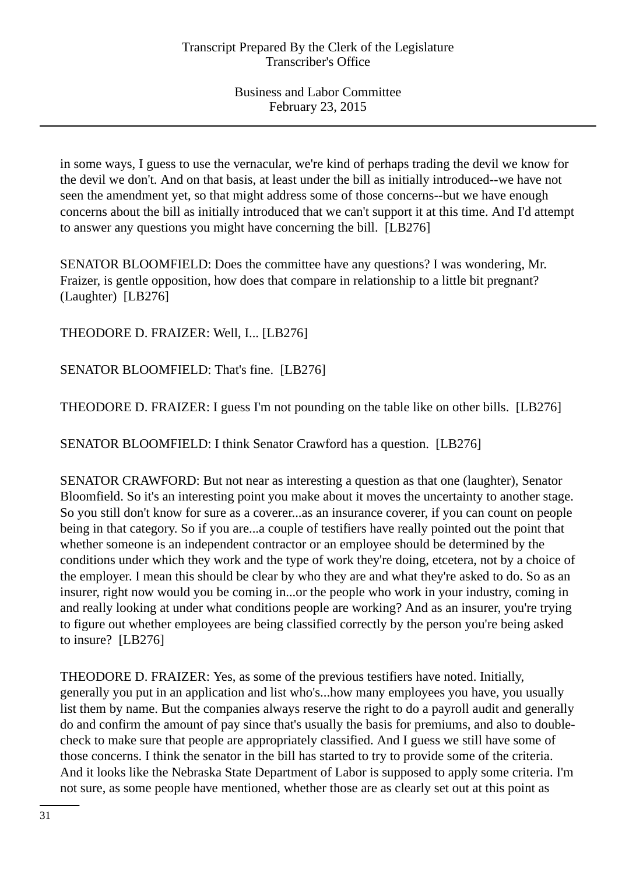in some ways, I guess to use the vernacular, we're kind of perhaps trading the devil we know for the devil we don't. And on that basis, at least under the bill as initially introduced--we have not seen the amendment yet, so that might address some of those concerns--but we have enough concerns about the bill as initially introduced that we can't support it at this time. And I'd attempt to answer any questions you might have concerning the bill. [LB276]

SENATOR BLOOMFIELD: Does the committee have any questions? I was wondering, Mr. Fraizer, is gentle opposition, how does that compare in relationship to a little bit pregnant? (Laughter) [LB276]

THEODORE D. FRAIZER: Well, I... [LB276]

SENATOR BLOOMFIELD: That's fine. [LB276]

THEODORE D. FRAIZER: I guess I'm not pounding on the table like on other bills. [LB276]

SENATOR BLOOMFIELD: I think Senator Crawford has a question. [LB276]

SENATOR CRAWFORD: But not near as interesting a question as that one (laughter), Senator Bloomfield. So it's an interesting point you make about it moves the uncertainty to another stage. So you still don't know for sure as a coverer...as an insurance coverer, if you can count on people being in that category. So if you are...a couple of testifiers have really pointed out the point that whether someone is an independent contractor or an employee should be determined by the conditions under which they work and the type of work they're doing, etcetera, not by a choice of the employer. I mean this should be clear by who they are and what they're asked to do. So as an insurer, right now would you be coming in...or the people who work in your industry, coming in and really looking at under what conditions people are working? And as an insurer, you're trying to figure out whether employees are being classified correctly by the person you're being asked to insure? [LB276]

THEODORE D. FRAIZER: Yes, as some of the previous testifiers have noted. Initially, generally you put in an application and list who's...how many employees you have, you usually list them by name. But the companies always reserve the right to do a payroll audit and generally do and confirm the amount of pay since that's usually the basis for premiums, and also to doublecheck to make sure that people are appropriately classified. And I guess we still have some of those concerns. I think the senator in the bill has started to try to provide some of the criteria. And it looks like the Nebraska State Department of Labor is supposed to apply some criteria. I'm not sure, as some people have mentioned, whether those are as clearly set out at this point as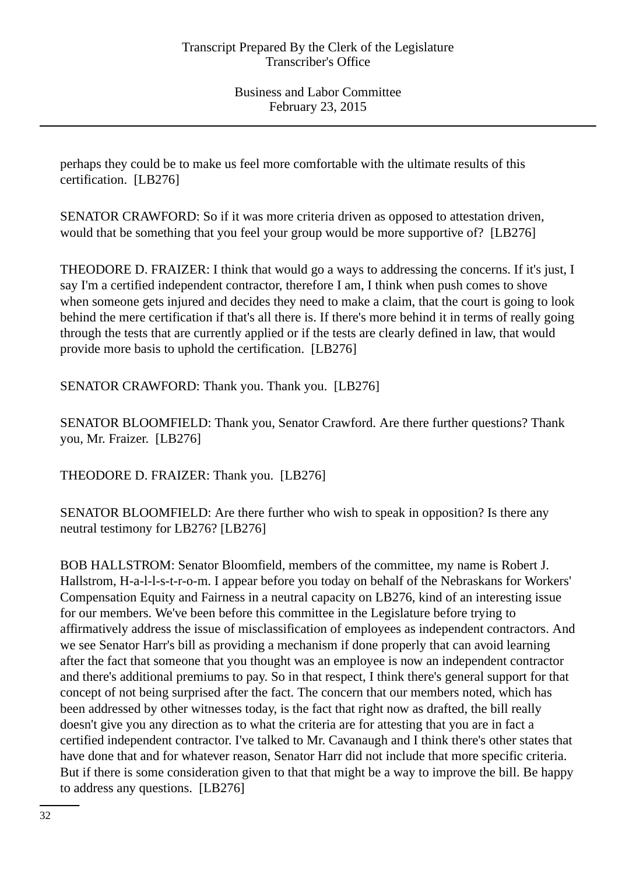perhaps they could be to make us feel more comfortable with the ultimate results of this certification. [LB276]

SENATOR CRAWFORD: So if it was more criteria driven as opposed to attestation driven, would that be something that you feel your group would be more supportive of? [LB276]

THEODORE D. FRAIZER: I think that would go a ways to addressing the concerns. If it's just, I say I'm a certified independent contractor, therefore I am, I think when push comes to shove when someone gets injured and decides they need to make a claim, that the court is going to look behind the mere certification if that's all there is. If there's more behind it in terms of really going through the tests that are currently applied or if the tests are clearly defined in law, that would provide more basis to uphold the certification. [LB276]

SENATOR CRAWFORD: Thank you. Thank you. [LB276]

SENATOR BLOOMFIELD: Thank you, Senator Crawford. Are there further questions? Thank you, Mr. Fraizer. [LB276]

THEODORE D. FRAIZER: Thank you. [LB276]

SENATOR BLOOMFIELD: Are there further who wish to speak in opposition? Is there any neutral testimony for LB276? [LB276]

BOB HALLSTROM: Senator Bloomfield, members of the committee, my name is Robert J. Hallstrom, H-a-l-l-s-t-r-o-m. I appear before you today on behalf of the Nebraskans for Workers' Compensation Equity and Fairness in a neutral capacity on LB276, kind of an interesting issue for our members. We've been before this committee in the Legislature before trying to affirmatively address the issue of misclassification of employees as independent contractors. And we see Senator Harr's bill as providing a mechanism if done properly that can avoid learning after the fact that someone that you thought was an employee is now an independent contractor and there's additional premiums to pay. So in that respect, I think there's general support for that concept of not being surprised after the fact. The concern that our members noted, which has been addressed by other witnesses today, is the fact that right now as drafted, the bill really doesn't give you any direction as to what the criteria are for attesting that you are in fact a certified independent contractor. I've talked to Mr. Cavanaugh and I think there's other states that have done that and for whatever reason, Senator Harr did not include that more specific criteria. But if there is some consideration given to that that might be a way to improve the bill. Be happy to address any questions. [LB276]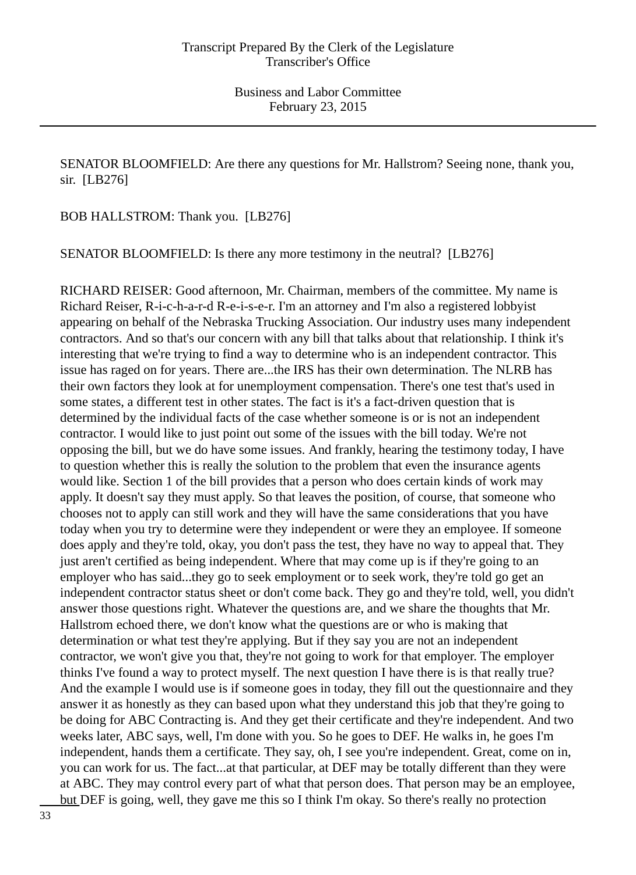SENATOR BLOOMFIELD: Are there any questions for Mr. Hallstrom? Seeing none, thank you, sir. [LB276]

BOB HALLSTROM: Thank you. [LB276]

SENATOR BLOOMFIELD: Is there any more testimony in the neutral? [LB276]

RICHARD REISER: Good afternoon, Mr. Chairman, members of the committee. My name is Richard Reiser, R-i-c-h-a-r-d R-e-i-s-e-r. I'm an attorney and I'm also a registered lobbyist appearing on behalf of the Nebraska Trucking Association. Our industry uses many independent contractors. And so that's our concern with any bill that talks about that relationship. I think it's interesting that we're trying to find a way to determine who is an independent contractor. This issue has raged on for years. There are...the IRS has their own determination. The NLRB has their own factors they look at for unemployment compensation. There's one test that's used in some states, a different test in other states. The fact is it's a fact-driven question that is determined by the individual facts of the case whether someone is or is not an independent contractor. I would like to just point out some of the issues with the bill today. We're not opposing the bill, but we do have some issues. And frankly, hearing the testimony today, I have to question whether this is really the solution to the problem that even the insurance agents would like. Section 1 of the bill provides that a person who does certain kinds of work may apply. It doesn't say they must apply. So that leaves the position, of course, that someone who chooses not to apply can still work and they will have the same considerations that you have today when you try to determine were they independent or were they an employee. If someone does apply and they're told, okay, you don't pass the test, they have no way to appeal that. They just aren't certified as being independent. Where that may come up is if they're going to an employer who has said...they go to seek employment or to seek work, they're told go get an independent contractor status sheet or don't come back. They go and they're told, well, you didn't answer those questions right. Whatever the questions are, and we share the thoughts that Mr. Hallstrom echoed there, we don't know what the questions are or who is making that determination or what test they're applying. But if they say you are not an independent contractor, we won't give you that, they're not going to work for that employer. The employer thinks I've found a way to protect myself. The next question I have there is is that really true? And the example I would use is if someone goes in today, they fill out the questionnaire and they answer it as honestly as they can based upon what they understand this job that they're going to be doing for ABC Contracting is. And they get their certificate and they're independent. And two weeks later, ABC says, well, I'm done with you. So he goes to DEF. He walks in, he goes I'm independent, hands them a certificate. They say, oh, I see you're independent. Great, come on in, you can work for us. The fact...at that particular, at DEF may be totally different than they were at ABC. They may control every part of what that person does. That person may be an employee, but DEF is going, well, they gave me this so I think I'm okay. So there's really no protection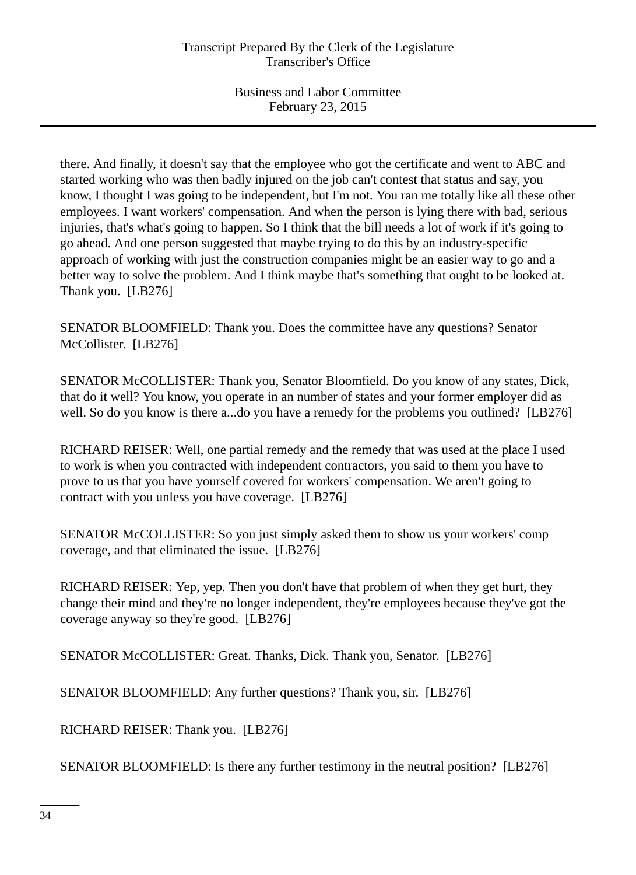there. And finally, it doesn't say that the employee who got the certificate and went to ABC and started working who was then badly injured on the job can't contest that status and say, you know, I thought I was going to be independent, but I'm not. You ran me totally like all these other employees. I want workers' compensation. And when the person is lying there with bad, serious injuries, that's what's going to happen. So I think that the bill needs a lot of work if it's going to go ahead. And one person suggested that maybe trying to do this by an industry-specific approach of working with just the construction companies might be an easier way to go and a better way to solve the problem. And I think maybe that's something that ought to be looked at. Thank you. [LB276]

SENATOR BLOOMFIELD: Thank you. Does the committee have any questions? Senator McCollister. [LB276]

SENATOR McCOLLISTER: Thank you, Senator Bloomfield. Do you know of any states, Dick, that do it well? You know, you operate in an number of states and your former employer did as well. So do you know is there a...do you have a remedy for the problems you outlined? [LB276]

RICHARD REISER: Well, one partial remedy and the remedy that was used at the place I used to work is when you contracted with independent contractors, you said to them you have to prove to us that you have yourself covered for workers' compensation. We aren't going to contract with you unless you have coverage. [LB276]

SENATOR McCOLLISTER: So you just simply asked them to show us your workers' comp coverage, and that eliminated the issue. [LB276]

RICHARD REISER: Yep, yep. Then you don't have that problem of when they get hurt, they change their mind and they're no longer independent, they're employees because they've got the coverage anyway so they're good. [LB276]

SENATOR McCOLLISTER: Great. Thanks, Dick. Thank you, Senator. [LB276]

SENATOR BLOOMFIELD: Any further questions? Thank you, sir. [LB276]

RICHARD REISER: Thank you. [LB276]

SENATOR BLOOMFIELD: Is there any further testimony in the neutral position? [LB276]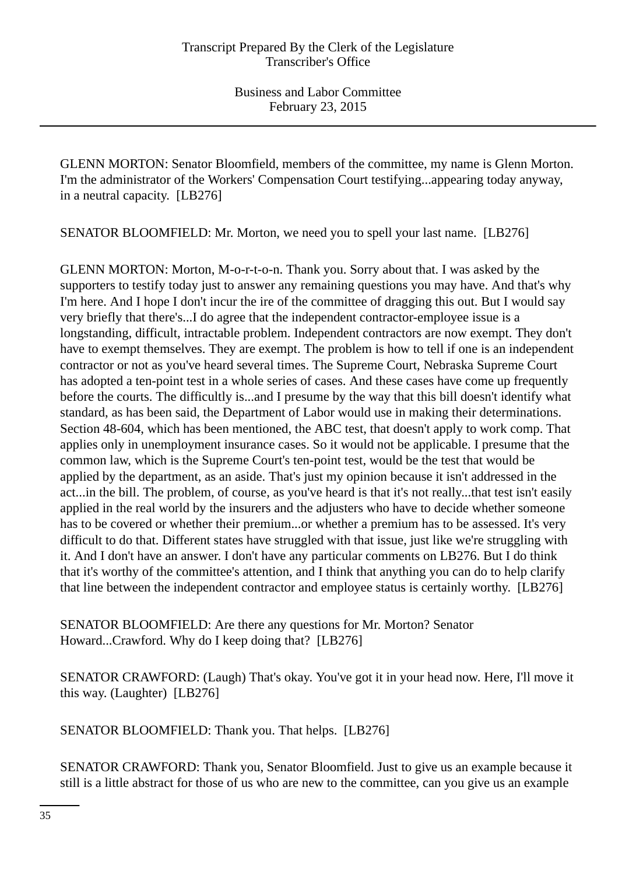GLENN MORTON: Senator Bloomfield, members of the committee, my name is Glenn Morton. I'm the administrator of the Workers' Compensation Court testifying...appearing today anyway, in a neutral capacity. [LB276]

SENATOR BLOOMFIELD: Mr. Morton, we need you to spell your last name. [LB276]

GLENN MORTON: Morton, M-o-r-t-o-n. Thank you. Sorry about that. I was asked by the supporters to testify today just to answer any remaining questions you may have. And that's why I'm here. And I hope I don't incur the ire of the committee of dragging this out. But I would say very briefly that there's...I do agree that the independent contractor-employee issue is a longstanding, difficult, intractable problem. Independent contractors are now exempt. They don't have to exempt themselves. They are exempt. The problem is how to tell if one is an independent contractor or not as you've heard several times. The Supreme Court, Nebraska Supreme Court has adopted a ten-point test in a whole series of cases. And these cases have come up frequently before the courts. The difficultly is...and I presume by the way that this bill doesn't identify what standard, as has been said, the Department of Labor would use in making their determinations. Section 48-604, which has been mentioned, the ABC test, that doesn't apply to work comp. That applies only in unemployment insurance cases. So it would not be applicable. I presume that the common law, which is the Supreme Court's ten-point test, would be the test that would be applied by the department, as an aside. That's just my opinion because it isn't addressed in the act...in the bill. The problem, of course, as you've heard is that it's not really...that test isn't easily applied in the real world by the insurers and the adjusters who have to decide whether someone has to be covered or whether their premium...or whether a premium has to be assessed. It's very difficult to do that. Different states have struggled with that issue, just like we're struggling with it. And I don't have an answer. I don't have any particular comments on LB276. But I do think that it's worthy of the committee's attention, and I think that anything you can do to help clarify that line between the independent contractor and employee status is certainly worthy. [LB276]

SENATOR BLOOMFIELD: Are there any questions for Mr. Morton? Senator Howard...Crawford. Why do I keep doing that? [LB276]

SENATOR CRAWFORD: (Laugh) That's okay. You've got it in your head now. Here, I'll move it this way. (Laughter) [LB276]

SENATOR BLOOMFIELD: Thank you. That helps. [LB276]

SENATOR CRAWFORD: Thank you, Senator Bloomfield. Just to give us an example because it still is a little abstract for those of us who are new to the committee, can you give us an example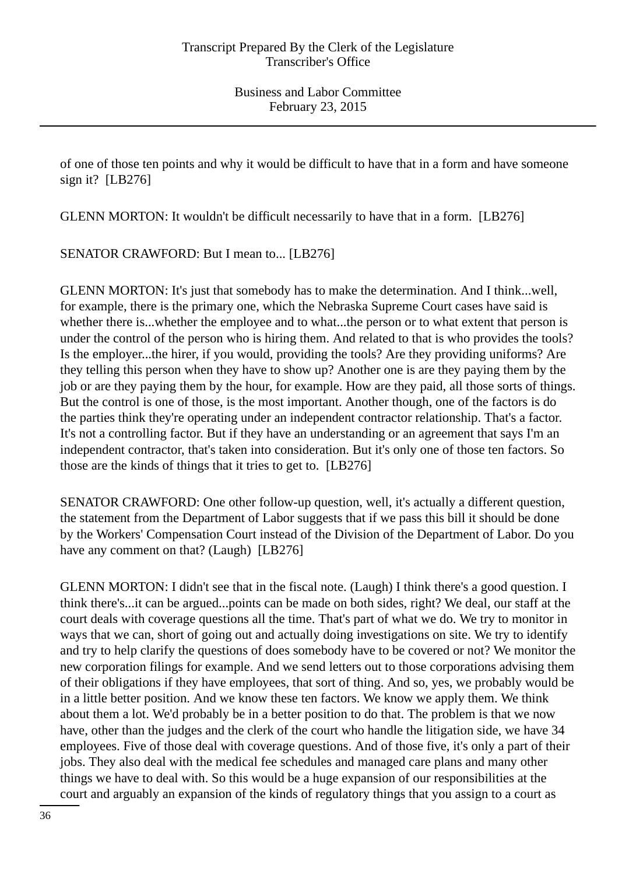of one of those ten points and why it would be difficult to have that in a form and have someone sign it?  $[LB276]$ 

GLENN MORTON: It wouldn't be difficult necessarily to have that in a form. [LB276]

SENATOR CRAWFORD: But I mean to... [LB276]

GLENN MORTON: It's just that somebody has to make the determination. And I think...well, for example, there is the primary one, which the Nebraska Supreme Court cases have said is whether there is...whether the employee and to what...the person or to what extent that person is under the control of the person who is hiring them. And related to that is who provides the tools? Is the employer...the hirer, if you would, providing the tools? Are they providing uniforms? Are they telling this person when they have to show up? Another one is are they paying them by the job or are they paying them by the hour, for example. How are they paid, all those sorts of things. But the control is one of those, is the most important. Another though, one of the factors is do the parties think they're operating under an independent contractor relationship. That's a factor. It's not a controlling factor. But if they have an understanding or an agreement that says I'm an independent contractor, that's taken into consideration. But it's only one of those ten factors. So those are the kinds of things that it tries to get to. [LB276]

SENATOR CRAWFORD: One other follow-up question, well, it's actually a different question, the statement from the Department of Labor suggests that if we pass this bill it should be done by the Workers' Compensation Court instead of the Division of the Department of Labor. Do you have any comment on that? (Laugh) [LB276]

GLENN MORTON: I didn't see that in the fiscal note. (Laugh) I think there's a good question. I think there's...it can be argued...points can be made on both sides, right? We deal, our staff at the court deals with coverage questions all the time. That's part of what we do. We try to monitor in ways that we can, short of going out and actually doing investigations on site. We try to identify and try to help clarify the questions of does somebody have to be covered or not? We monitor the new corporation filings for example. And we send letters out to those corporations advising them of their obligations if they have employees, that sort of thing. And so, yes, we probably would be in a little better position. And we know these ten factors. We know we apply them. We think about them a lot. We'd probably be in a better position to do that. The problem is that we now have, other than the judges and the clerk of the court who handle the litigation side, we have 34 employees. Five of those deal with coverage questions. And of those five, it's only a part of their jobs. They also deal with the medical fee schedules and managed care plans and many other things we have to deal with. So this would be a huge expansion of our responsibilities at the court and arguably an expansion of the kinds of regulatory things that you assign to a court as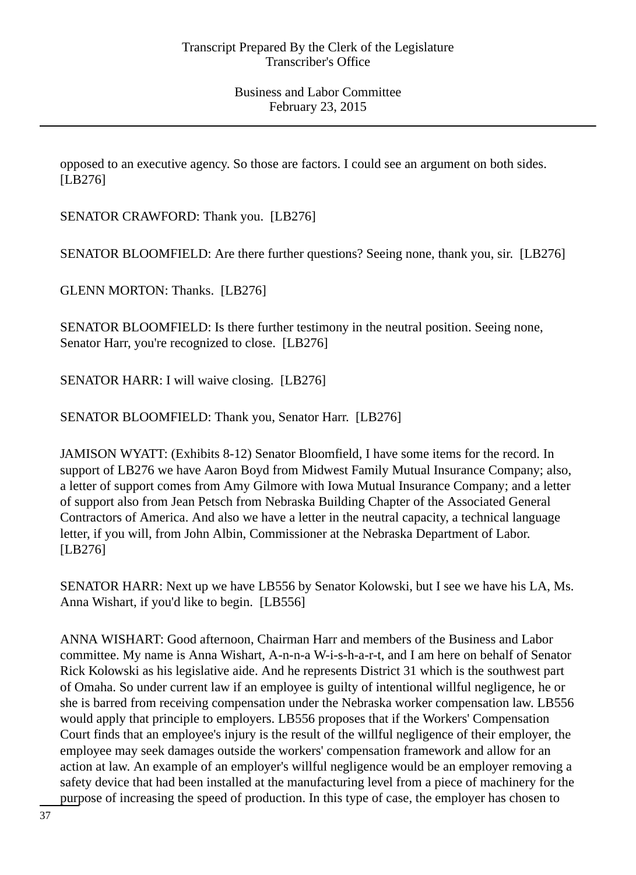opposed to an executive agency. So those are factors. I could see an argument on both sides. [LB276]

SENATOR CRAWFORD: Thank you. [LB276]

SENATOR BLOOMFIELD: Are there further questions? Seeing none, thank you, sir. [LB276]

GLENN MORTON: Thanks. [LB276]

SENATOR BLOOMFIELD: Is there further testimony in the neutral position. Seeing none, Senator Harr, you're recognized to close. [LB276]

SENATOR HARR: I will waive closing. [LB276]

SENATOR BLOOMFIELD: Thank you, Senator Harr. [LB276]

JAMISON WYATT: (Exhibits 8-12) Senator Bloomfield, I have some items for the record. In support of LB276 we have Aaron Boyd from Midwest Family Mutual Insurance Company; also, a letter of support comes from Amy Gilmore with Iowa Mutual Insurance Company; and a letter of support also from Jean Petsch from Nebraska Building Chapter of the Associated General Contractors of America. And also we have a letter in the neutral capacity, a technical language letter, if you will, from John Albin, Commissioner at the Nebraska Department of Labor. [LB276]

SENATOR HARR: Next up we have LB556 by Senator Kolowski, but I see we have his LA, Ms. Anna Wishart, if you'd like to begin. [LB556]

ANNA WISHART: Good afternoon, Chairman Harr and members of the Business and Labor committee. My name is Anna Wishart, A-n-n-a W-i-s-h-a-r-t, and I am here on behalf of Senator Rick Kolowski as his legislative aide. And he represents District 31 which is the southwest part of Omaha. So under current law if an employee is guilty of intentional willful negligence, he or she is barred from receiving compensation under the Nebraska worker compensation law. LB556 would apply that principle to employers. LB556 proposes that if the Workers' Compensation Court finds that an employee's injury is the result of the willful negligence of their employer, the employee may seek damages outside the workers' compensation framework and allow for an action at law. An example of an employer's willful negligence would be an employer removing a safety device that had been installed at the manufacturing level from a piece of machinery for the purpose of increasing the speed of production. In this type of case, the employer has chosen to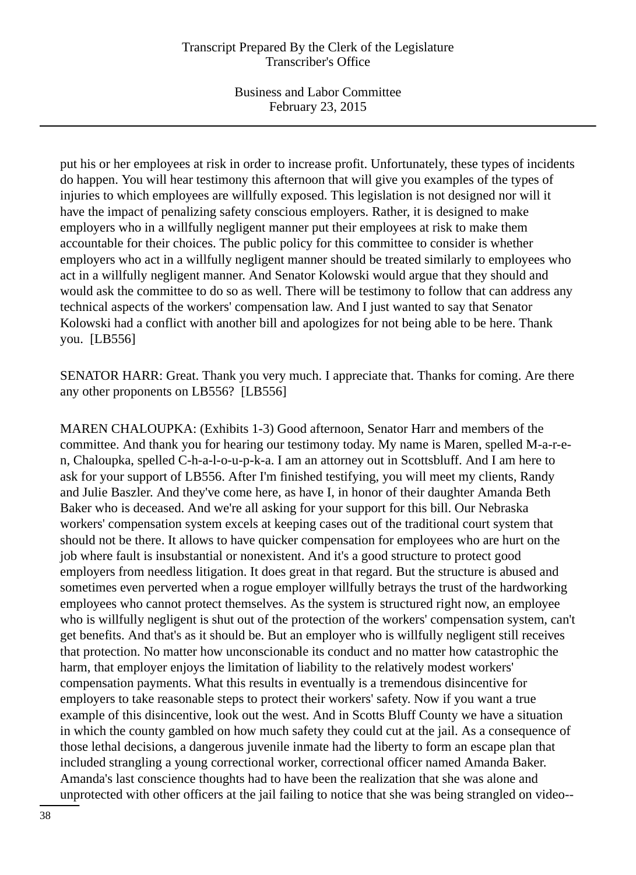Business and Labor Committee February 23, 2015

put his or her employees at risk in order to increase profit. Unfortunately, these types of incidents do happen. You will hear testimony this afternoon that will give you examples of the types of injuries to which employees are willfully exposed. This legislation is not designed nor will it have the impact of penalizing safety conscious employers. Rather, it is designed to make employers who in a willfully negligent manner put their employees at risk to make them accountable for their choices. The public policy for this committee to consider is whether employers who act in a willfully negligent manner should be treated similarly to employees who act in a willfully negligent manner. And Senator Kolowski would argue that they should and would ask the committee to do so as well. There will be testimony to follow that can address any technical aspects of the workers' compensation law. And I just wanted to say that Senator Kolowski had a conflict with another bill and apologizes for not being able to be here. Thank you. [LB556]

SENATOR HARR: Great. Thank you very much. I appreciate that. Thanks for coming. Are there any other proponents on LB556? [LB556]

MAREN CHALOUPKA: (Exhibits 1-3) Good afternoon, Senator Harr and members of the committee. And thank you for hearing our testimony today. My name is Maren, spelled M-a-r-en, Chaloupka, spelled C-h-a-l-o-u-p-k-a. I am an attorney out in Scottsbluff. And I am here to ask for your support of LB556. After I'm finished testifying, you will meet my clients, Randy and Julie Baszler. And they've come here, as have I, in honor of their daughter Amanda Beth Baker who is deceased. And we're all asking for your support for this bill. Our Nebraska workers' compensation system excels at keeping cases out of the traditional court system that should not be there. It allows to have quicker compensation for employees who are hurt on the job where fault is insubstantial or nonexistent. And it's a good structure to protect good employers from needless litigation. It does great in that regard. But the structure is abused and sometimes even perverted when a rogue employer willfully betrays the trust of the hardworking employees who cannot protect themselves. As the system is structured right now, an employee who is willfully negligent is shut out of the protection of the workers' compensation system, can't get benefits. And that's as it should be. But an employer who is willfully negligent still receives that protection. No matter how unconscionable its conduct and no matter how catastrophic the harm, that employer enjoys the limitation of liability to the relatively modest workers' compensation payments. What this results in eventually is a tremendous disincentive for employers to take reasonable steps to protect their workers' safety. Now if you want a true example of this disincentive, look out the west. And in Scotts Bluff County we have a situation in which the county gambled on how much safety they could cut at the jail. As a consequence of those lethal decisions, a dangerous juvenile inmate had the liberty to form an escape plan that included strangling a young correctional worker, correctional officer named Amanda Baker. Amanda's last conscience thoughts had to have been the realization that she was alone and unprotected with other officers at the jail failing to notice that she was being strangled on video--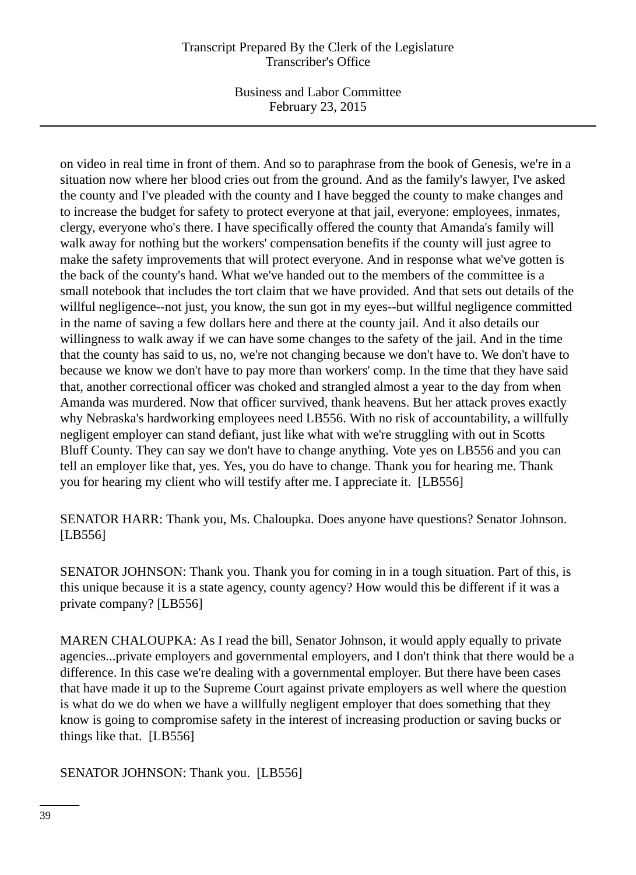Business and Labor Committee February 23, 2015

on video in real time in front of them. And so to paraphrase from the book of Genesis, we're in a situation now where her blood cries out from the ground. And as the family's lawyer, I've asked the county and I've pleaded with the county and I have begged the county to make changes and to increase the budget for safety to protect everyone at that jail, everyone: employees, inmates, clergy, everyone who's there. I have specifically offered the county that Amanda's family will walk away for nothing but the workers' compensation benefits if the county will just agree to make the safety improvements that will protect everyone. And in response what we've gotten is the back of the county's hand. What we've handed out to the members of the committee is a small notebook that includes the tort claim that we have provided. And that sets out details of the willful negligence--not just, you know, the sun got in my eyes--but willful negligence committed in the name of saving a few dollars here and there at the county jail. And it also details our willingness to walk away if we can have some changes to the safety of the jail. And in the time that the county has said to us, no, we're not changing because we don't have to. We don't have to because we know we don't have to pay more than workers' comp. In the time that they have said that, another correctional officer was choked and strangled almost a year to the day from when Amanda was murdered. Now that officer survived, thank heavens. But her attack proves exactly why Nebraska's hardworking employees need LB556. With no risk of accountability, a willfully negligent employer can stand defiant, just like what with we're struggling with out in Scotts Bluff County. They can say we don't have to change anything. Vote yes on LB556 and you can tell an employer like that, yes. Yes, you do have to change. Thank you for hearing me. Thank you for hearing my client who will testify after me. I appreciate it. [LB556]

SENATOR HARR: Thank you, Ms. Chaloupka. Does anyone have questions? Senator Johnson. [LB556]

SENATOR JOHNSON: Thank you. Thank you for coming in in a tough situation. Part of this, is this unique because it is a state agency, county agency? How would this be different if it was a private company? [LB556]

MAREN CHALOUPKA: As I read the bill, Senator Johnson, it would apply equally to private agencies...private employers and governmental employers, and I don't think that there would be a difference. In this case we're dealing with a governmental employer. But there have been cases that have made it up to the Supreme Court against private employers as well where the question is what do we do when we have a willfully negligent employer that does something that they know is going to compromise safety in the interest of increasing production or saving bucks or things like that. [LB556]

SENATOR JOHNSON: Thank you. [LB556]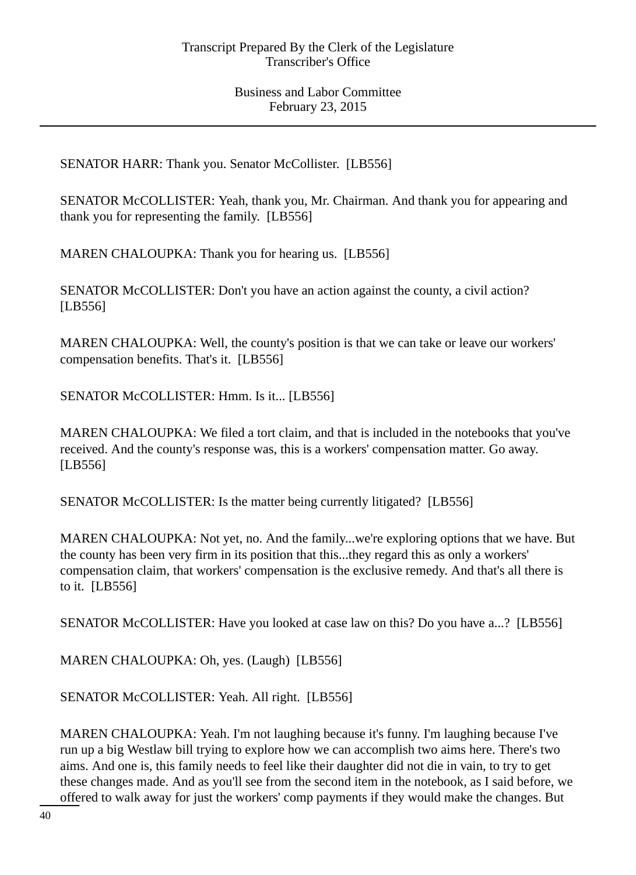SENATOR HARR: Thank you. Senator McCollister. [LB556]

SENATOR McCOLLISTER: Yeah, thank you, Mr. Chairman. And thank you for appearing and thank you for representing the family. [LB556]

MAREN CHALOUPKA: Thank you for hearing us. [LB556]

SENATOR McCOLLISTER: Don't you have an action against the county, a civil action? [LB556]

MAREN CHALOUPKA: Well, the county's position is that we can take or leave our workers' compensation benefits. That's it. [LB556]

SENATOR McCOLLISTER: Hmm. Is it... [LB556]

MAREN CHALOUPKA: We filed a tort claim, and that is included in the notebooks that you've received. And the county's response was, this is a workers' compensation matter. Go away. [LB556]

SENATOR McCOLLISTER: Is the matter being currently litigated? [LB556]

MAREN CHALOUPKA: Not yet, no. And the family...we're exploring options that we have. But the county has been very firm in its position that this...they regard this as only a workers' compensation claim, that workers' compensation is the exclusive remedy. And that's all there is to it. [LB556]

SENATOR McCOLLISTER: Have you looked at case law on this? Do you have a...? [LB556]

MAREN CHALOUPKA: Oh, yes. (Laugh) [LB556]

SENATOR McCOLLISTER: Yeah. All right. [LB556]

MAREN CHALOUPKA: Yeah. I'm not laughing because it's funny. I'm laughing because I've run up a big Westlaw bill trying to explore how we can accomplish two aims here. There's two aims. And one is, this family needs to feel like their daughter did not die in vain, to try to get these changes made. And as you'll see from the second item in the notebook, as I said before, we offered to walk away for just the workers' comp payments if they would make the changes. But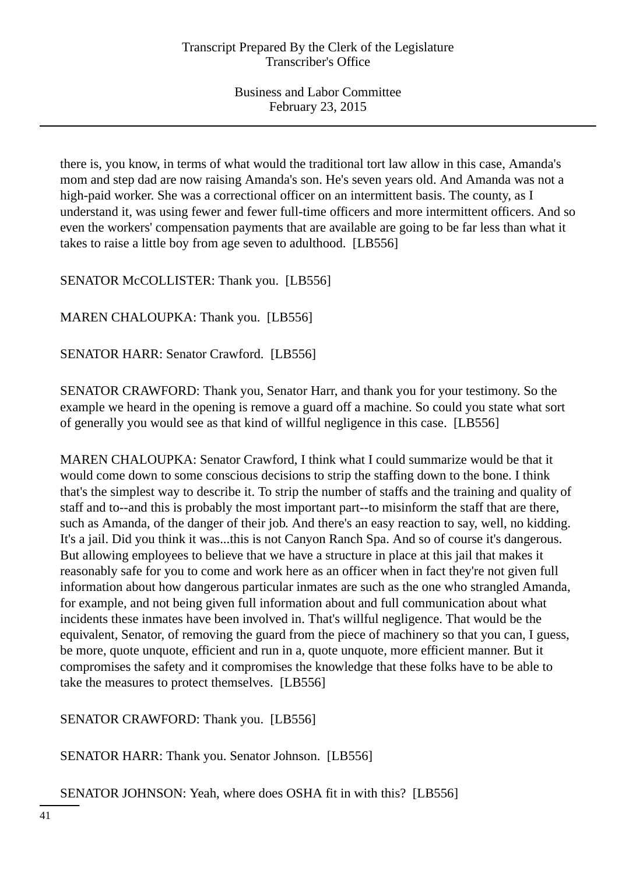there is, you know, in terms of what would the traditional tort law allow in this case, Amanda's mom and step dad are now raising Amanda's son. He's seven years old. And Amanda was not a high-paid worker. She was a correctional officer on an intermittent basis. The county, as I understand it, was using fewer and fewer full-time officers and more intermittent officers. And so even the workers' compensation payments that are available are going to be far less than what it takes to raise a little boy from age seven to adulthood. [LB556]

SENATOR McCOLLISTER: Thank you. [LB556]

MAREN CHALOUPKA: Thank you. [LB556]

SENATOR HARR: Senator Crawford. [LB556]

SENATOR CRAWFORD: Thank you, Senator Harr, and thank you for your testimony. So the example we heard in the opening is remove a guard off a machine. So could you state what sort of generally you would see as that kind of willful negligence in this case. [LB556]

MAREN CHALOUPKA: Senator Crawford, I think what I could summarize would be that it would come down to some conscious decisions to strip the staffing down to the bone. I think that's the simplest way to describe it. To strip the number of staffs and the training and quality of staff and to--and this is probably the most important part--to misinform the staff that are there, such as Amanda, of the danger of their job. And there's an easy reaction to say, well, no kidding. It's a jail. Did you think it was...this is not Canyon Ranch Spa. And so of course it's dangerous. But allowing employees to believe that we have a structure in place at this jail that makes it reasonably safe for you to come and work here as an officer when in fact they're not given full information about how dangerous particular inmates are such as the one who strangled Amanda, for example, and not being given full information about and full communication about what incidents these inmates have been involved in. That's willful negligence. That would be the equivalent, Senator, of removing the guard from the piece of machinery so that you can, I guess, be more, quote unquote, efficient and run in a, quote unquote, more efficient manner. But it compromises the safety and it compromises the knowledge that these folks have to be able to take the measures to protect themselves. [LB556]

SENATOR CRAWFORD: Thank you. [LB556]

SENATOR HARR: Thank you. Senator Johnson. [LB556]

SENATOR JOHNSON: Yeah, where does OSHA fit in with this? [LB556]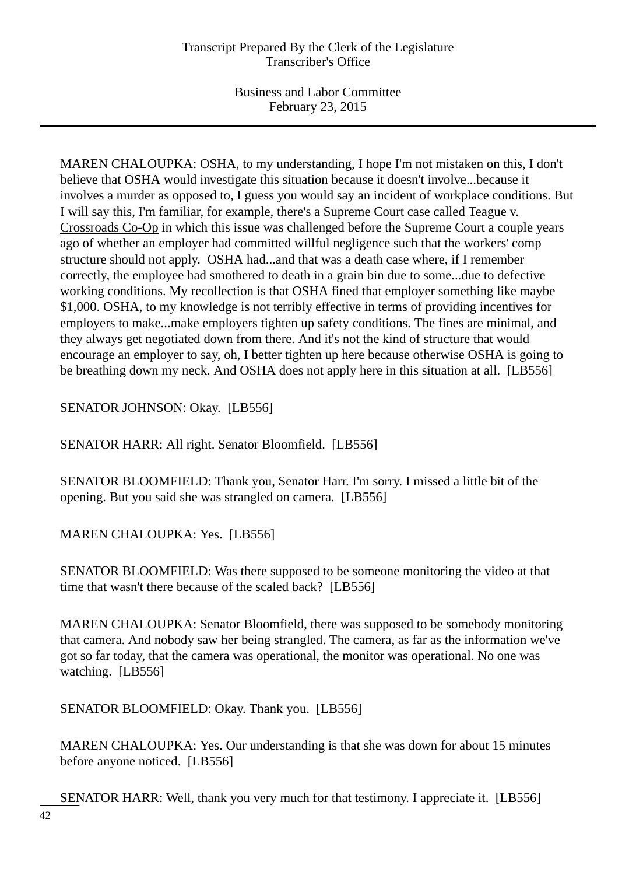MAREN CHALOUPKA: OSHA, to my understanding, I hope I'm not mistaken on this, I don't believe that OSHA would investigate this situation because it doesn't involve...because it involves a murder as opposed to, I guess you would say an incident of workplace conditions. But I will say this, I'm familiar, for example, there's a Supreme Court case called Teague v. Crossroads Co-Op in which this issue was challenged before the Supreme Court a couple years ago of whether an employer had committed willful negligence such that the workers' comp structure should not apply. OSHA had...and that was a death case where, if I remember correctly, the employee had smothered to death in a grain bin due to some...due to defective working conditions. My recollection is that OSHA fined that employer something like maybe \$1,000. OSHA, to my knowledge is not terribly effective in terms of providing incentives for employers to make...make employers tighten up safety conditions. The fines are minimal, and they always get negotiated down from there. And it's not the kind of structure that would encourage an employer to say, oh, I better tighten up here because otherwise OSHA is going to be breathing down my neck. And OSHA does not apply here in this situation at all. [LB556]

SENATOR JOHNSON: Okay. [LB556]

SENATOR HARR: All right. Senator Bloomfield. [LB556]

SENATOR BLOOMFIELD: Thank you, Senator Harr. I'm sorry. I missed a little bit of the opening. But you said she was strangled on camera. [LB556]

MAREN CHALOUPKA: Yes. [LB556]

SENATOR BLOOMFIELD: Was there supposed to be someone monitoring the video at that time that wasn't there because of the scaled back? [LB556]

MAREN CHALOUPKA: Senator Bloomfield, there was supposed to be somebody monitoring that camera. And nobody saw her being strangled. The camera, as far as the information we've got so far today, that the camera was operational, the monitor was operational. No one was watching. [LB556]

SENATOR BLOOMFIELD: Okay. Thank you. [LB556]

MAREN CHALOUPKA: Yes. Our understanding is that she was down for about 15 minutes before anyone noticed. [LB556]

SENATOR HARR: Well, thank you very much for that testimony. I appreciate it. [LB556]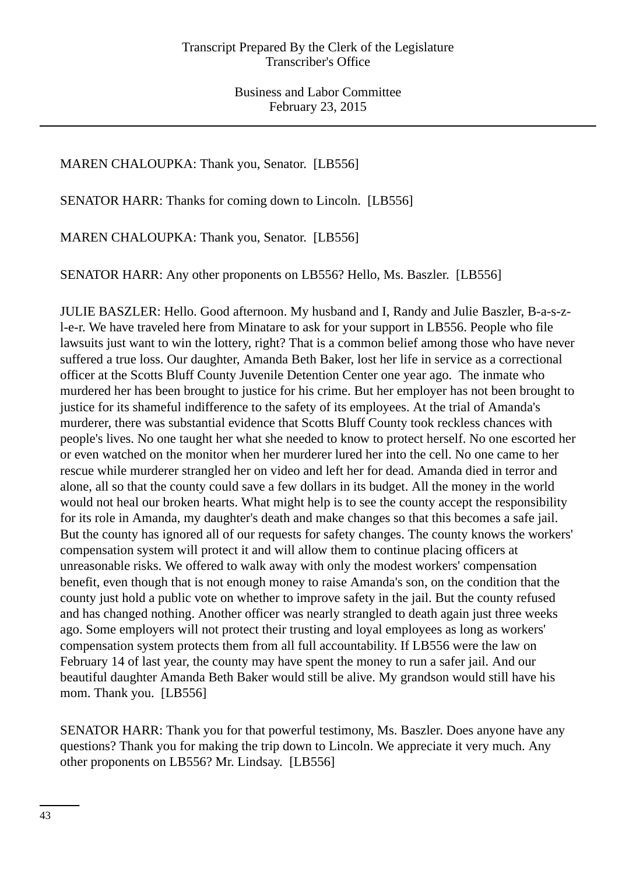# MAREN CHALOUPKA: Thank you, Senator. [LB556]

SENATOR HARR: Thanks for coming down to Lincoln. [LB556]

MAREN CHALOUPKA: Thank you, Senator. [LB556]

SENATOR HARR: Any other proponents on LB556? Hello, Ms. Baszler. [LB556]

JULIE BASZLER: Hello. Good afternoon. My husband and I, Randy and Julie Baszler, B-a-s-zl-e-r. We have traveled here from Minatare to ask for your support in LB556. People who file lawsuits just want to win the lottery, right? That is a common belief among those who have never suffered a true loss. Our daughter, Amanda Beth Baker, lost her life in service as a correctional officer at the Scotts Bluff County Juvenile Detention Center one year ago. The inmate who murdered her has been brought to justice for his crime. But her employer has not been brought to justice for its shameful indifference to the safety of its employees. At the trial of Amanda's murderer, there was substantial evidence that Scotts Bluff County took reckless chances with people's lives. No one taught her what she needed to know to protect herself. No one escorted her or even watched on the monitor when her murderer lured her into the cell. No one came to her rescue while murderer strangled her on video and left her for dead. Amanda died in terror and alone, all so that the county could save a few dollars in its budget. All the money in the world would not heal our broken hearts. What might help is to see the county accept the responsibility for its role in Amanda, my daughter's death and make changes so that this becomes a safe jail. But the county has ignored all of our requests for safety changes. The county knows the workers' compensation system will protect it and will allow them to continue placing officers at unreasonable risks. We offered to walk away with only the modest workers' compensation benefit, even though that is not enough money to raise Amanda's son, on the condition that the county just hold a public vote on whether to improve safety in the jail. But the county refused and has changed nothing. Another officer was nearly strangled to death again just three weeks ago. Some employers will not protect their trusting and loyal employees as long as workers' compensation system protects them from all full accountability. If LB556 were the law on February 14 of last year, the county may have spent the money to run a safer jail. And our beautiful daughter Amanda Beth Baker would still be alive. My grandson would still have his mom. Thank you. [LB556]

SENATOR HARR: Thank you for that powerful testimony, Ms. Baszler. Does anyone have any questions? Thank you for making the trip down to Lincoln. We appreciate it very much. Any other proponents on LB556? Mr. Lindsay. [LB556]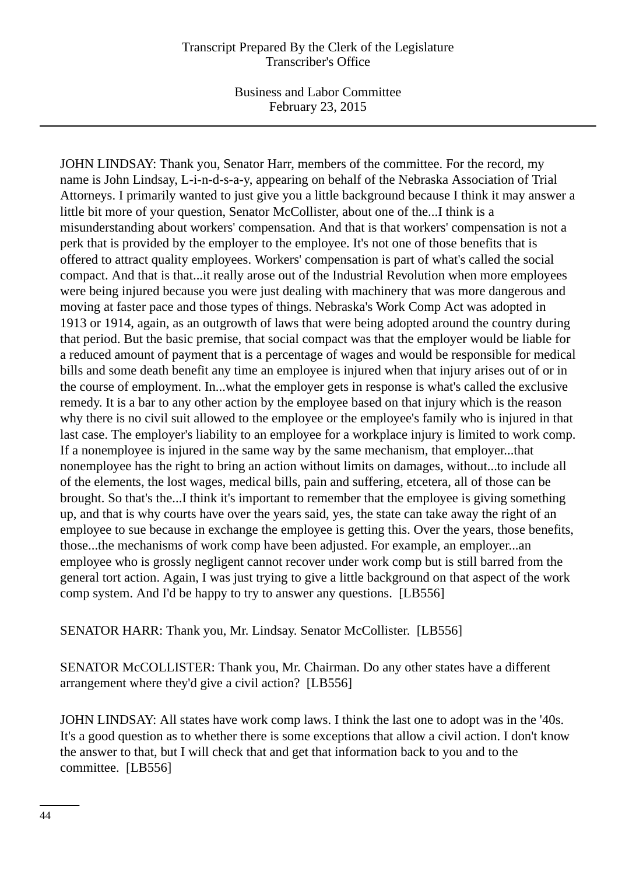Business and Labor Committee February 23, 2015

JOHN LINDSAY: Thank you, Senator Harr, members of the committee. For the record, my name is John Lindsay, L-i-n-d-s-a-y, appearing on behalf of the Nebraska Association of Trial Attorneys. I primarily wanted to just give you a little background because I think it may answer a little bit more of your question, Senator McCollister, about one of the...I think is a misunderstanding about workers' compensation. And that is that workers' compensation is not a perk that is provided by the employer to the employee. It's not one of those benefits that is offered to attract quality employees. Workers' compensation is part of what's called the social compact. And that is that...it really arose out of the Industrial Revolution when more employees were being injured because you were just dealing with machinery that was more dangerous and moving at faster pace and those types of things. Nebraska's Work Comp Act was adopted in 1913 or 1914, again, as an outgrowth of laws that were being adopted around the country during that period. But the basic premise, that social compact was that the employer would be liable for a reduced amount of payment that is a percentage of wages and would be responsible for medical bills and some death benefit any time an employee is injured when that injury arises out of or in the course of employment. In...what the employer gets in response is what's called the exclusive remedy. It is a bar to any other action by the employee based on that injury which is the reason why there is no civil suit allowed to the employee or the employee's family who is injured in that last case. The employer's liability to an employee for a workplace injury is limited to work comp. If a nonemployee is injured in the same way by the same mechanism, that employer...that nonemployee has the right to bring an action without limits on damages, without...to include all of the elements, the lost wages, medical bills, pain and suffering, etcetera, all of those can be brought. So that's the...I think it's important to remember that the employee is giving something up, and that is why courts have over the years said, yes, the state can take away the right of an employee to sue because in exchange the employee is getting this. Over the years, those benefits, those...the mechanisms of work comp have been adjusted. For example, an employer...an employee who is grossly negligent cannot recover under work comp but is still barred from the general tort action. Again, I was just trying to give a little background on that aspect of the work comp system. And I'd be happy to try to answer any questions. [LB556]

SENATOR HARR: Thank you, Mr. Lindsay. Senator McCollister. [LB556]

SENATOR McCOLLISTER: Thank you, Mr. Chairman. Do any other states have a different arrangement where they'd give a civil action? [LB556]

JOHN LINDSAY: All states have work comp laws. I think the last one to adopt was in the '40s. It's a good question as to whether there is some exceptions that allow a civil action. I don't know the answer to that, but I will check that and get that information back to you and to the committee. [LB556]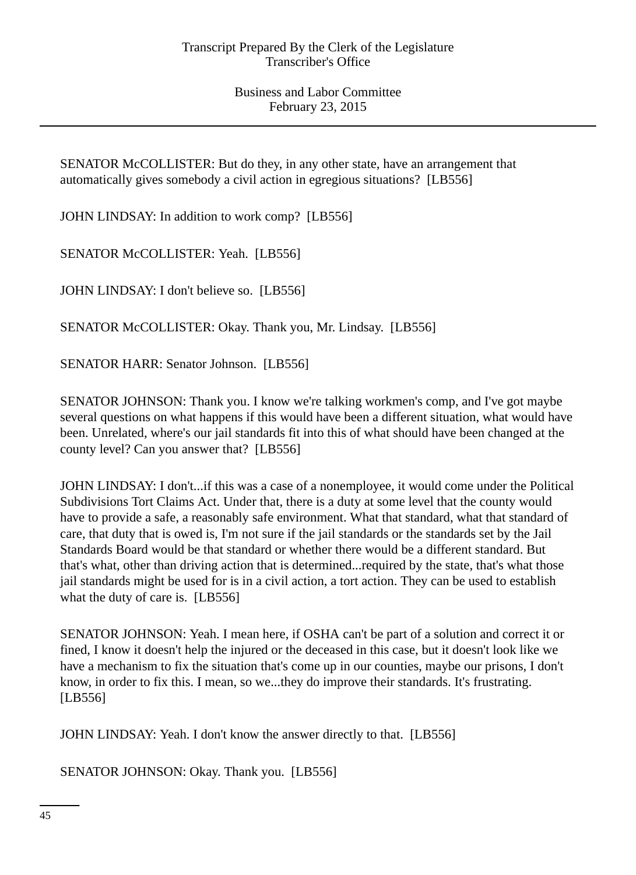SENATOR McCOLLISTER: But do they, in any other state, have an arrangement that automatically gives somebody a civil action in egregious situations? [LB556]

JOHN LINDSAY: In addition to work comp? [LB556]

SENATOR McCOLLISTER: Yeah. [LB556]

JOHN LINDSAY: I don't believe so. [LB556]

SENATOR McCOLLISTER: Okay. Thank you, Mr. Lindsay. [LB556]

SENATOR HARR: Senator Johnson. [LB556]

SENATOR JOHNSON: Thank you. I know we're talking workmen's comp, and I've got maybe several questions on what happens if this would have been a different situation, what would have been. Unrelated, where's our jail standards fit into this of what should have been changed at the county level? Can you answer that? [LB556]

JOHN LINDSAY: I don't...if this was a case of a nonemployee, it would come under the Political Subdivisions Tort Claims Act. Under that, there is a duty at some level that the county would have to provide a safe, a reasonably safe environment. What that standard, what that standard of care, that duty that is owed is, I'm not sure if the jail standards or the standards set by the Jail Standards Board would be that standard or whether there would be a different standard. But that's what, other than driving action that is determined...required by the state, that's what those jail standards might be used for is in a civil action, a tort action. They can be used to establish what the duty of care is. [LB556]

SENATOR JOHNSON: Yeah. I mean here, if OSHA can't be part of a solution and correct it or fined, I know it doesn't help the injured or the deceased in this case, but it doesn't look like we have a mechanism to fix the situation that's come up in our counties, maybe our prisons, I don't know, in order to fix this. I mean, so we...they do improve their standards. It's frustrating. [LB556]

JOHN LINDSAY: Yeah. I don't know the answer directly to that. [LB556]

SENATOR JOHNSON: Okay. Thank you. [LB556]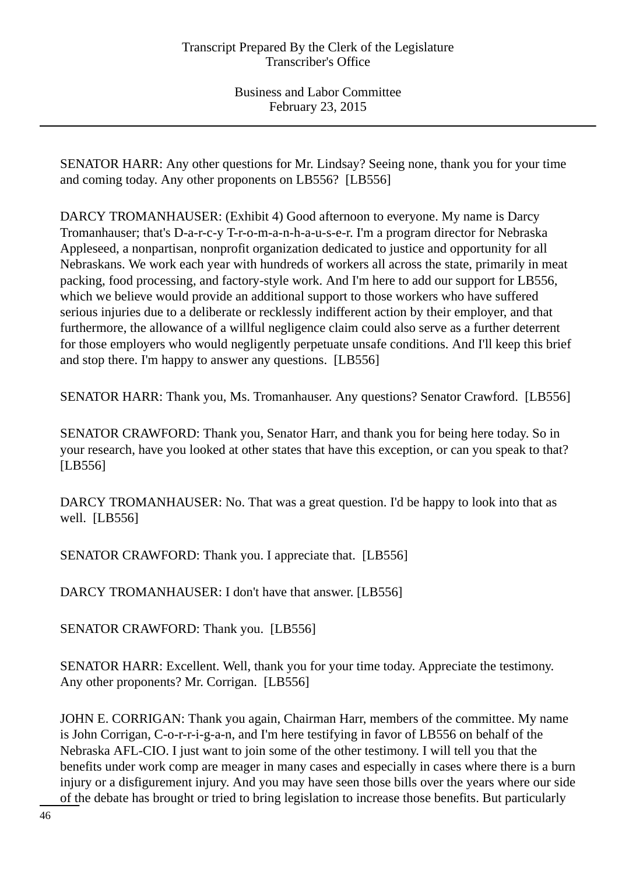SENATOR HARR: Any other questions for Mr. Lindsay? Seeing none, thank you for your time and coming today. Any other proponents on LB556? [LB556]

DARCY TROMANHAUSER: (Exhibit 4) Good afternoon to everyone. My name is Darcy Tromanhauser; that's D-a-r-c-y T-r-o-m-a-n-h-a-u-s-e-r. I'm a program director for Nebraska Appleseed, a nonpartisan, nonprofit organization dedicated to justice and opportunity for all Nebraskans. We work each year with hundreds of workers all across the state, primarily in meat packing, food processing, and factory-style work. And I'm here to add our support for LB556, which we believe would provide an additional support to those workers who have suffered serious injuries due to a deliberate or recklessly indifferent action by their employer, and that furthermore, the allowance of a willful negligence claim could also serve as a further deterrent for those employers who would negligently perpetuate unsafe conditions. And I'll keep this brief and stop there. I'm happy to answer any questions. [LB556]

SENATOR HARR: Thank you, Ms. Tromanhauser. Any questions? Senator Crawford. [LB556]

SENATOR CRAWFORD: Thank you, Senator Harr, and thank you for being here today. So in your research, have you looked at other states that have this exception, or can you speak to that? [LB556]

DARCY TROMANHAUSER: No. That was a great question. I'd be happy to look into that as well. [LB556]

SENATOR CRAWFORD: Thank you. I appreciate that. [LB556]

DARCY TROMANHAUSER: I don't have that answer. [LB556]

SENATOR CRAWFORD: Thank you. [LB556]

SENATOR HARR: Excellent. Well, thank you for your time today. Appreciate the testimony. Any other proponents? Mr. Corrigan. [LB556]

JOHN E. CORRIGAN: Thank you again, Chairman Harr, members of the committee. My name is John Corrigan, C-o-r-r-i-g-a-n, and I'm here testifying in favor of LB556 on behalf of the Nebraska AFL-CIO. I just want to join some of the other testimony. I will tell you that the benefits under work comp are meager in many cases and especially in cases where there is a burn injury or a disfigurement injury. And you may have seen those bills over the years where our side of the debate has brought or tried to bring legislation to increase those benefits. But particularly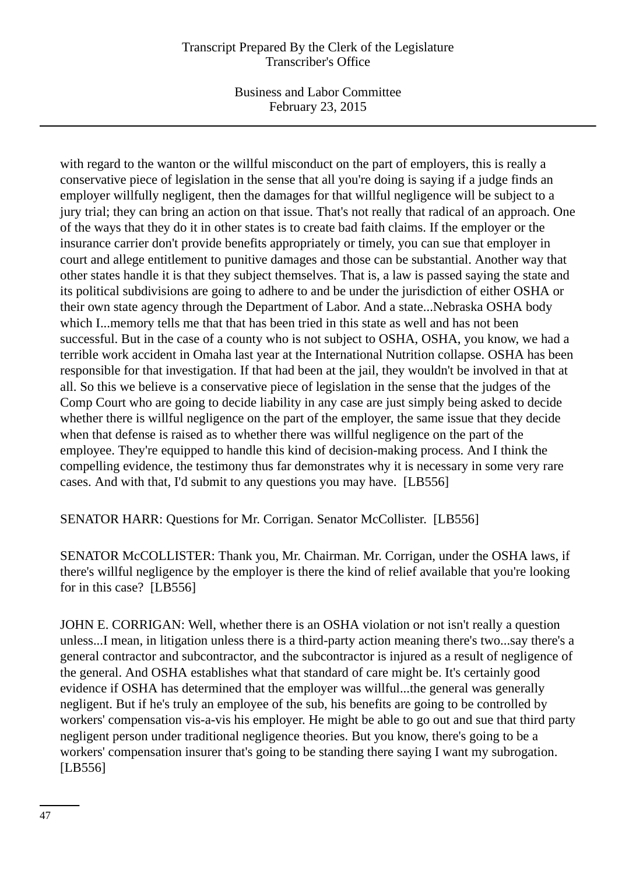Business and Labor Committee February 23, 2015

with regard to the wanton or the willful misconduct on the part of employers, this is really a conservative piece of legislation in the sense that all you're doing is saying if a judge finds an employer willfully negligent, then the damages for that willful negligence will be subject to a jury trial; they can bring an action on that issue. That's not really that radical of an approach. One of the ways that they do it in other states is to create bad faith claims. If the employer or the insurance carrier don't provide benefits appropriately or timely, you can sue that employer in court and allege entitlement to punitive damages and those can be substantial. Another way that other states handle it is that they subject themselves. That is, a law is passed saying the state and its political subdivisions are going to adhere to and be under the jurisdiction of either OSHA or their own state agency through the Department of Labor. And a state...Nebraska OSHA body which I...memory tells me that that has been tried in this state as well and has not been successful. But in the case of a county who is not subject to OSHA, OSHA, you know, we had a terrible work accident in Omaha last year at the International Nutrition collapse. OSHA has been responsible for that investigation. If that had been at the jail, they wouldn't be involved in that at all. So this we believe is a conservative piece of legislation in the sense that the judges of the Comp Court who are going to decide liability in any case are just simply being asked to decide whether there is willful negligence on the part of the employer, the same issue that they decide when that defense is raised as to whether there was willful negligence on the part of the employee. They're equipped to handle this kind of decision-making process. And I think the compelling evidence, the testimony thus far demonstrates why it is necessary in some very rare cases. And with that, I'd submit to any questions you may have. [LB556]

SENATOR HARR: Questions for Mr. Corrigan. Senator McCollister. [LB556]

SENATOR McCOLLISTER: Thank you, Mr. Chairman. Mr. Corrigan, under the OSHA laws, if there's willful negligence by the employer is there the kind of relief available that you're looking for in this case? [LB556]

JOHN E. CORRIGAN: Well, whether there is an OSHA violation or not isn't really a question unless...I mean, in litigation unless there is a third-party action meaning there's two...say there's a general contractor and subcontractor, and the subcontractor is injured as a result of negligence of the general. And OSHA establishes what that standard of care might be. It's certainly good evidence if OSHA has determined that the employer was willful...the general was generally negligent. But if he's truly an employee of the sub, his benefits are going to be controlled by workers' compensation vis-a-vis his employer. He might be able to go out and sue that third party negligent person under traditional negligence theories. But you know, there's going to be a workers' compensation insurer that's going to be standing there saying I want my subrogation. [LB556]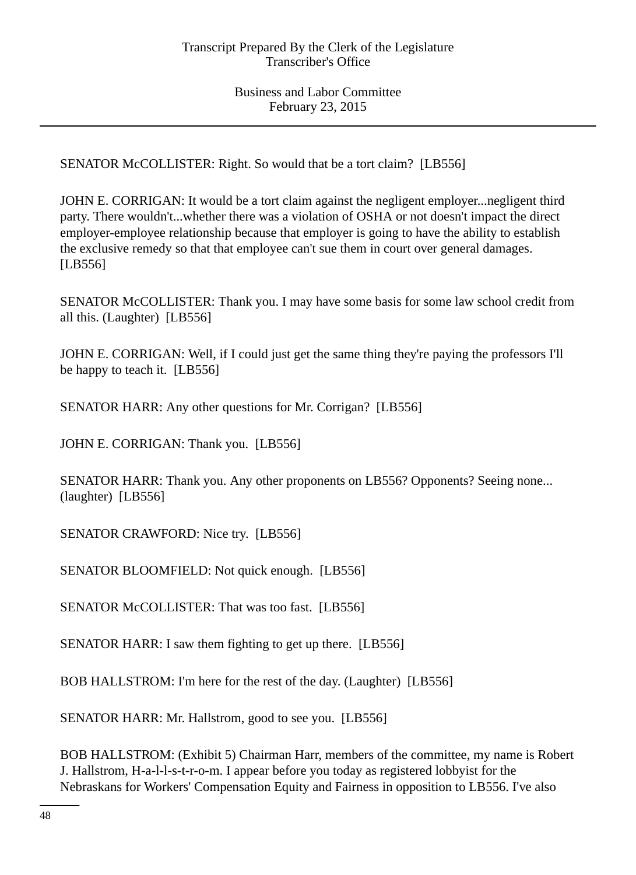SENATOR McCOLLISTER: Right. So would that be a tort claim? [LB556]

JOHN E. CORRIGAN: It would be a tort claim against the negligent employer...negligent third party. There wouldn't...whether there was a violation of OSHA or not doesn't impact the direct employer-employee relationship because that employer is going to have the ability to establish the exclusive remedy so that that employee can't sue them in court over general damages. [LB556]

SENATOR McCOLLISTER: Thank you. I may have some basis for some law school credit from all this. (Laughter) [LB556]

JOHN E. CORRIGAN: Well, if I could just get the same thing they're paying the professors I'll be happy to teach it. [LB556]

SENATOR HARR: Any other questions for Mr. Corrigan? [LB556]

JOHN E. CORRIGAN: Thank you. [LB556]

SENATOR HARR: Thank you. Any other proponents on LB556? Opponents? Seeing none... (laughter) [LB556]

SENATOR CRAWFORD: Nice try. [LB556]

SENATOR BLOOMFIELD: Not quick enough. [LB556]

SENATOR McCOLLISTER: That was too fast. [LB556]

SENATOR HARR: I saw them fighting to get up there. [LB556]

BOB HALLSTROM: I'm here for the rest of the day. (Laughter) [LB556]

SENATOR HARR: Mr. Hallstrom, good to see you. [LB556]

BOB HALLSTROM: (Exhibit 5) Chairman Harr, members of the committee, my name is Robert J. Hallstrom, H-a-l-l-s-t-r-o-m. I appear before you today as registered lobbyist for the Nebraskans for Workers' Compensation Equity and Fairness in opposition to LB556. I've also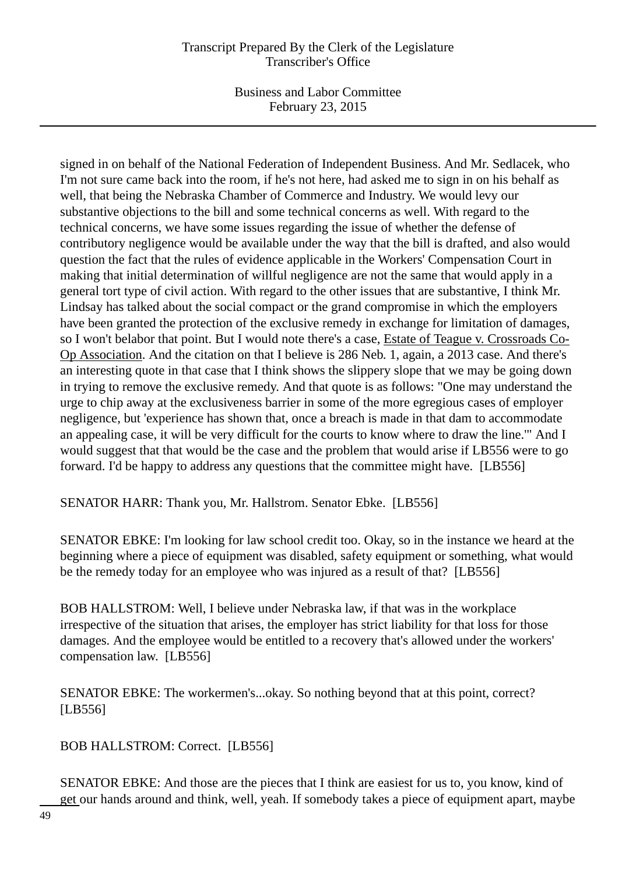Business and Labor Committee February 23, 2015

signed in on behalf of the National Federation of Independent Business. And Mr. Sedlacek, who I'm not sure came back into the room, if he's not here, had asked me to sign in on his behalf as well, that being the Nebraska Chamber of Commerce and Industry. We would levy our substantive objections to the bill and some technical concerns as well. With regard to the technical concerns, we have some issues regarding the issue of whether the defense of contributory negligence would be available under the way that the bill is drafted, and also would question the fact that the rules of evidence applicable in the Workers' Compensation Court in making that initial determination of willful negligence are not the same that would apply in a general tort type of civil action. With regard to the other issues that are substantive, I think Mr. Lindsay has talked about the social compact or the grand compromise in which the employers have been granted the protection of the exclusive remedy in exchange for limitation of damages, so I won't belabor that point. But I would note there's a case, Estate of Teague v. Crossroads Co-Op Association. And the citation on that I believe is 286 Neb. 1, again, a 2013 case. And there's an interesting quote in that case that I think shows the slippery slope that we may be going down in trying to remove the exclusive remedy. And that quote is as follows: "One may understand the urge to chip away at the exclusiveness barrier in some of the more egregious cases of employer negligence, but 'experience has shown that, once a breach is made in that dam to accommodate an appealing case, it will be very difficult for the courts to know where to draw the line.'" And I would suggest that that would be the case and the problem that would arise if LB556 were to go forward. I'd be happy to address any questions that the committee might have. [LB556]

SENATOR HARR: Thank you, Mr. Hallstrom. Senator Ebke. [LB556]

SENATOR EBKE: I'm looking for law school credit too. Okay, so in the instance we heard at the beginning where a piece of equipment was disabled, safety equipment or something, what would be the remedy today for an employee who was injured as a result of that? [LB556]

BOB HALLSTROM: Well, I believe under Nebraska law, if that was in the workplace irrespective of the situation that arises, the employer has strict liability for that loss for those damages. And the employee would be entitled to a recovery that's allowed under the workers' compensation law. [LB556]

SENATOR EBKE: The workermen's...okay. So nothing beyond that at this point, correct? [LB556]

BOB HALLSTROM: Correct. [LB556]

SENATOR EBKE: And those are the pieces that I think are easiest for us to, you know, kind of get our hands around and think, well, yeah. If somebody takes a piece of equipment apart, maybe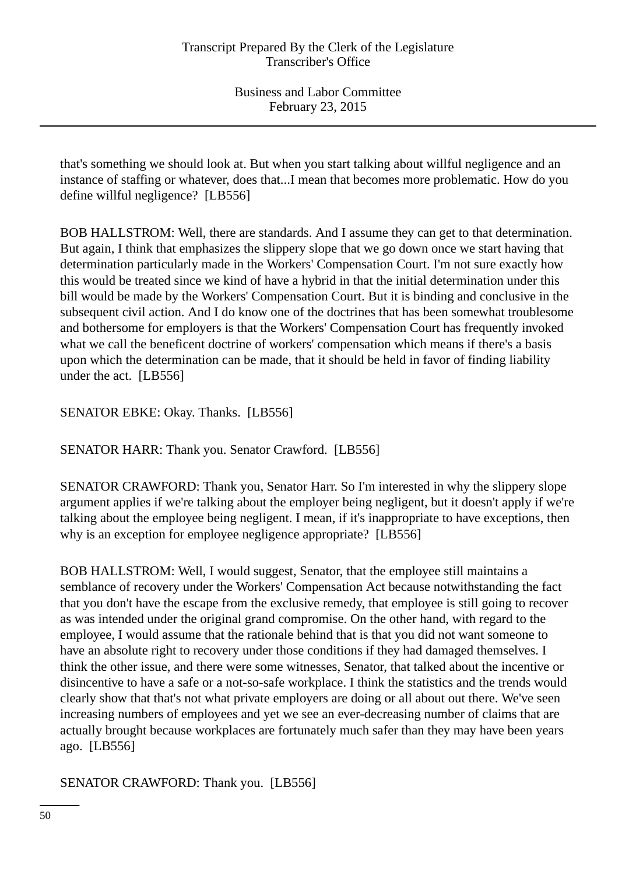that's something we should look at. But when you start talking about willful negligence and an instance of staffing or whatever, does that...I mean that becomes more problematic. How do you define willful negligence? [LB556]

BOB HALLSTROM: Well, there are standards. And I assume they can get to that determination. But again, I think that emphasizes the slippery slope that we go down once we start having that determination particularly made in the Workers' Compensation Court. I'm not sure exactly how this would be treated since we kind of have a hybrid in that the initial determination under this bill would be made by the Workers' Compensation Court. But it is binding and conclusive in the subsequent civil action. And I do know one of the doctrines that has been somewhat troublesome and bothersome for employers is that the Workers' Compensation Court has frequently invoked what we call the beneficent doctrine of workers' compensation which means if there's a basis upon which the determination can be made, that it should be held in favor of finding liability under the act. [LB556]

SENATOR EBKE: Okay. Thanks. [LB556]

SENATOR HARR: Thank you. Senator Crawford. [LB556]

SENATOR CRAWFORD: Thank you, Senator Harr. So I'm interested in why the slippery slope argument applies if we're talking about the employer being negligent, but it doesn't apply if we're talking about the employee being negligent. I mean, if it's inappropriate to have exceptions, then why is an exception for employee negligence appropriate? [LB556]

BOB HALLSTROM: Well, I would suggest, Senator, that the employee still maintains a semblance of recovery under the Workers' Compensation Act because notwithstanding the fact that you don't have the escape from the exclusive remedy, that employee is still going to recover as was intended under the original grand compromise. On the other hand, with regard to the employee, I would assume that the rationale behind that is that you did not want someone to have an absolute right to recovery under those conditions if they had damaged themselves. I think the other issue, and there were some witnesses, Senator, that talked about the incentive or disincentive to have a safe or a not-so-safe workplace. I think the statistics and the trends would clearly show that that's not what private employers are doing or all about out there. We've seen increasing numbers of employees and yet we see an ever-decreasing number of claims that are actually brought because workplaces are fortunately much safer than they may have been years ago. [LB556]

SENATOR CRAWFORD: Thank you. [LB556]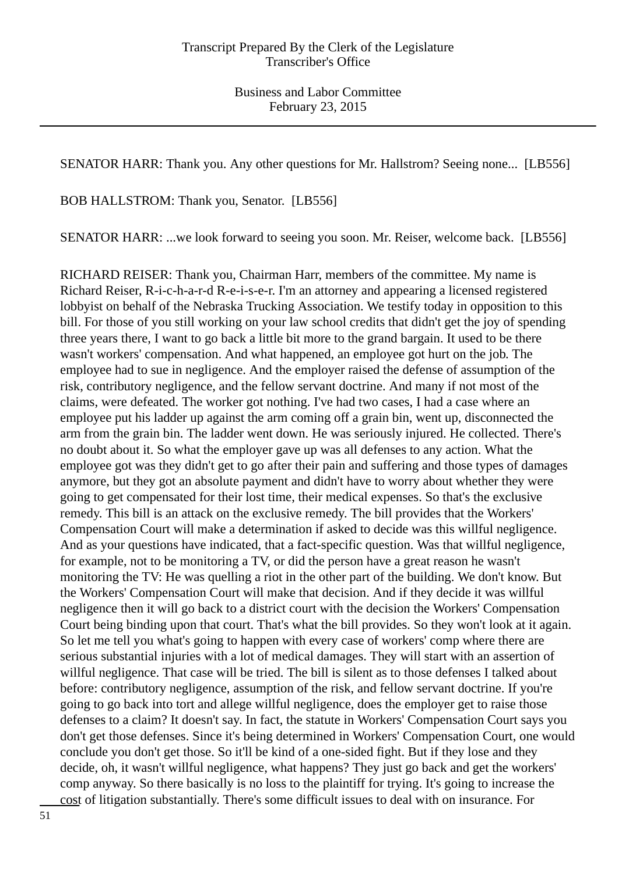SENATOR HARR: Thank you. Any other questions for Mr. Hallstrom? Seeing none... [LB556]

BOB HALLSTROM: Thank you, Senator. [LB556]

SENATOR HARR: ...we look forward to seeing you soon. Mr. Reiser, welcome back. [LB556]

RICHARD REISER: Thank you, Chairman Harr, members of the committee. My name is Richard Reiser, R-i-c-h-a-r-d R-e-i-s-e-r. I'm an attorney and appearing a licensed registered lobbyist on behalf of the Nebraska Trucking Association. We testify today in opposition to this bill. For those of you still working on your law school credits that didn't get the joy of spending three years there, I want to go back a little bit more to the grand bargain. It used to be there wasn't workers' compensation. And what happened, an employee got hurt on the job. The employee had to sue in negligence. And the employer raised the defense of assumption of the risk, contributory negligence, and the fellow servant doctrine. And many if not most of the claims, were defeated. The worker got nothing. I've had two cases, I had a case where an employee put his ladder up against the arm coming off a grain bin, went up, disconnected the arm from the grain bin. The ladder went down. He was seriously injured. He collected. There's no doubt about it. So what the employer gave up was all defenses to any action. What the employee got was they didn't get to go after their pain and suffering and those types of damages anymore, but they got an absolute payment and didn't have to worry about whether they were going to get compensated for their lost time, their medical expenses. So that's the exclusive remedy. This bill is an attack on the exclusive remedy. The bill provides that the Workers' Compensation Court will make a determination if asked to decide was this willful negligence. And as your questions have indicated, that a fact-specific question. Was that willful negligence, for example, not to be monitoring a TV, or did the person have a great reason he wasn't monitoring the TV: He was quelling a riot in the other part of the building. We don't know. But the Workers' Compensation Court will make that decision. And if they decide it was willful negligence then it will go back to a district court with the decision the Workers' Compensation Court being binding upon that court. That's what the bill provides. So they won't look at it again. So let me tell you what's going to happen with every case of workers' comp where there are serious substantial injuries with a lot of medical damages. They will start with an assertion of willful negligence. That case will be tried. The bill is silent as to those defenses I talked about before: contributory negligence, assumption of the risk, and fellow servant doctrine. If you're going to go back into tort and allege willful negligence, does the employer get to raise those defenses to a claim? It doesn't say. In fact, the statute in Workers' Compensation Court says you don't get those defenses. Since it's being determined in Workers' Compensation Court, one would conclude you don't get those. So it'll be kind of a one-sided fight. But if they lose and they decide, oh, it wasn't willful negligence, what happens? They just go back and get the workers' comp anyway. So there basically is no loss to the plaintiff for trying. It's going to increase the cost of litigation substantially. There's some difficult issues to deal with on insurance. For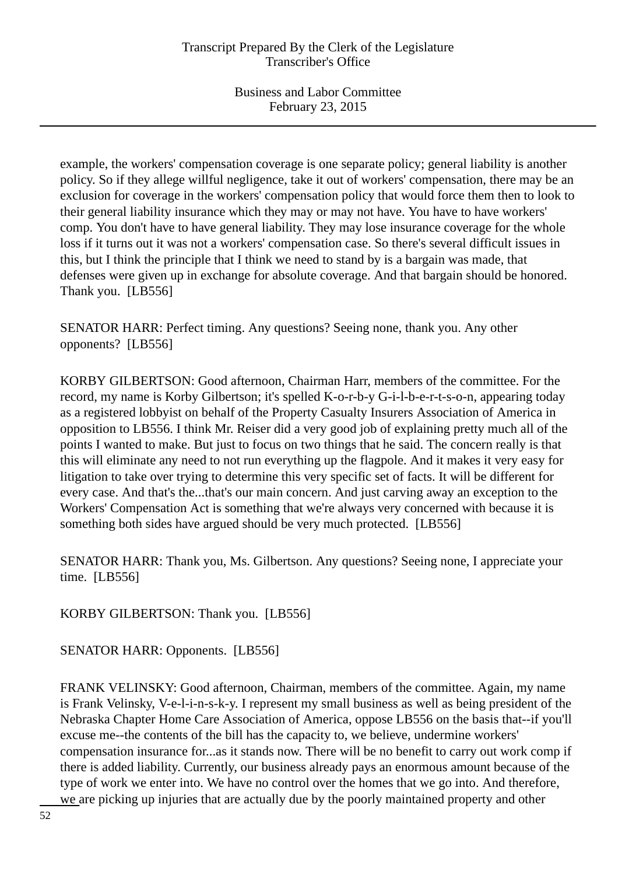example, the workers' compensation coverage is one separate policy; general liability is another policy. So if they allege willful negligence, take it out of workers' compensation, there may be an exclusion for coverage in the workers' compensation policy that would force them then to look to their general liability insurance which they may or may not have. You have to have workers' comp. You don't have to have general liability. They may lose insurance coverage for the whole loss if it turns out it was not a workers' compensation case. So there's several difficult issues in this, but I think the principle that I think we need to stand by is a bargain was made, that defenses were given up in exchange for absolute coverage. And that bargain should be honored. Thank you. [LB556]

SENATOR HARR: Perfect timing. Any questions? Seeing none, thank you. Any other opponents? [LB556]

KORBY GILBERTSON: Good afternoon, Chairman Harr, members of the committee. For the record, my name is Korby Gilbertson; it's spelled K-o-r-b-y G-i-l-b-e-r-t-s-o-n, appearing today as a registered lobbyist on behalf of the Property Casualty Insurers Association of America in opposition to LB556. I think Mr. Reiser did a very good job of explaining pretty much all of the points I wanted to make. But just to focus on two things that he said. The concern really is that this will eliminate any need to not run everything up the flagpole. And it makes it very easy for litigation to take over trying to determine this very specific set of facts. It will be different for every case. And that's the...that's our main concern. And just carving away an exception to the Workers' Compensation Act is something that we're always very concerned with because it is something both sides have argued should be very much protected. [LB556]

SENATOR HARR: Thank you, Ms. Gilbertson. Any questions? Seeing none, I appreciate your time. [LB556]

KORBY GILBERTSON: Thank you. [LB556]

SENATOR HARR: Opponents. [LB556]

FRANK VELINSKY: Good afternoon, Chairman, members of the committee. Again, my name is Frank Velinsky, V-e-l-i-n-s-k-y. I represent my small business as well as being president of the Nebraska Chapter Home Care Association of America, oppose LB556 on the basis that--if you'll excuse me--the contents of the bill has the capacity to, we believe, undermine workers' compensation insurance for...as it stands now. There will be no benefit to carry out work comp if there is added liability. Currently, our business already pays an enormous amount because of the type of work we enter into. We have no control over the homes that we go into. And therefore, we are picking up injuries that are actually due by the poorly maintained property and other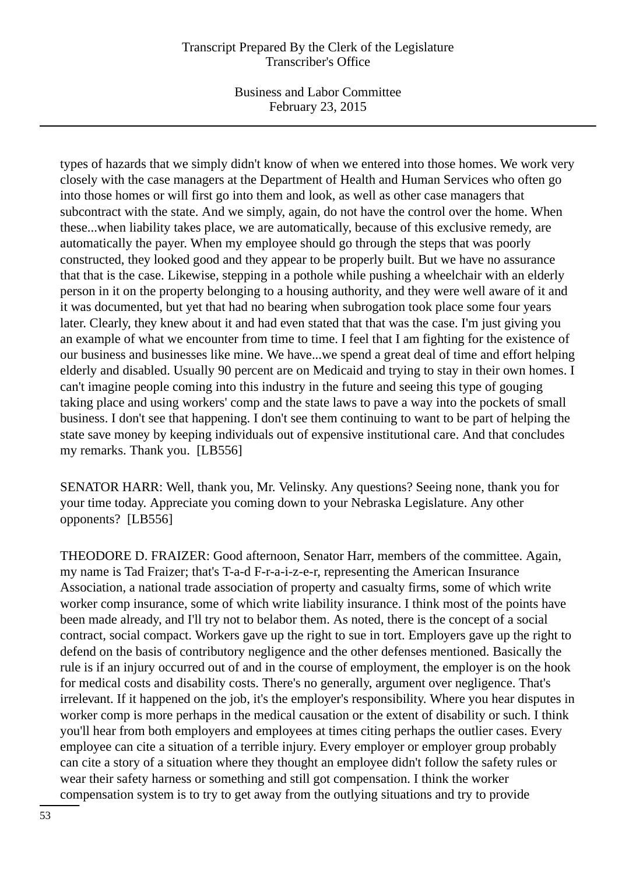Business and Labor Committee February 23, 2015

types of hazards that we simply didn't know of when we entered into those homes. We work very closely with the case managers at the Department of Health and Human Services who often go into those homes or will first go into them and look, as well as other case managers that subcontract with the state. And we simply, again, do not have the control over the home. When these...when liability takes place, we are automatically, because of this exclusive remedy, are automatically the payer. When my employee should go through the steps that was poorly constructed, they looked good and they appear to be properly built. But we have no assurance that that is the case. Likewise, stepping in a pothole while pushing a wheelchair with an elderly person in it on the property belonging to a housing authority, and they were well aware of it and it was documented, but yet that had no bearing when subrogation took place some four years later. Clearly, they knew about it and had even stated that that was the case. I'm just giving you an example of what we encounter from time to time. I feel that I am fighting for the existence of our business and businesses like mine. We have...we spend a great deal of time and effort helping elderly and disabled. Usually 90 percent are on Medicaid and trying to stay in their own homes. I can't imagine people coming into this industry in the future and seeing this type of gouging taking place and using workers' comp and the state laws to pave a way into the pockets of small business. I don't see that happening. I don't see them continuing to want to be part of helping the state save money by keeping individuals out of expensive institutional care. And that concludes my remarks. Thank you. [LB556]

SENATOR HARR: Well, thank you, Mr. Velinsky. Any questions? Seeing none, thank you for your time today. Appreciate you coming down to your Nebraska Legislature. Any other opponents? [LB556]

THEODORE D. FRAIZER: Good afternoon, Senator Harr, members of the committee. Again, my name is Tad Fraizer; that's T-a-d F-r-a-i-z-e-r, representing the American Insurance Association, a national trade association of property and casualty firms, some of which write worker comp insurance, some of which write liability insurance. I think most of the points have been made already, and I'll try not to belabor them. As noted, there is the concept of a social contract, social compact. Workers gave up the right to sue in tort. Employers gave up the right to defend on the basis of contributory negligence and the other defenses mentioned. Basically the rule is if an injury occurred out of and in the course of employment, the employer is on the hook for medical costs and disability costs. There's no generally, argument over negligence. That's irrelevant. If it happened on the job, it's the employer's responsibility. Where you hear disputes in worker comp is more perhaps in the medical causation or the extent of disability or such. I think you'll hear from both employers and employees at times citing perhaps the outlier cases. Every employee can cite a situation of a terrible injury. Every employer or employer group probably can cite a story of a situation where they thought an employee didn't follow the safety rules or wear their safety harness or something and still got compensation. I think the worker compensation system is to try to get away from the outlying situations and try to provide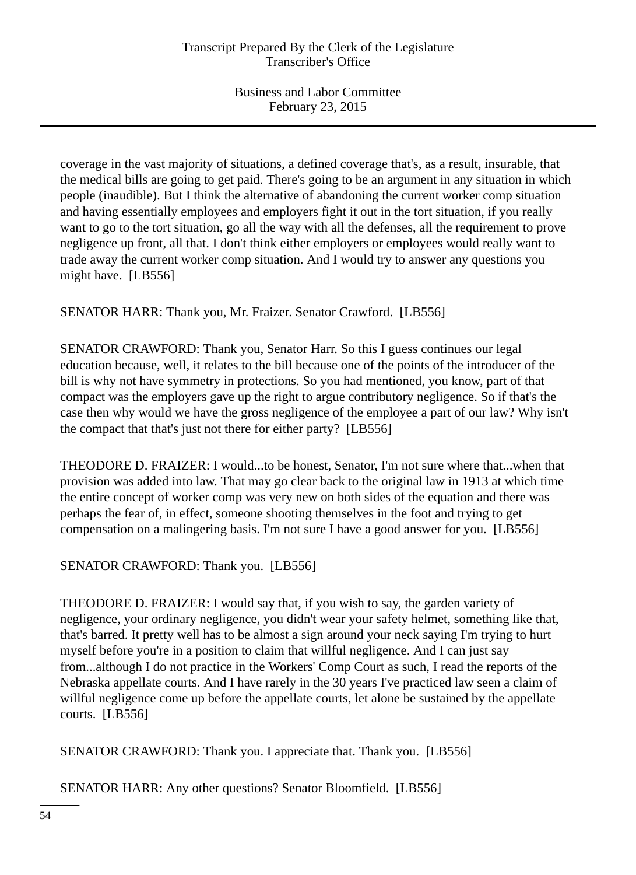coverage in the vast majority of situations, a defined coverage that's, as a result, insurable, that the medical bills are going to get paid. There's going to be an argument in any situation in which people (inaudible). But I think the alternative of abandoning the current worker comp situation and having essentially employees and employers fight it out in the tort situation, if you really want to go to the tort situation, go all the way with all the defenses, all the requirement to prove negligence up front, all that. I don't think either employers or employees would really want to trade away the current worker comp situation. And I would try to answer any questions you might have. [LB556]

SENATOR HARR: Thank you, Mr. Fraizer. Senator Crawford. [LB556]

SENATOR CRAWFORD: Thank you, Senator Harr. So this I guess continues our legal education because, well, it relates to the bill because one of the points of the introducer of the bill is why not have symmetry in protections. So you had mentioned, you know, part of that compact was the employers gave up the right to argue contributory negligence. So if that's the case then why would we have the gross negligence of the employee a part of our law? Why isn't the compact that that's just not there for either party? [LB556]

THEODORE D. FRAIZER: I would...to be honest, Senator, I'm not sure where that...when that provision was added into law. That may go clear back to the original law in 1913 at which time the entire concept of worker comp was very new on both sides of the equation and there was perhaps the fear of, in effect, someone shooting themselves in the foot and trying to get compensation on a malingering basis. I'm not sure I have a good answer for you. [LB556]

# SENATOR CRAWFORD: Thank you. [LB556]

THEODORE D. FRAIZER: I would say that, if you wish to say, the garden variety of negligence, your ordinary negligence, you didn't wear your safety helmet, something like that, that's barred. It pretty well has to be almost a sign around your neck saying I'm trying to hurt myself before you're in a position to claim that willful negligence. And I can just say from...although I do not practice in the Workers' Comp Court as such, I read the reports of the Nebraska appellate courts. And I have rarely in the 30 years I've practiced law seen a claim of willful negligence come up before the appellate courts, let alone be sustained by the appellate courts. [LB556]

SENATOR CRAWFORD: Thank you. I appreciate that. Thank you. [LB556]

SENATOR HARR: Any other questions? Senator Bloomfield. [LB556]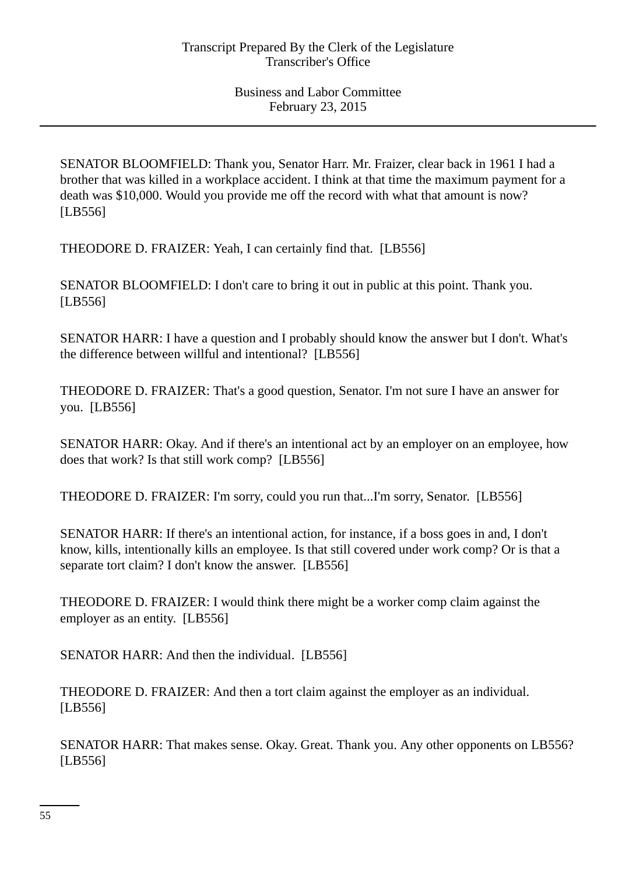SENATOR BLOOMFIELD: Thank you, Senator Harr. Mr. Fraizer, clear back in 1961 I had a brother that was killed in a workplace accident. I think at that time the maximum payment for a death was \$10,000. Would you provide me off the record with what that amount is now? [LB556]

THEODORE D. FRAIZER: Yeah, I can certainly find that. [LB556]

SENATOR BLOOMFIELD: I don't care to bring it out in public at this point. Thank you. [LB556]

SENATOR HARR: I have a question and I probably should know the answer but I don't. What's the difference between willful and intentional? [LB556]

THEODORE D. FRAIZER: That's a good question, Senator. I'm not sure I have an answer for you. [LB556]

SENATOR HARR: Okay. And if there's an intentional act by an employer on an employee, how does that work? Is that still work comp? [LB556]

THEODORE D. FRAIZER: I'm sorry, could you run that...I'm sorry, Senator. [LB556]

SENATOR HARR: If there's an intentional action, for instance, if a boss goes in and, I don't know, kills, intentionally kills an employee. Is that still covered under work comp? Or is that a separate tort claim? I don't know the answer. [LB556]

THEODORE D. FRAIZER: I would think there might be a worker comp claim against the employer as an entity. [LB556]

SENATOR HARR: And then the individual. [LB556]

THEODORE D. FRAIZER: And then a tort claim against the employer as an individual. [LB556]

SENATOR HARR: That makes sense. Okay. Great. Thank you. Any other opponents on LB556? [LB556]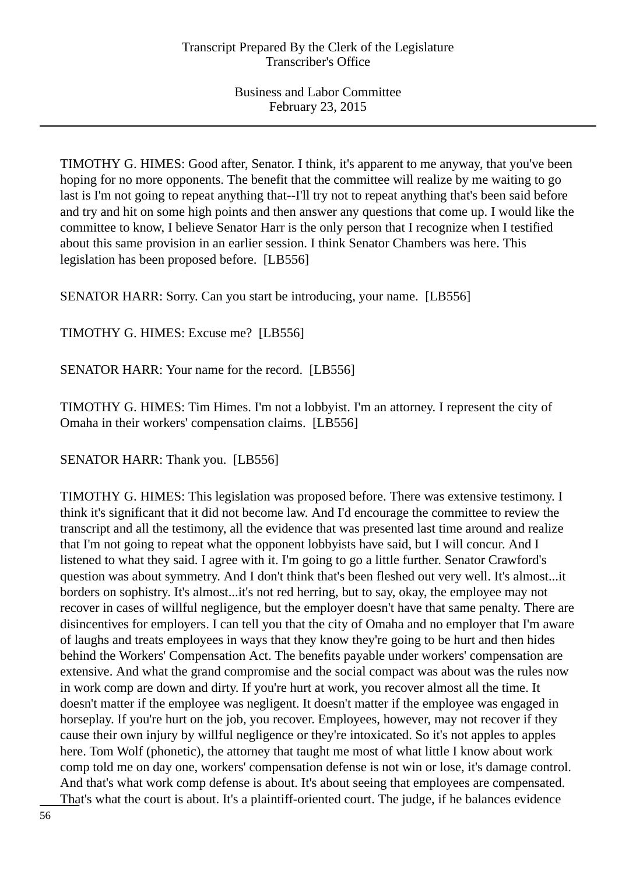TIMOTHY G. HIMES: Good after, Senator. I think, it's apparent to me anyway, that you've been hoping for no more opponents. The benefit that the committee will realize by me waiting to go last is I'm not going to repeat anything that--I'll try not to repeat anything that's been said before and try and hit on some high points and then answer any questions that come up. I would like the committee to know, I believe Senator Harr is the only person that I recognize when I testified about this same provision in an earlier session. I think Senator Chambers was here. This legislation has been proposed before. [LB556]

SENATOR HARR: Sorry. Can you start be introducing, your name. [LB556]

TIMOTHY G. HIMES: Excuse me? [LB556]

SENATOR HARR: Your name for the record. [LB556]

TIMOTHY G. HIMES: Tim Himes. I'm not a lobbyist. I'm an attorney. I represent the city of Omaha in their workers' compensation claims. [LB556]

SENATOR HARR: Thank you. [LB556]

TIMOTHY G. HIMES: This legislation was proposed before. There was extensive testimony. I think it's significant that it did not become law. And I'd encourage the committee to review the transcript and all the testimony, all the evidence that was presented last time around and realize that I'm not going to repeat what the opponent lobbyists have said, but I will concur. And I listened to what they said. I agree with it. I'm going to go a little further. Senator Crawford's question was about symmetry. And I don't think that's been fleshed out very well. It's almost...it borders on sophistry. It's almost...it's not red herring, but to say, okay, the employee may not recover in cases of willful negligence, but the employer doesn't have that same penalty. There are disincentives for employers. I can tell you that the city of Omaha and no employer that I'm aware of laughs and treats employees in ways that they know they're going to be hurt and then hides behind the Workers' Compensation Act. The benefits payable under workers' compensation are extensive. And what the grand compromise and the social compact was about was the rules now in work comp are down and dirty. If you're hurt at work, you recover almost all the time. It doesn't matter if the employee was negligent. It doesn't matter if the employee was engaged in horseplay. If you're hurt on the job, you recover. Employees, however, may not recover if they cause their own injury by willful negligence or they're intoxicated. So it's not apples to apples here. Tom Wolf (phonetic), the attorney that taught me most of what little I know about work comp told me on day one, workers' compensation defense is not win or lose, it's damage control. And that's what work comp defense is about. It's about seeing that employees are compensated. That's what the court is about. It's a plaintiff-oriented court. The judge, if he balances evidence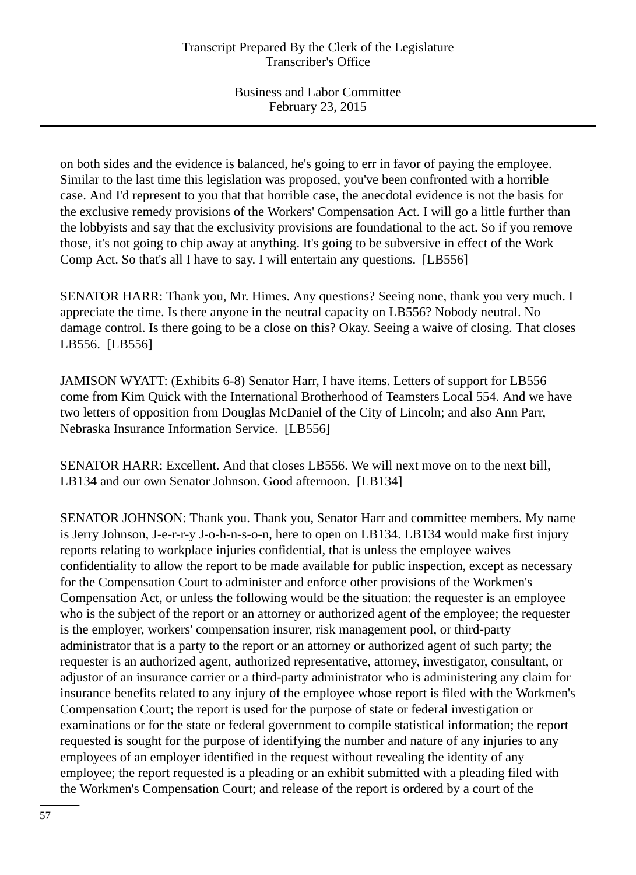on both sides and the evidence is balanced, he's going to err in favor of paying the employee. Similar to the last time this legislation was proposed, you've been confronted with a horrible case. And I'd represent to you that that horrible case, the anecdotal evidence is not the basis for the exclusive remedy provisions of the Workers' Compensation Act. I will go a little further than the lobbyists and say that the exclusivity provisions are foundational to the act. So if you remove those, it's not going to chip away at anything. It's going to be subversive in effect of the Work Comp Act. So that's all I have to say. I will entertain any questions. [LB556]

SENATOR HARR: Thank you, Mr. Himes. Any questions? Seeing none, thank you very much. I appreciate the time. Is there anyone in the neutral capacity on LB556? Nobody neutral. No damage control. Is there going to be a close on this? Okay. Seeing a waive of closing. That closes LB556. [LB556]

JAMISON WYATT: (Exhibits 6-8) Senator Harr, I have items. Letters of support for LB556 come from Kim Quick with the International Brotherhood of Teamsters Local 554. And we have two letters of opposition from Douglas McDaniel of the City of Lincoln; and also Ann Parr, Nebraska Insurance Information Service. [LB556]

SENATOR HARR: Excellent. And that closes LB556. We will next move on to the next bill, LB134 and our own Senator Johnson. Good afternoon. [LB134]

SENATOR JOHNSON: Thank you. Thank you, Senator Harr and committee members. My name is Jerry Johnson, J-e-r-r-y J-o-h-n-s-o-n, here to open on LB134. LB134 would make first injury reports relating to workplace injuries confidential, that is unless the employee waives confidentiality to allow the report to be made available for public inspection, except as necessary for the Compensation Court to administer and enforce other provisions of the Workmen's Compensation Act, or unless the following would be the situation: the requester is an employee who is the subject of the report or an attorney or authorized agent of the employee; the requester is the employer, workers' compensation insurer, risk management pool, or third-party administrator that is a party to the report or an attorney or authorized agent of such party; the requester is an authorized agent, authorized representative, attorney, investigator, consultant, or adjustor of an insurance carrier or a third-party administrator who is administering any claim for insurance benefits related to any injury of the employee whose report is filed with the Workmen's Compensation Court; the report is used for the purpose of state or federal investigation or examinations or for the state or federal government to compile statistical information; the report requested is sought for the purpose of identifying the number and nature of any injuries to any employees of an employer identified in the request without revealing the identity of any employee; the report requested is a pleading or an exhibit submitted with a pleading filed with the Workmen's Compensation Court; and release of the report is ordered by a court of the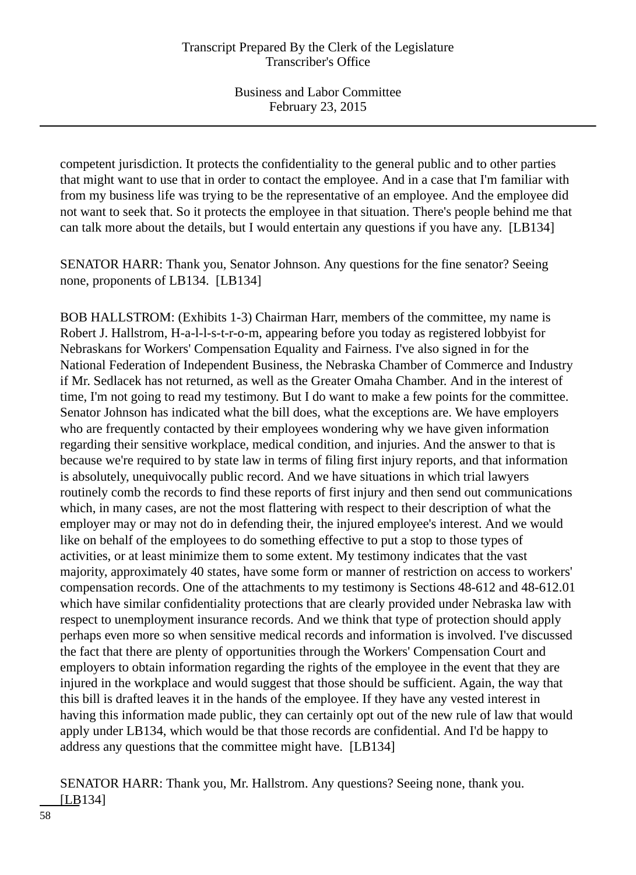competent jurisdiction. It protects the confidentiality to the general public and to other parties that might want to use that in order to contact the employee. And in a case that I'm familiar with from my business life was trying to be the representative of an employee. And the employee did not want to seek that. So it protects the employee in that situation. There's people behind me that can talk more about the details, but I would entertain any questions if you have any. [LB134]

SENATOR HARR: Thank you, Senator Johnson. Any questions for the fine senator? Seeing none, proponents of LB134. [LB134]

BOB HALLSTROM: (Exhibits 1-3) Chairman Harr, members of the committee, my name is Robert J. Hallstrom, H-a-l-l-s-t-r-o-m, appearing before you today as registered lobbyist for Nebraskans for Workers' Compensation Equality and Fairness. I've also signed in for the National Federation of Independent Business, the Nebraska Chamber of Commerce and Industry if Mr. Sedlacek has not returned, as well as the Greater Omaha Chamber. And in the interest of time, I'm not going to read my testimony. But I do want to make a few points for the committee. Senator Johnson has indicated what the bill does, what the exceptions are. We have employers who are frequently contacted by their employees wondering why we have given information regarding their sensitive workplace, medical condition, and injuries. And the answer to that is because we're required to by state law in terms of filing first injury reports, and that information is absolutely, unequivocally public record. And we have situations in which trial lawyers routinely comb the records to find these reports of first injury and then send out communications which, in many cases, are not the most flattering with respect to their description of what the employer may or may not do in defending their, the injured employee's interest. And we would like on behalf of the employees to do something effective to put a stop to those types of activities, or at least minimize them to some extent. My testimony indicates that the vast majority, approximately 40 states, have some form or manner of restriction on access to workers' compensation records. One of the attachments to my testimony is Sections 48-612 and 48-612.01 which have similar confidentiality protections that are clearly provided under Nebraska law with respect to unemployment insurance records. And we think that type of protection should apply perhaps even more so when sensitive medical records and information is involved. I've discussed the fact that there are plenty of opportunities through the Workers' Compensation Court and employers to obtain information regarding the rights of the employee in the event that they are injured in the workplace and would suggest that those should be sufficient. Again, the way that this bill is drafted leaves it in the hands of the employee. If they have any vested interest in having this information made public, they can certainly opt out of the new rule of law that would apply under LB134, which would be that those records are confidential. And I'd be happy to address any questions that the committee might have. [LB134]

SENATOR HARR: Thank you, Mr. Hallstrom. Any questions? Seeing none, thank you. [LB134]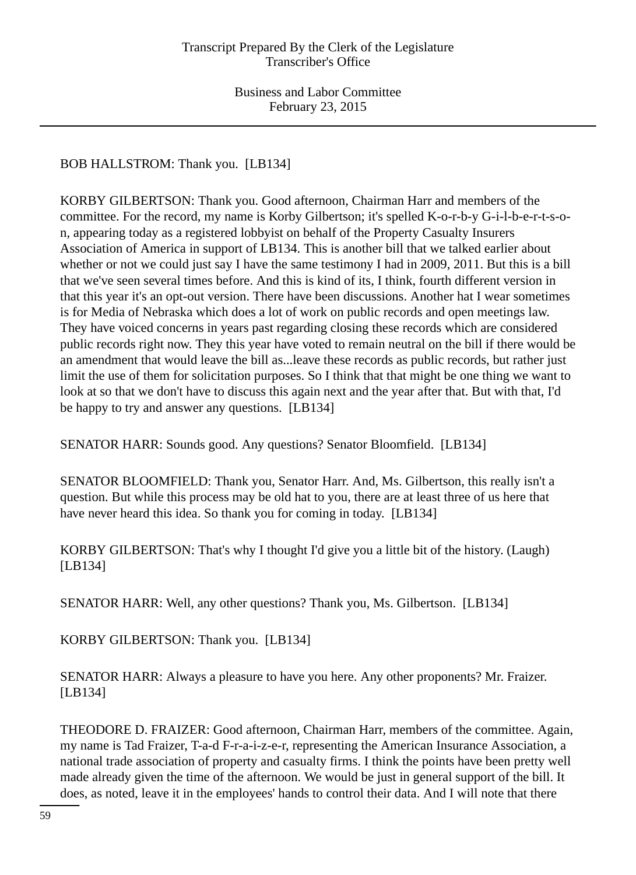BOB HALLSTROM: Thank you. [LB134]

KORBY GILBERTSON: Thank you. Good afternoon, Chairman Harr and members of the committee. For the record, my name is Korby Gilbertson; it's spelled K-o-r-b-y G-i-l-b-e-r-t-s-on, appearing today as a registered lobbyist on behalf of the Property Casualty Insurers Association of America in support of LB134. This is another bill that we talked earlier about whether or not we could just say I have the same testimony I had in 2009, 2011. But this is a bill that we've seen several times before. And this is kind of its, I think, fourth different version in that this year it's an opt-out version. There have been discussions. Another hat I wear sometimes is for Media of Nebraska which does a lot of work on public records and open meetings law. They have voiced concerns in years past regarding closing these records which are considered public records right now. They this year have voted to remain neutral on the bill if there would be an amendment that would leave the bill as...leave these records as public records, but rather just limit the use of them for solicitation purposes. So I think that that might be one thing we want to look at so that we don't have to discuss this again next and the year after that. But with that, I'd be happy to try and answer any questions. [LB134]

SENATOR HARR: Sounds good. Any questions? Senator Bloomfield. [LB134]

SENATOR BLOOMFIELD: Thank you, Senator Harr. And, Ms. Gilbertson, this really isn't a question. But while this process may be old hat to you, there are at least three of us here that have never heard this idea. So thank you for coming in today. [LB134]

KORBY GILBERTSON: That's why I thought I'd give you a little bit of the history. (Laugh) [LB134]

SENATOR HARR: Well, any other questions? Thank you, Ms. Gilbertson. [LB134]

KORBY GILBERTSON: Thank you. [LB134]

SENATOR HARR: Always a pleasure to have you here. Any other proponents? Mr. Fraizer. [LB134]

THEODORE D. FRAIZER: Good afternoon, Chairman Harr, members of the committee. Again, my name is Tad Fraizer, T-a-d F-r-a-i-z-e-r, representing the American Insurance Association, a national trade association of property and casualty firms. I think the points have been pretty well made already given the time of the afternoon. We would be just in general support of the bill. It does, as noted, leave it in the employees' hands to control their data. And I will note that there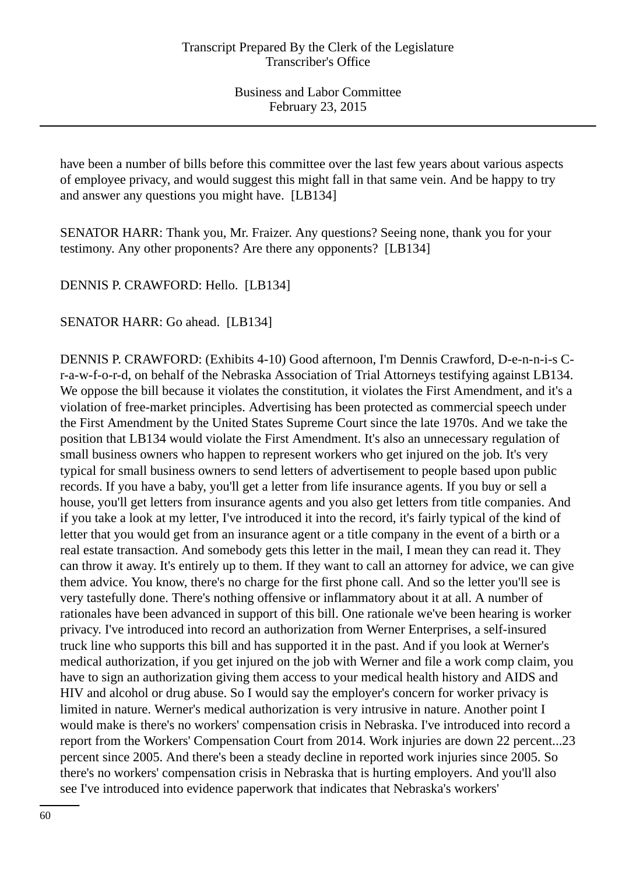have been a number of bills before this committee over the last few years about various aspects of employee privacy, and would suggest this might fall in that same vein. And be happy to try and answer any questions you might have. [LB134]

SENATOR HARR: Thank you, Mr. Fraizer. Any questions? Seeing none, thank you for your testimony. Any other proponents? Are there any opponents? [LB134]

DENNIS P. CRAWFORD: Hello. [LB134]

SENATOR HARR: Go ahead. [LB134]

DENNIS P. CRAWFORD: (Exhibits 4-10) Good afternoon, I'm Dennis Crawford, D-e-n-n-i-s Cr-a-w-f-o-r-d, on behalf of the Nebraska Association of Trial Attorneys testifying against LB134. We oppose the bill because it violates the constitution, it violates the First Amendment, and it's a violation of free-market principles. Advertising has been protected as commercial speech under the First Amendment by the United States Supreme Court since the late 1970s. And we take the position that LB134 would violate the First Amendment. It's also an unnecessary regulation of small business owners who happen to represent workers who get injured on the job. It's very typical for small business owners to send letters of advertisement to people based upon public records. If you have a baby, you'll get a letter from life insurance agents. If you buy or sell a house, you'll get letters from insurance agents and you also get letters from title companies. And if you take a look at my letter, I've introduced it into the record, it's fairly typical of the kind of letter that you would get from an insurance agent or a title company in the event of a birth or a real estate transaction. And somebody gets this letter in the mail, I mean they can read it. They can throw it away. It's entirely up to them. If they want to call an attorney for advice, we can give them advice. You know, there's no charge for the first phone call. And so the letter you'll see is very tastefully done. There's nothing offensive or inflammatory about it at all. A number of rationales have been advanced in support of this bill. One rationale we've been hearing is worker privacy. I've introduced into record an authorization from Werner Enterprises, a self-insured truck line who supports this bill and has supported it in the past. And if you look at Werner's medical authorization, if you get injured on the job with Werner and file a work comp claim, you have to sign an authorization giving them access to your medical health history and AIDS and HIV and alcohol or drug abuse. So I would say the employer's concern for worker privacy is limited in nature. Werner's medical authorization is very intrusive in nature. Another point I would make is there's no workers' compensation crisis in Nebraska. I've introduced into record a report from the Workers' Compensation Court from 2014. Work injuries are down 22 percent...23 percent since 2005. And there's been a steady decline in reported work injuries since 2005. So there's no workers' compensation crisis in Nebraska that is hurting employers. And you'll also see I've introduced into evidence paperwork that indicates that Nebraska's workers'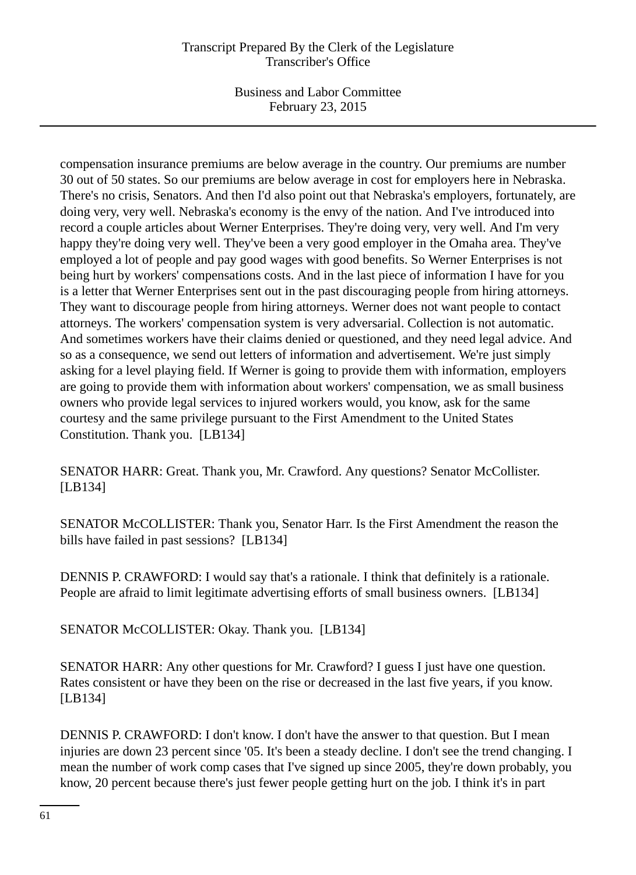Business and Labor Committee February 23, 2015

compensation insurance premiums are below average in the country. Our premiums are number 30 out of 50 states. So our premiums are below average in cost for employers here in Nebraska. There's no crisis, Senators. And then I'd also point out that Nebraska's employers, fortunately, are doing very, very well. Nebraska's economy is the envy of the nation. And I've introduced into record a couple articles about Werner Enterprises. They're doing very, very well. And I'm very happy they're doing very well. They've been a very good employer in the Omaha area. They've employed a lot of people and pay good wages with good benefits. So Werner Enterprises is not being hurt by workers' compensations costs. And in the last piece of information I have for you is a letter that Werner Enterprises sent out in the past discouraging people from hiring attorneys. They want to discourage people from hiring attorneys. Werner does not want people to contact attorneys. The workers' compensation system is very adversarial. Collection is not automatic. And sometimes workers have their claims denied or questioned, and they need legal advice. And so as a consequence, we send out letters of information and advertisement. We're just simply asking for a level playing field. If Werner is going to provide them with information, employers are going to provide them with information about workers' compensation, we as small business owners who provide legal services to injured workers would, you know, ask for the same courtesy and the same privilege pursuant to the First Amendment to the United States Constitution. Thank you. [LB134]

SENATOR HARR: Great. Thank you, Mr. Crawford. Any questions? Senator McCollister. [LB134]

SENATOR McCOLLISTER: Thank you, Senator Harr. Is the First Amendment the reason the bills have failed in past sessions? [LB134]

DENNIS P. CRAWFORD: I would say that's a rationale. I think that definitely is a rationale. People are afraid to limit legitimate advertising efforts of small business owners. [LB134]

SENATOR McCOLLISTER: Okay. Thank you. [LB134]

SENATOR HARR: Any other questions for Mr. Crawford? I guess I just have one question. Rates consistent or have they been on the rise or decreased in the last five years, if you know. [LB134]

DENNIS P. CRAWFORD: I don't know. I don't have the answer to that question. But I mean injuries are down 23 percent since '05. It's been a steady decline. I don't see the trend changing. I mean the number of work comp cases that I've signed up since 2005, they're down probably, you know, 20 percent because there's just fewer people getting hurt on the job. I think it's in part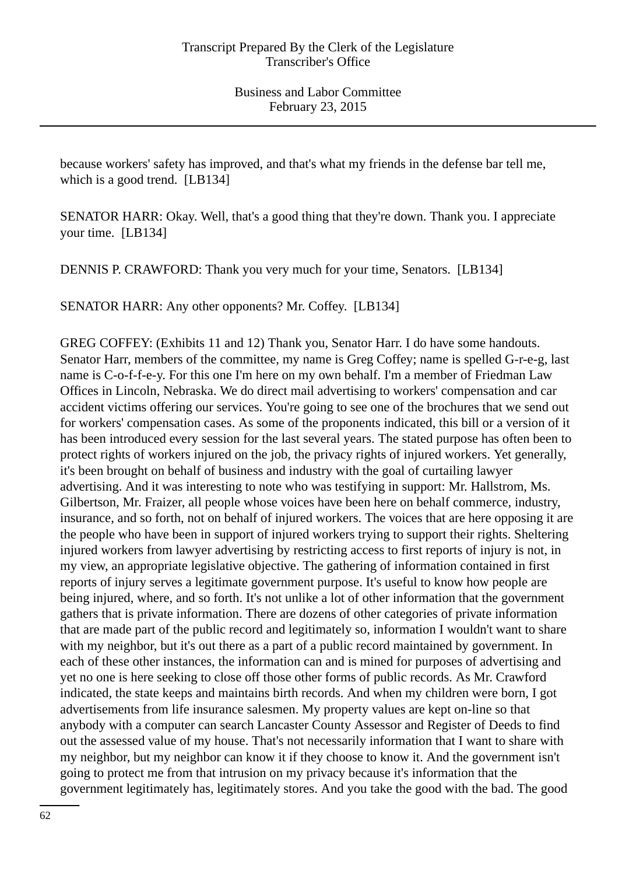because workers' safety has improved, and that's what my friends in the defense bar tell me, which is a good trend. [LB134]

SENATOR HARR: Okay. Well, that's a good thing that they're down. Thank you. I appreciate your time. [LB134]

DENNIS P. CRAWFORD: Thank you very much for your time, Senators. [LB134]

SENATOR HARR: Any other opponents? Mr. Coffey. [LB134]

GREG COFFEY: (Exhibits 11 and 12) Thank you, Senator Harr. I do have some handouts. Senator Harr, members of the committee, my name is Greg Coffey; name is spelled G-r-e-g, last name is C-o-f-f-e-y. For this one I'm here on my own behalf. I'm a member of Friedman Law Offices in Lincoln, Nebraska. We do direct mail advertising to workers' compensation and car accident victims offering our services. You're going to see one of the brochures that we send out for workers' compensation cases. As some of the proponents indicated, this bill or a version of it has been introduced every session for the last several years. The stated purpose has often been to protect rights of workers injured on the job, the privacy rights of injured workers. Yet generally, it's been brought on behalf of business and industry with the goal of curtailing lawyer advertising. And it was interesting to note who was testifying in support: Mr. Hallstrom, Ms. Gilbertson, Mr. Fraizer, all people whose voices have been here on behalf commerce, industry, insurance, and so forth, not on behalf of injured workers. The voices that are here opposing it are the people who have been in support of injured workers trying to support their rights. Sheltering injured workers from lawyer advertising by restricting access to first reports of injury is not, in my view, an appropriate legislative objective. The gathering of information contained in first reports of injury serves a legitimate government purpose. It's useful to know how people are being injured, where, and so forth. It's not unlike a lot of other information that the government gathers that is private information. There are dozens of other categories of private information that are made part of the public record and legitimately so, information I wouldn't want to share with my neighbor, but it's out there as a part of a public record maintained by government. In each of these other instances, the information can and is mined for purposes of advertising and yet no one is here seeking to close off those other forms of public records. As Mr. Crawford indicated, the state keeps and maintains birth records. And when my children were born, I got advertisements from life insurance salesmen. My property values are kept on-line so that anybody with a computer can search Lancaster County Assessor and Register of Deeds to find out the assessed value of my house. That's not necessarily information that I want to share with my neighbor, but my neighbor can know it if they choose to know it. And the government isn't going to protect me from that intrusion on my privacy because it's information that the government legitimately has, legitimately stores. And you take the good with the bad. The good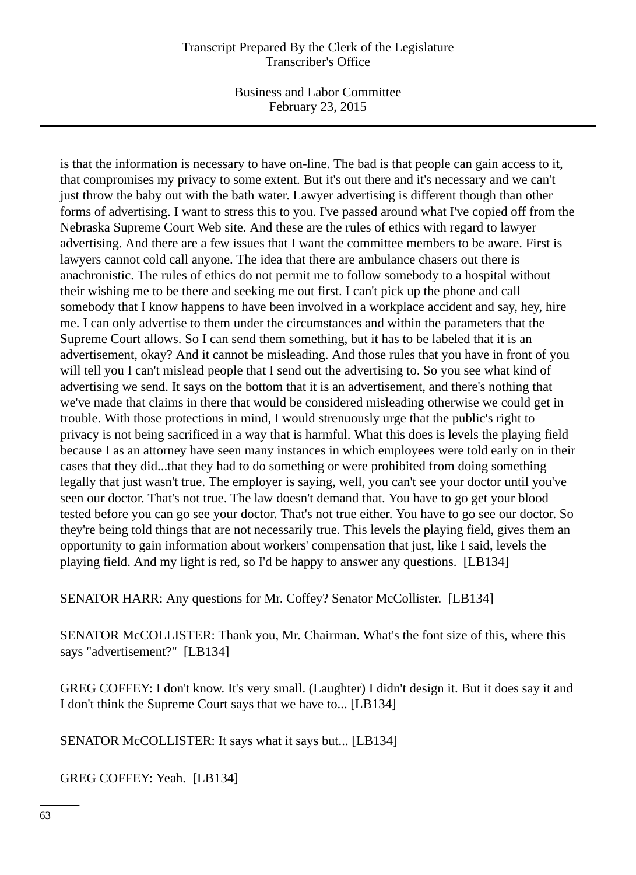Business and Labor Committee February 23, 2015

is that the information is necessary to have on-line. The bad is that people can gain access to it, that compromises my privacy to some extent. But it's out there and it's necessary and we can't just throw the baby out with the bath water. Lawyer advertising is different though than other forms of advertising. I want to stress this to you. I've passed around what I've copied off from the Nebraska Supreme Court Web site. And these are the rules of ethics with regard to lawyer advertising. And there are a few issues that I want the committee members to be aware. First is lawyers cannot cold call anyone. The idea that there are ambulance chasers out there is anachronistic. The rules of ethics do not permit me to follow somebody to a hospital without their wishing me to be there and seeking me out first. I can't pick up the phone and call somebody that I know happens to have been involved in a workplace accident and say, hey, hire me. I can only advertise to them under the circumstances and within the parameters that the Supreme Court allows. So I can send them something, but it has to be labeled that it is an advertisement, okay? And it cannot be misleading. And those rules that you have in front of you will tell you I can't mislead people that I send out the advertising to. So you see what kind of advertising we send. It says on the bottom that it is an advertisement, and there's nothing that we've made that claims in there that would be considered misleading otherwise we could get in trouble. With those protections in mind, I would strenuously urge that the public's right to privacy is not being sacrificed in a way that is harmful. What this does is levels the playing field because I as an attorney have seen many instances in which employees were told early on in their cases that they did...that they had to do something or were prohibited from doing something legally that just wasn't true. The employer is saying, well, you can't see your doctor until you've seen our doctor. That's not true. The law doesn't demand that. You have to go get your blood tested before you can go see your doctor. That's not true either. You have to go see our doctor. So they're being told things that are not necessarily true. This levels the playing field, gives them an opportunity to gain information about workers' compensation that just, like I said, levels the playing field. And my light is red, so I'd be happy to answer any questions. [LB134]

SENATOR HARR: Any questions for Mr. Coffey? Senator McCollister. [LB134]

SENATOR McCOLLISTER: Thank you, Mr. Chairman. What's the font size of this, where this says "advertisement?" [LB134]

GREG COFFEY: I don't know. It's very small. (Laughter) I didn't design it. But it does say it and I don't think the Supreme Court says that we have to... [LB134]

SENATOR McCOLLISTER: It says what it says but... [LB134]

GREG COFFEY: Yeah. [LB134]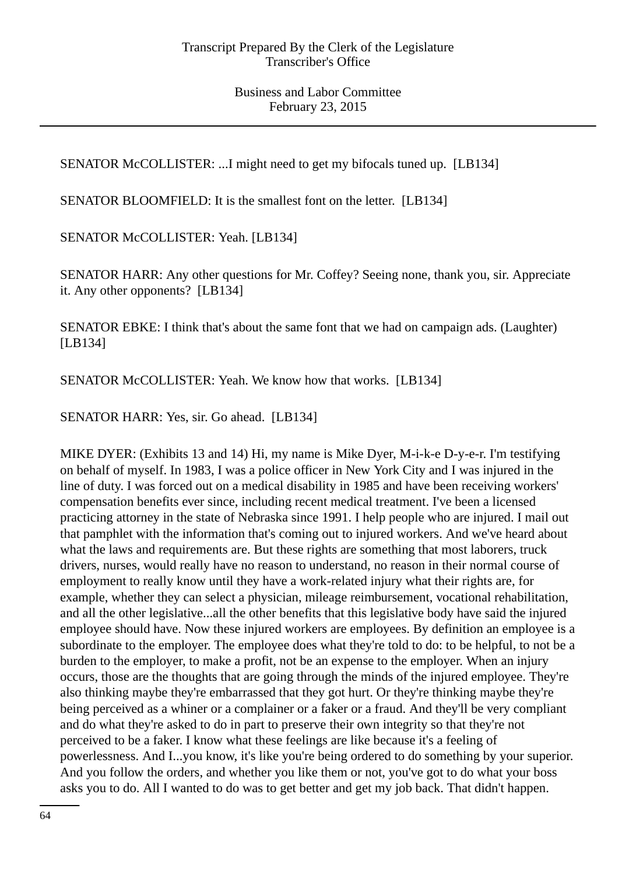SENATOR McCOLLISTER: ...I might need to get my bifocals tuned up. [LB134]

SENATOR BLOOMFIELD: It is the smallest font on the letter. [LB134]

SENATOR McCOLLISTER: Yeah. [LB134]

SENATOR HARR: Any other questions for Mr. Coffey? Seeing none, thank you, sir. Appreciate it. Any other opponents? [LB134]

SENATOR EBKE: I think that's about the same font that we had on campaign ads. (Laughter) [LB134]

SENATOR McCOLLISTER: Yeah. We know how that works. [LB134]

SENATOR HARR: Yes, sir. Go ahead. [LB134]

MIKE DYER: (Exhibits 13 and 14) Hi, my name is Mike Dyer, M-i-k-e D-y-e-r. I'm testifying on behalf of myself. In 1983, I was a police officer in New York City and I was injured in the line of duty. I was forced out on a medical disability in 1985 and have been receiving workers' compensation benefits ever since, including recent medical treatment. I've been a licensed practicing attorney in the state of Nebraska since 1991. I help people who are injured. I mail out that pamphlet with the information that's coming out to injured workers. And we've heard about what the laws and requirements are. But these rights are something that most laborers, truck drivers, nurses, would really have no reason to understand, no reason in their normal course of employment to really know until they have a work-related injury what their rights are, for example, whether they can select a physician, mileage reimbursement, vocational rehabilitation, and all the other legislative...all the other benefits that this legislative body have said the injured employee should have. Now these injured workers are employees. By definition an employee is a subordinate to the employer. The employee does what they're told to do: to be helpful, to not be a burden to the employer, to make a profit, not be an expense to the employer. When an injury occurs, those are the thoughts that are going through the minds of the injured employee. They're also thinking maybe they're embarrassed that they got hurt. Or they're thinking maybe they're being perceived as a whiner or a complainer or a faker or a fraud. And they'll be very compliant and do what they're asked to do in part to preserve their own integrity so that they're not perceived to be a faker. I know what these feelings are like because it's a feeling of powerlessness. And I...you know, it's like you're being ordered to do something by your superior. And you follow the orders, and whether you like them or not, you've got to do what your boss asks you to do. All I wanted to do was to get better and get my job back. That didn't happen.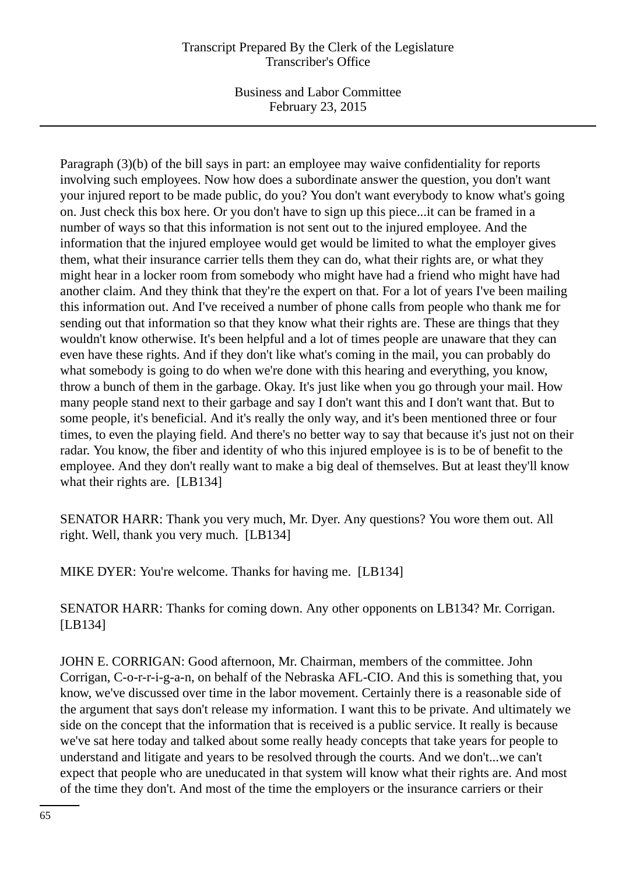Business and Labor Committee February 23, 2015

Paragraph (3)(b) of the bill says in part: an employee may waive confidentiality for reports involving such employees. Now how does a subordinate answer the question, you don't want your injured report to be made public, do you? You don't want everybody to know what's going on. Just check this box here. Or you don't have to sign up this piece...it can be framed in a number of ways so that this information is not sent out to the injured employee. And the information that the injured employee would get would be limited to what the employer gives them, what their insurance carrier tells them they can do, what their rights are, or what they might hear in a locker room from somebody who might have had a friend who might have had another claim. And they think that they're the expert on that. For a lot of years I've been mailing this information out. And I've received a number of phone calls from people who thank me for sending out that information so that they know what their rights are. These are things that they wouldn't know otherwise. It's been helpful and a lot of times people are unaware that they can even have these rights. And if they don't like what's coming in the mail, you can probably do what somebody is going to do when we're done with this hearing and everything, you know, throw a bunch of them in the garbage. Okay. It's just like when you go through your mail. How many people stand next to their garbage and say I don't want this and I don't want that. But to some people, it's beneficial. And it's really the only way, and it's been mentioned three or four times, to even the playing field. And there's no better way to say that because it's just not on their radar. You know, the fiber and identity of who this injured employee is is to be of benefit to the employee. And they don't really want to make a big deal of themselves. But at least they'll know what their rights are. [LB134]

SENATOR HARR: Thank you very much, Mr. Dyer. Any questions? You wore them out. All right. Well, thank you very much. [LB134]

MIKE DYER: You're welcome. Thanks for having me. [LB134]

SENATOR HARR: Thanks for coming down. Any other opponents on LB134? Mr. Corrigan. [LB134]

JOHN E. CORRIGAN: Good afternoon, Mr. Chairman, members of the committee. John Corrigan, C-o-r-r-i-g-a-n, on behalf of the Nebraska AFL-CIO. And this is something that, you know, we've discussed over time in the labor movement. Certainly there is a reasonable side of the argument that says don't release my information. I want this to be private. And ultimately we side on the concept that the information that is received is a public service. It really is because we've sat here today and talked about some really heady concepts that take years for people to understand and litigate and years to be resolved through the courts. And we don't...we can't expect that people who are uneducated in that system will know what their rights are. And most of the time they don't. And most of the time the employers or the insurance carriers or their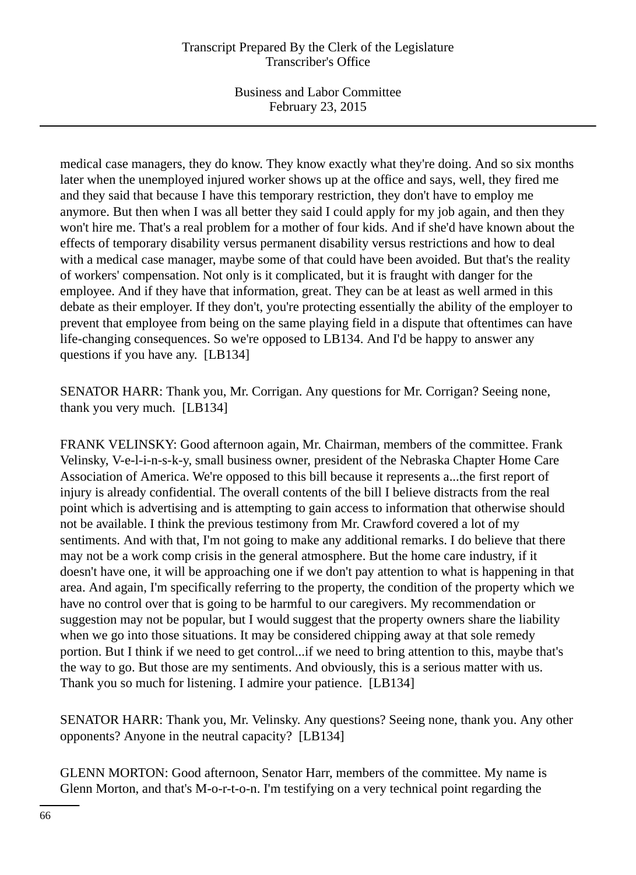Business and Labor Committee February 23, 2015

medical case managers, they do know. They know exactly what they're doing. And so six months later when the unemployed injured worker shows up at the office and says, well, they fired me and they said that because I have this temporary restriction, they don't have to employ me anymore. But then when I was all better they said I could apply for my job again, and then they won't hire me. That's a real problem for a mother of four kids. And if she'd have known about the effects of temporary disability versus permanent disability versus restrictions and how to deal with a medical case manager, maybe some of that could have been avoided. But that's the reality of workers' compensation. Not only is it complicated, but it is fraught with danger for the employee. And if they have that information, great. They can be at least as well armed in this debate as their employer. If they don't, you're protecting essentially the ability of the employer to prevent that employee from being on the same playing field in a dispute that oftentimes can have life-changing consequences. So we're opposed to LB134. And I'd be happy to answer any questions if you have any. [LB134]

SENATOR HARR: Thank you, Mr. Corrigan. Any questions for Mr. Corrigan? Seeing none, thank you very much. [LB134]

FRANK VELINSKY: Good afternoon again, Mr. Chairman, members of the committee. Frank Velinsky, V-e-l-i-n-s-k-y, small business owner, president of the Nebraska Chapter Home Care Association of America. We're opposed to this bill because it represents a...the first report of injury is already confidential. The overall contents of the bill I believe distracts from the real point which is advertising and is attempting to gain access to information that otherwise should not be available. I think the previous testimony from Mr. Crawford covered a lot of my sentiments. And with that, I'm not going to make any additional remarks. I do believe that there may not be a work comp crisis in the general atmosphere. But the home care industry, if it doesn't have one, it will be approaching one if we don't pay attention to what is happening in that area. And again, I'm specifically referring to the property, the condition of the property which we have no control over that is going to be harmful to our caregivers. My recommendation or suggestion may not be popular, but I would suggest that the property owners share the liability when we go into those situations. It may be considered chipping away at that sole remedy portion. But I think if we need to get control...if we need to bring attention to this, maybe that's the way to go. But those are my sentiments. And obviously, this is a serious matter with us. Thank you so much for listening. I admire your patience. [LB134]

SENATOR HARR: Thank you, Mr. Velinsky. Any questions? Seeing none, thank you. Any other opponents? Anyone in the neutral capacity? [LB134]

GLENN MORTON: Good afternoon, Senator Harr, members of the committee. My name is Glenn Morton, and that's M-o-r-t-o-n. I'm testifying on a very technical point regarding the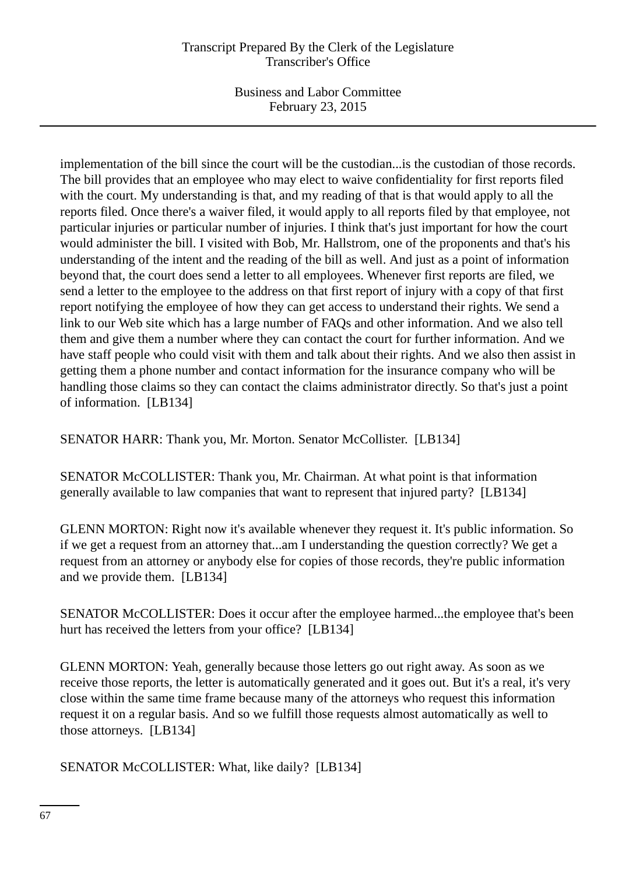Business and Labor Committee February 23, 2015

implementation of the bill since the court will be the custodian...is the custodian of those records. The bill provides that an employee who may elect to waive confidentiality for first reports filed with the court. My understanding is that, and my reading of that is that would apply to all the reports filed. Once there's a waiver filed, it would apply to all reports filed by that employee, not particular injuries or particular number of injuries. I think that's just important for how the court would administer the bill. I visited with Bob, Mr. Hallstrom, one of the proponents and that's his understanding of the intent and the reading of the bill as well. And just as a point of information beyond that, the court does send a letter to all employees. Whenever first reports are filed, we send a letter to the employee to the address on that first report of injury with a copy of that first report notifying the employee of how they can get access to understand their rights. We send a link to our Web site which has a large number of FAQs and other information. And we also tell them and give them a number where they can contact the court for further information. And we have staff people who could visit with them and talk about their rights. And we also then assist in getting them a phone number and contact information for the insurance company who will be handling those claims so they can contact the claims administrator directly. So that's just a point of information. [LB134]

SENATOR HARR: Thank you, Mr. Morton. Senator McCollister. [LB134]

SENATOR McCOLLISTER: Thank you, Mr. Chairman. At what point is that information generally available to law companies that want to represent that injured party? [LB134]

GLENN MORTON: Right now it's available whenever they request it. It's public information. So if we get a request from an attorney that...am I understanding the question correctly? We get a request from an attorney or anybody else for copies of those records, they're public information and we provide them. [LB134]

SENATOR McCOLLISTER: Does it occur after the employee harmed...the employee that's been hurt has received the letters from your office? [LB134]

GLENN MORTON: Yeah, generally because those letters go out right away. As soon as we receive those reports, the letter is automatically generated and it goes out. But it's a real, it's very close within the same time frame because many of the attorneys who request this information request it on a regular basis. And so we fulfill those requests almost automatically as well to those attorneys. [LB134]

SENATOR McCOLLISTER: What, like daily? [LB134]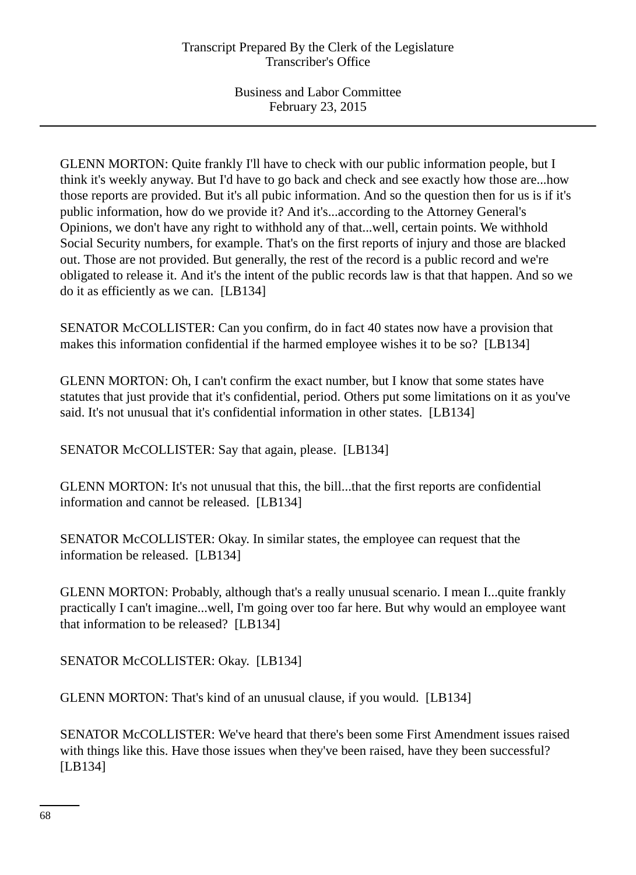GLENN MORTON: Quite frankly I'll have to check with our public information people, but I think it's weekly anyway. But I'd have to go back and check and see exactly how those are...how those reports are provided. But it's all pubic information. And so the question then for us is if it's public information, how do we provide it? And it's...according to the Attorney General's Opinions, we don't have any right to withhold any of that...well, certain points. We withhold Social Security numbers, for example. That's on the first reports of injury and those are blacked out. Those are not provided. But generally, the rest of the record is a public record and we're obligated to release it. And it's the intent of the public records law is that that happen. And so we do it as efficiently as we can. [LB134]

SENATOR McCOLLISTER: Can you confirm, do in fact 40 states now have a provision that makes this information confidential if the harmed employee wishes it to be so? [LB134]

GLENN MORTON: Oh, I can't confirm the exact number, but I know that some states have statutes that just provide that it's confidential, period. Others put some limitations on it as you've said. It's not unusual that it's confidential information in other states. [LB134]

SENATOR McCOLLISTER: Say that again, please. [LB134]

GLENN MORTON: It's not unusual that this, the bill...that the first reports are confidential information and cannot be released. [LB134]

SENATOR McCOLLISTER: Okay. In similar states, the employee can request that the information be released. [LB134]

GLENN MORTON: Probably, although that's a really unusual scenario. I mean I...quite frankly practically I can't imagine...well, I'm going over too far here. But why would an employee want that information to be released? [LB134]

SENATOR McCOLLISTER: Okay. [LB134]

GLENN MORTON: That's kind of an unusual clause, if you would. [LB134]

SENATOR McCOLLISTER: We've heard that there's been some First Amendment issues raised with things like this. Have those issues when they've been raised, have they been successful? [LB134]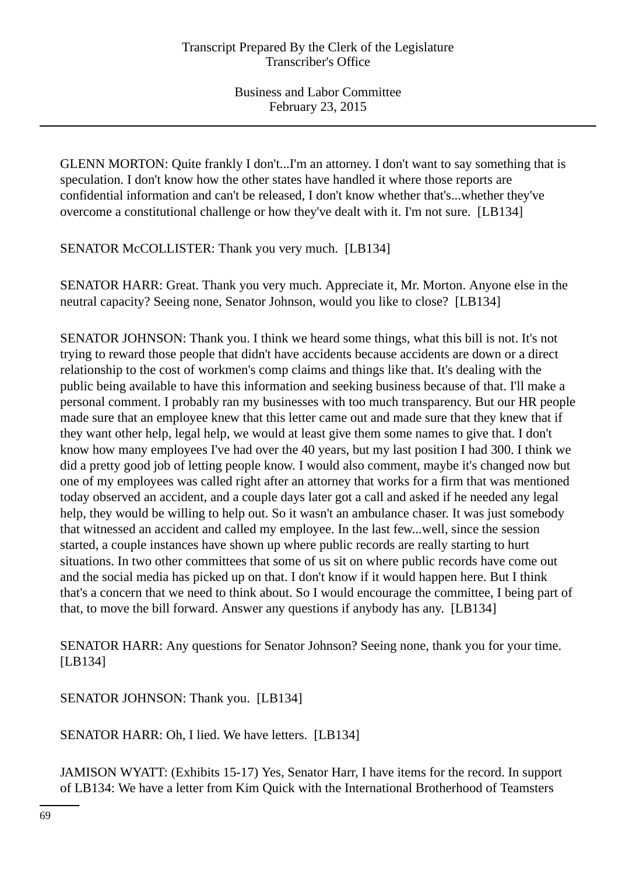GLENN MORTON: Quite frankly I don't...I'm an attorney. I don't want to say something that is speculation. I don't know how the other states have handled it where those reports are confidential information and can't be released, I don't know whether that's...whether they've overcome a constitutional challenge or how they've dealt with it. I'm not sure. [LB134]

SENATOR McCOLLISTER: Thank you very much. [LB134]

SENATOR HARR: Great. Thank you very much. Appreciate it, Mr. Morton. Anyone else in the neutral capacity? Seeing none, Senator Johnson, would you like to close? [LB134]

SENATOR JOHNSON: Thank you. I think we heard some things, what this bill is not. It's not trying to reward those people that didn't have accidents because accidents are down or a direct relationship to the cost of workmen's comp claims and things like that. It's dealing with the public being available to have this information and seeking business because of that. I'll make a personal comment. I probably ran my businesses with too much transparency. But our HR people made sure that an employee knew that this letter came out and made sure that they knew that if they want other help, legal help, we would at least give them some names to give that. I don't know how many employees I've had over the 40 years, but my last position I had 300. I think we did a pretty good job of letting people know. I would also comment, maybe it's changed now but one of my employees was called right after an attorney that works for a firm that was mentioned today observed an accident, and a couple days later got a call and asked if he needed any legal help, they would be willing to help out. So it wasn't an ambulance chaser. It was just somebody that witnessed an accident and called my employee. In the last few...well, since the session started, a couple instances have shown up where public records are really starting to hurt situations. In two other committees that some of us sit on where public records have come out and the social media has picked up on that. I don't know if it would happen here. But I think that's a concern that we need to think about. So I would encourage the committee, I being part of that, to move the bill forward. Answer any questions if anybody has any. [LB134]

SENATOR HARR: Any questions for Senator Johnson? Seeing none, thank you for your time. [LB134]

SENATOR JOHNSON: Thank you. [LB134]

SENATOR HARR: Oh, I lied. We have letters. [LB134]

JAMISON WYATT: (Exhibits 15-17) Yes, Senator Harr, I have items for the record. In support of LB134: We have a letter from Kim Quick with the International Brotherhood of Teamsters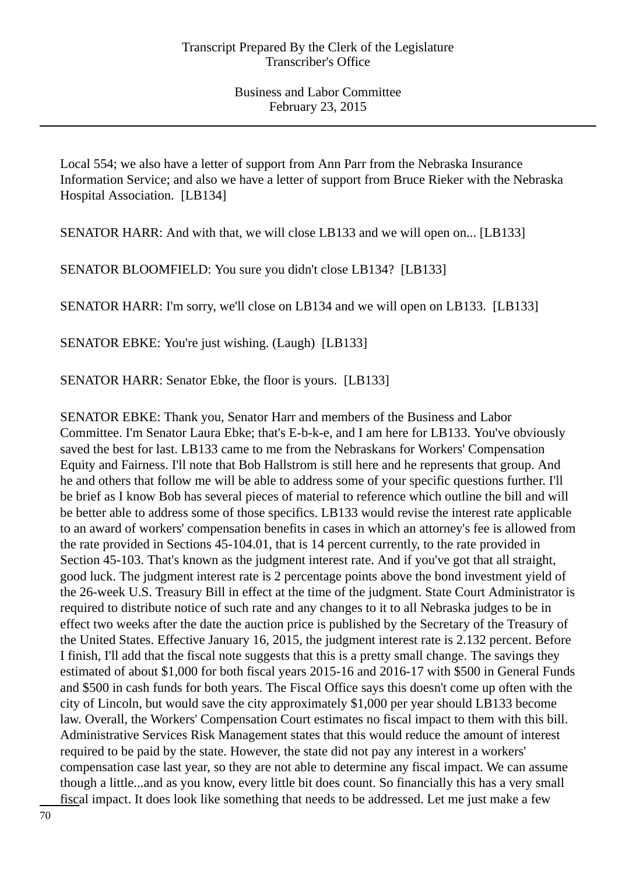Local 554; we also have a letter of support from Ann Parr from the Nebraska Insurance Information Service; and also we have a letter of support from Bruce Rieker with the Nebraska Hospital Association. [LB134]

SENATOR HARR: And with that, we will close LB133 and we will open on... [LB133]

SENATOR BLOOMFIELD: You sure you didn't close LB134? [LB133]

SENATOR HARR: I'm sorry, we'll close on LB134 and we will open on LB133. [LB133]

SENATOR EBKE: You're just wishing. (Laugh) [LB133]

SENATOR HARR: Senator Ebke, the floor is yours. [LB133]

SENATOR EBKE: Thank you, Senator Harr and members of the Business and Labor Committee. I'm Senator Laura Ebke; that's E-b-k-e, and I am here for LB133. You've obviously saved the best for last. LB133 came to me from the Nebraskans for Workers' Compensation Equity and Fairness. I'll note that Bob Hallstrom is still here and he represents that group. And he and others that follow me will be able to address some of your specific questions further. I'll be brief as I know Bob has several pieces of material to reference which outline the bill and will be better able to address some of those specifics. LB133 would revise the interest rate applicable to an award of workers' compensation benefits in cases in which an attorney's fee is allowed from the rate provided in Sections 45-104.01, that is 14 percent currently, to the rate provided in Section 45-103. That's known as the judgment interest rate. And if you've got that all straight, good luck. The judgment interest rate is 2 percentage points above the bond investment yield of the 26-week U.S. Treasury Bill in effect at the time of the judgment. State Court Administrator is required to distribute notice of such rate and any changes to it to all Nebraska judges to be in effect two weeks after the date the auction price is published by the Secretary of the Treasury of the United States. Effective January 16, 2015, the judgment interest rate is 2.132 percent. Before I finish, I'll add that the fiscal note suggests that this is a pretty small change. The savings they estimated of about \$1,000 for both fiscal years 2015-16 and 2016-17 with \$500 in General Funds and \$500 in cash funds for both years. The Fiscal Office says this doesn't come up often with the city of Lincoln, but would save the city approximately \$1,000 per year should LB133 become law. Overall, the Workers' Compensation Court estimates no fiscal impact to them with this bill. Administrative Services Risk Management states that this would reduce the amount of interest required to be paid by the state. However, the state did not pay any interest in a workers' compensation case last year, so they are not able to determine any fiscal impact. We can assume though a little...and as you know, every little bit does count. So financially this has a very small fiscal impact. It does look like something that needs to be addressed. Let me just make a few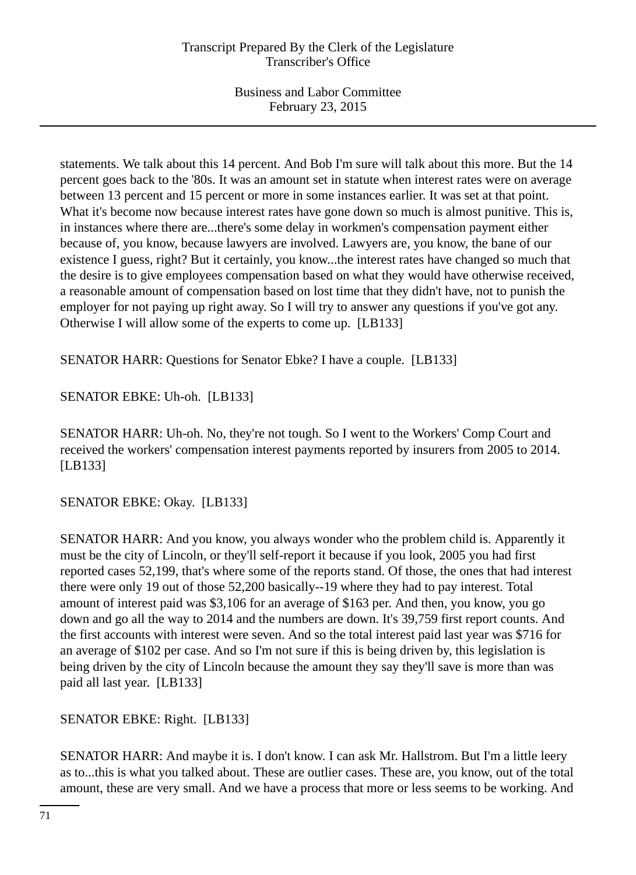statements. We talk about this 14 percent. And Bob I'm sure will talk about this more. But the 14 percent goes back to the '80s. It was an amount set in statute when interest rates were on average between 13 percent and 15 percent or more in some instances earlier. It was set at that point. What it's become now because interest rates have gone down so much is almost punitive. This is, in instances where there are...there's some delay in workmen's compensation payment either because of, you know, because lawyers are involved. Lawyers are, you know, the bane of our existence I guess, right? But it certainly, you know...the interest rates have changed so much that the desire is to give employees compensation based on what they would have otherwise received, a reasonable amount of compensation based on lost time that they didn't have, not to punish the employer for not paying up right away. So I will try to answer any questions if you've got any. Otherwise I will allow some of the experts to come up. [LB133]

SENATOR HARR: Questions for Senator Ebke? I have a couple. [LB133]

SENATOR EBKE: Uh-oh. [LB133]

SENATOR HARR: Uh-oh. No, they're not tough. So I went to the Workers' Comp Court and received the workers' compensation interest payments reported by insurers from 2005 to 2014. [LB133]

SENATOR EBKE: Okay. [LB133]

SENATOR HARR: And you know, you always wonder who the problem child is. Apparently it must be the city of Lincoln, or they'll self-report it because if you look, 2005 you had first reported cases 52,199, that's where some of the reports stand. Of those, the ones that had interest there were only 19 out of those 52,200 basically--19 where they had to pay interest. Total amount of interest paid was \$3,106 for an average of \$163 per. And then, you know, you go down and go all the way to 2014 and the numbers are down. It's 39,759 first report counts. And the first accounts with interest were seven. And so the total interest paid last year was \$716 for an average of \$102 per case. And so I'm not sure if this is being driven by, this legislation is being driven by the city of Lincoln because the amount they say they'll save is more than was paid all last year. [LB133]

SENATOR EBKE: Right. [LB133]

SENATOR HARR: And maybe it is. I don't know. I can ask Mr. Hallstrom. But I'm a little leery as to...this is what you talked about. These are outlier cases. These are, you know, out of the total amount, these are very small. And we have a process that more or less seems to be working. And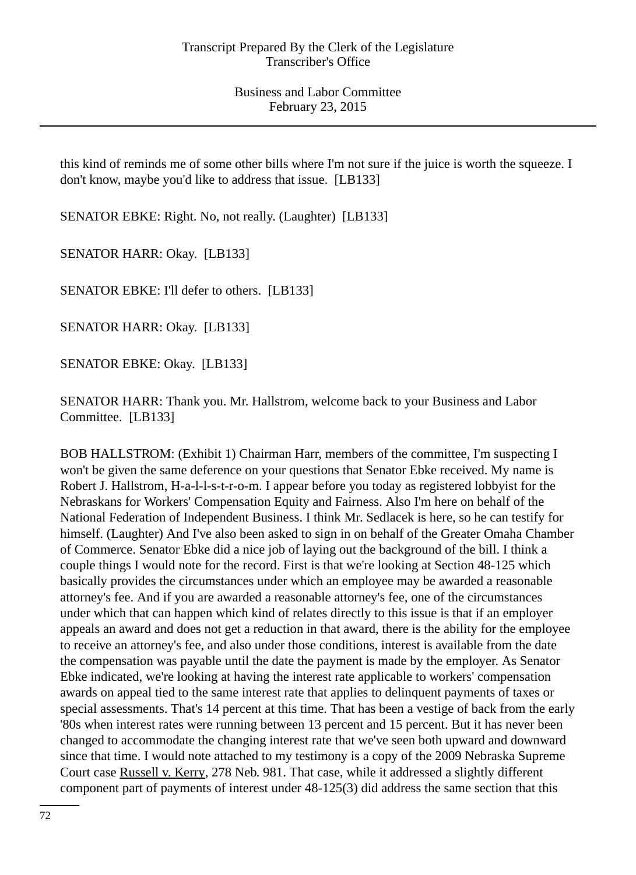this kind of reminds me of some other bills where I'm not sure if the juice is worth the squeeze. I don't know, maybe you'd like to address that issue. [LB133]

SENATOR EBKE: Right. No, not really. (Laughter) [LB133]

SENATOR HARR: Okay. [LB133]

SENATOR EBKE: I'll defer to others. [LB133]

SENATOR HARR: Okay. [LB133]

SENATOR EBKE: Okay. [LB133]

SENATOR HARR: Thank you. Mr. Hallstrom, welcome back to your Business and Labor Committee. [LB133]

BOB HALLSTROM: (Exhibit 1) Chairman Harr, members of the committee, I'm suspecting I won't be given the same deference on your questions that Senator Ebke received. My name is Robert J. Hallstrom, H-a-l-l-s-t-r-o-m. I appear before you today as registered lobbyist for the Nebraskans for Workers' Compensation Equity and Fairness. Also I'm here on behalf of the National Federation of Independent Business. I think Mr. Sedlacek is here, so he can testify for himself. (Laughter) And I've also been asked to sign in on behalf of the Greater Omaha Chamber of Commerce. Senator Ebke did a nice job of laying out the background of the bill. I think a couple things I would note for the record. First is that we're looking at Section 48-125 which basically provides the circumstances under which an employee may be awarded a reasonable attorney's fee. And if you are awarded a reasonable attorney's fee, one of the circumstances under which that can happen which kind of relates directly to this issue is that if an employer appeals an award and does not get a reduction in that award, there is the ability for the employee to receive an attorney's fee, and also under those conditions, interest is available from the date the compensation was payable until the date the payment is made by the employer. As Senator Ebke indicated, we're looking at having the interest rate applicable to workers' compensation awards on appeal tied to the same interest rate that applies to delinquent payments of taxes or special assessments. That's 14 percent at this time. That has been a vestige of back from the early '80s when interest rates were running between 13 percent and 15 percent. But it has never been changed to accommodate the changing interest rate that we've seen both upward and downward since that time. I would note attached to my testimony is a copy of the 2009 Nebraska Supreme Court case Russell v. Kerry, 278 Neb. 981. That case, while it addressed a slightly different component part of payments of interest under 48-125(3) did address the same section that this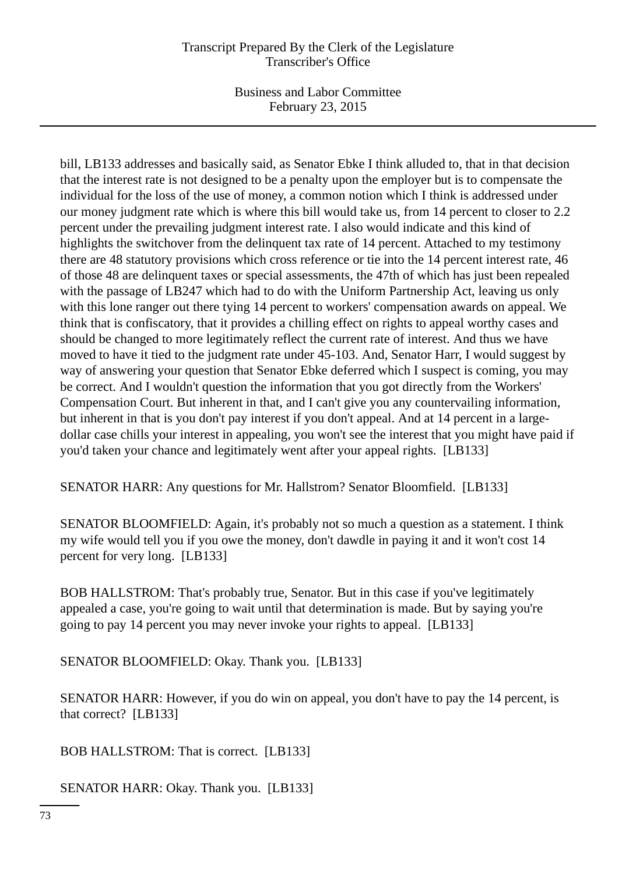## Transcript Prepared By the Clerk of the Legislature Transcriber's Office

Business and Labor Committee February 23, 2015

bill, LB133 addresses and basically said, as Senator Ebke I think alluded to, that in that decision that the interest rate is not designed to be a penalty upon the employer but is to compensate the individual for the loss of the use of money, a common notion which I think is addressed under our money judgment rate which is where this bill would take us, from 14 percent to closer to 2.2 percent under the prevailing judgment interest rate. I also would indicate and this kind of highlights the switchover from the delinquent tax rate of 14 percent. Attached to my testimony there are 48 statutory provisions which cross reference or tie into the 14 percent interest rate, 46 of those 48 are delinquent taxes or special assessments, the 47th of which has just been repealed with the passage of LB247 which had to do with the Uniform Partnership Act, leaving us only with this lone ranger out there tying 14 percent to workers' compensation awards on appeal. We think that is confiscatory, that it provides a chilling effect on rights to appeal worthy cases and should be changed to more legitimately reflect the current rate of interest. And thus we have moved to have it tied to the judgment rate under 45-103. And, Senator Harr, I would suggest by way of answering your question that Senator Ebke deferred which I suspect is coming, you may be correct. And I wouldn't question the information that you got directly from the Workers' Compensation Court. But inherent in that, and I can't give you any countervailing information, but inherent in that is you don't pay interest if you don't appeal. And at 14 percent in a largedollar case chills your interest in appealing, you won't see the interest that you might have paid if you'd taken your chance and legitimately went after your appeal rights. [LB133]

SENATOR HARR: Any questions for Mr. Hallstrom? Senator Bloomfield. [LB133]

SENATOR BLOOMFIELD: Again, it's probably not so much a question as a statement. I think my wife would tell you if you owe the money, don't dawdle in paying it and it won't cost 14 percent for very long. [LB133]

BOB HALLSTROM: That's probably true, Senator. But in this case if you've legitimately appealed a case, you're going to wait until that determination is made. But by saying you're going to pay 14 percent you may never invoke your rights to appeal. [LB133]

SENATOR BLOOMFIELD: Okay. Thank you. [LB133]

SENATOR HARR: However, if you do win on appeal, you don't have to pay the 14 percent, is that correct? [LB133]

BOB HALLSTROM: That is correct. [LB133]

SENATOR HARR: Okay. Thank you. [LB133]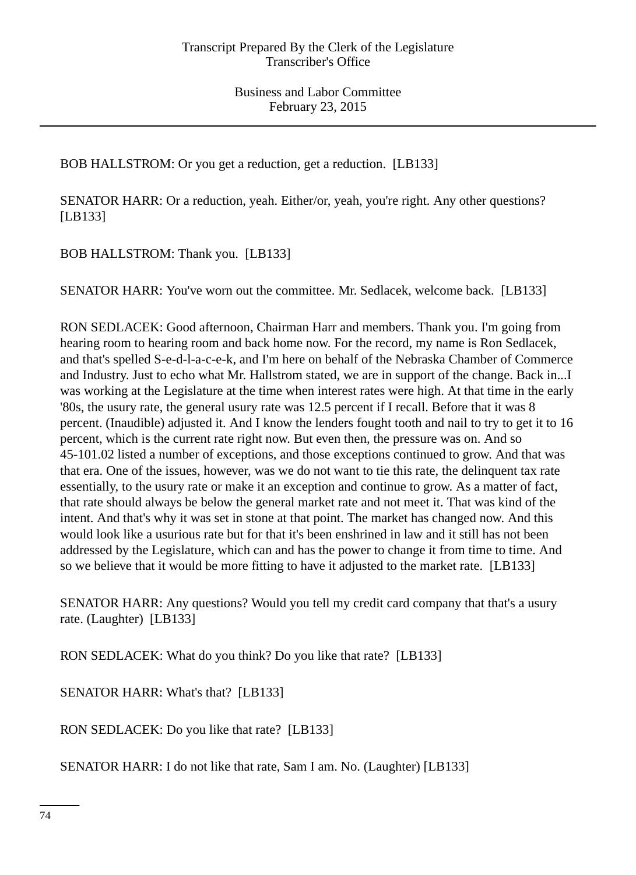BOB HALLSTROM: Or you get a reduction, get a reduction. [LB133]

SENATOR HARR: Or a reduction, yeah. Either/or, yeah, you're right. Any other questions? [LB133]

BOB HALLSTROM: Thank you. [LB133]

SENATOR HARR: You've worn out the committee. Mr. Sedlacek, welcome back. [LB133]

RON SEDLACEK: Good afternoon, Chairman Harr and members. Thank you. I'm going from hearing room to hearing room and back home now. For the record, my name is Ron Sedlacek, and that's spelled S-e-d-l-a-c-e-k, and I'm here on behalf of the Nebraska Chamber of Commerce and Industry. Just to echo what Mr. Hallstrom stated, we are in support of the change. Back in...I was working at the Legislature at the time when interest rates were high. At that time in the early '80s, the usury rate, the general usury rate was 12.5 percent if I recall. Before that it was 8 percent. (Inaudible) adjusted it. And I know the lenders fought tooth and nail to try to get it to 16 percent, which is the current rate right now. But even then, the pressure was on. And so 45-101.02 listed a number of exceptions, and those exceptions continued to grow. And that was that era. One of the issues, however, was we do not want to tie this rate, the delinquent tax rate essentially, to the usury rate or make it an exception and continue to grow. As a matter of fact, that rate should always be below the general market rate and not meet it. That was kind of the intent. And that's why it was set in stone at that point. The market has changed now. And this would look like a usurious rate but for that it's been enshrined in law and it still has not been addressed by the Legislature, which can and has the power to change it from time to time. And so we believe that it would be more fitting to have it adjusted to the market rate. [LB133]

SENATOR HARR: Any questions? Would you tell my credit card company that that's a usury rate. (Laughter) [LB133]

RON SEDLACEK: What do you think? Do you like that rate? [LB133]

SENATOR HARR: What's that? [LB133]

RON SEDLACEK: Do you like that rate? [LB133]

SENATOR HARR: I do not like that rate, Sam I am. No. (Laughter) [LB133]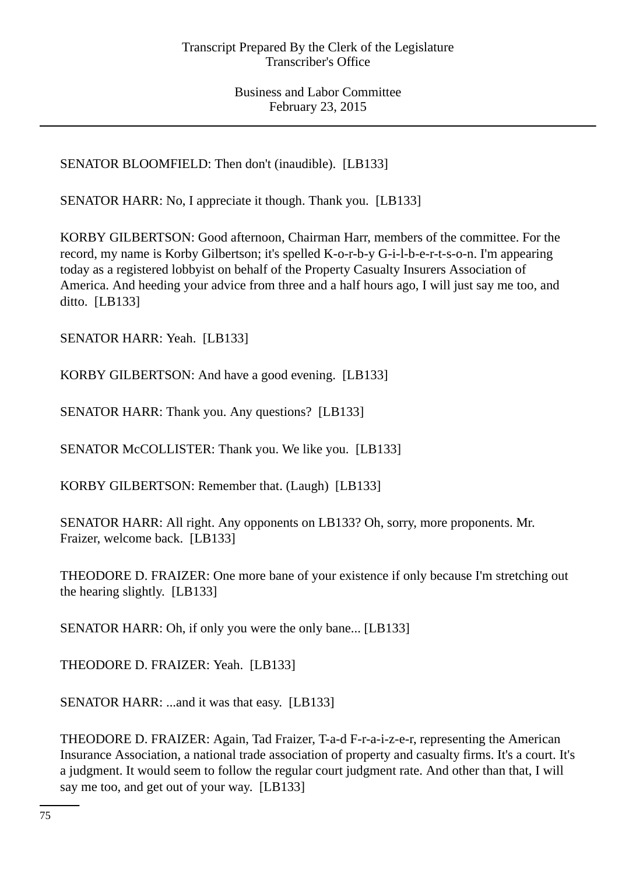SENATOR BLOOMFIELD: Then don't (inaudible). [LB133]

SENATOR HARR: No, I appreciate it though. Thank you. [LB133]

KORBY GILBERTSON: Good afternoon, Chairman Harr, members of the committee. For the record, my name is Korby Gilbertson; it's spelled K-o-r-b-y G-i-l-b-e-r-t-s-o-n. I'm appearing today as a registered lobbyist on behalf of the Property Casualty Insurers Association of America. And heeding your advice from three and a half hours ago, I will just say me too, and ditto. [LB133]

SENATOR HARR: Yeah. [LB133]

KORBY GILBERTSON: And have a good evening. [LB133]

SENATOR HARR: Thank you. Any questions? [LB133]

SENATOR McCOLLISTER: Thank you. We like you. [LB133]

KORBY GILBERTSON: Remember that. (Laugh) [LB133]

SENATOR HARR: All right. Any opponents on LB133? Oh, sorry, more proponents. Mr. Fraizer, welcome back. [LB133]

THEODORE D. FRAIZER: One more bane of your existence if only because I'm stretching out the hearing slightly. [LB133]

SENATOR HARR: Oh, if only you were the only bane... [LB133]

THEODORE D. FRAIZER: Yeah. [LB133]

SENATOR HARR: ...and it was that easy. [LB133]

THEODORE D. FRAIZER: Again, Tad Fraizer, T-a-d F-r-a-i-z-e-r, representing the American Insurance Association, a national trade association of property and casualty firms. It's a court. It's a judgment. It would seem to follow the regular court judgment rate. And other than that, I will say me too, and get out of your way. [LB133]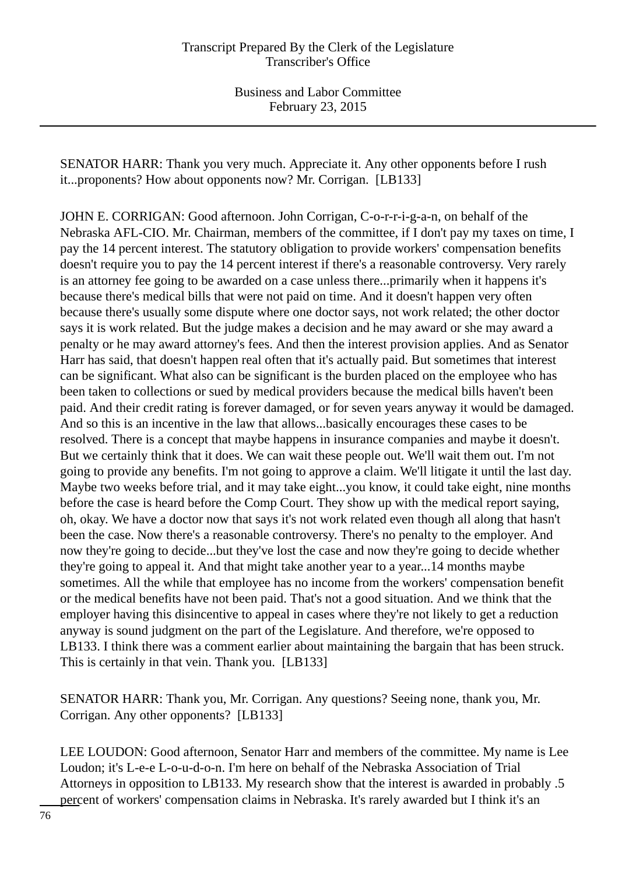SENATOR HARR: Thank you very much. Appreciate it. Any other opponents before I rush it...proponents? How about opponents now? Mr. Corrigan. [LB133]

JOHN E. CORRIGAN: Good afternoon. John Corrigan, C-o-r-r-i-g-a-n, on behalf of the Nebraska AFL-CIO. Mr. Chairman, members of the committee, if I don't pay my taxes on time, I pay the 14 percent interest. The statutory obligation to provide workers' compensation benefits doesn't require you to pay the 14 percent interest if there's a reasonable controversy. Very rarely is an attorney fee going to be awarded on a case unless there...primarily when it happens it's because there's medical bills that were not paid on time. And it doesn't happen very often because there's usually some dispute where one doctor says, not work related; the other doctor says it is work related. But the judge makes a decision and he may award or she may award a penalty or he may award attorney's fees. And then the interest provision applies. And as Senator Harr has said, that doesn't happen real often that it's actually paid. But sometimes that interest can be significant. What also can be significant is the burden placed on the employee who has been taken to collections or sued by medical providers because the medical bills haven't been paid. And their credit rating is forever damaged, or for seven years anyway it would be damaged. And so this is an incentive in the law that allows...basically encourages these cases to be resolved. There is a concept that maybe happens in insurance companies and maybe it doesn't. But we certainly think that it does. We can wait these people out. We'll wait them out. I'm not going to provide any benefits. I'm not going to approve a claim. We'll litigate it until the last day. Maybe two weeks before trial, and it may take eight...you know, it could take eight, nine months before the case is heard before the Comp Court. They show up with the medical report saying, oh, okay. We have a doctor now that says it's not work related even though all along that hasn't been the case. Now there's a reasonable controversy. There's no penalty to the employer. And now they're going to decide...but they've lost the case and now they're going to decide whether they're going to appeal it. And that might take another year to a year...14 months maybe sometimes. All the while that employee has no income from the workers' compensation benefit or the medical benefits have not been paid. That's not a good situation. And we think that the employer having this disincentive to appeal in cases where they're not likely to get a reduction anyway is sound judgment on the part of the Legislature. And therefore, we're opposed to LB133. I think there was a comment earlier about maintaining the bargain that has been struck. This is certainly in that vein. Thank you. [LB133]

SENATOR HARR: Thank you, Mr. Corrigan. Any questions? Seeing none, thank you, Mr. Corrigan. Any other opponents? [LB133]

LEE LOUDON: Good afternoon, Senator Harr and members of the committee. My name is Lee Loudon; it's L-e-e L-o-u-d-o-n. I'm here on behalf of the Nebraska Association of Trial Attorneys in opposition to LB133. My research show that the interest is awarded in probably .5 percent of workers' compensation claims in Nebraska. It's rarely awarded but I think it's an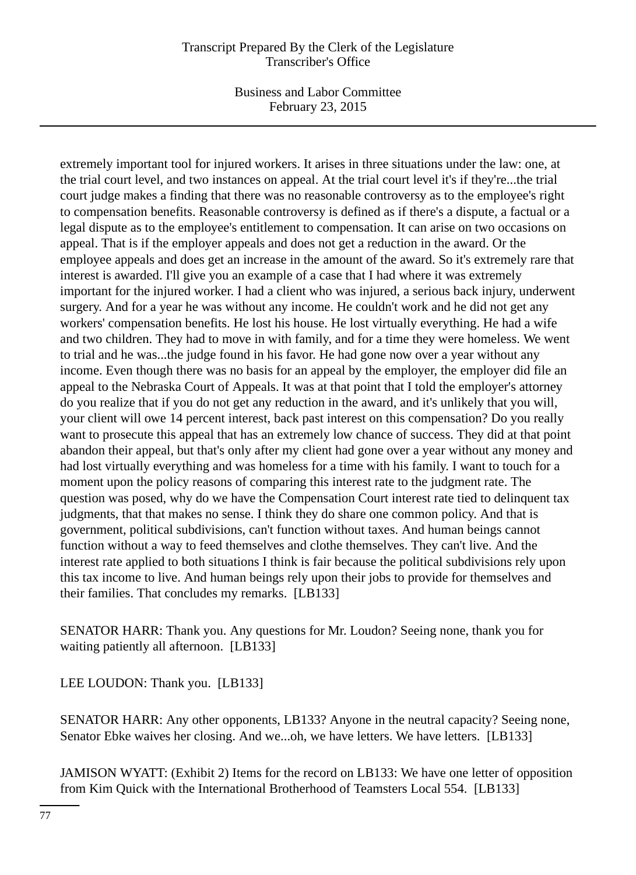## Transcript Prepared By the Clerk of the Legislature Transcriber's Office

Business and Labor Committee February 23, 2015

extremely important tool for injured workers. It arises in three situations under the law: one, at the trial court level, and two instances on appeal. At the trial court level it's if they're...the trial court judge makes a finding that there was no reasonable controversy as to the employee's right to compensation benefits. Reasonable controversy is defined as if there's a dispute, a factual or a legal dispute as to the employee's entitlement to compensation. It can arise on two occasions on appeal. That is if the employer appeals and does not get a reduction in the award. Or the employee appeals and does get an increase in the amount of the award. So it's extremely rare that interest is awarded. I'll give you an example of a case that I had where it was extremely important for the injured worker. I had a client who was injured, a serious back injury, underwent surgery. And for a year he was without any income. He couldn't work and he did not get any workers' compensation benefits. He lost his house. He lost virtually everything. He had a wife and two children. They had to move in with family, and for a time they were homeless. We went to trial and he was...the judge found in his favor. He had gone now over a year without any income. Even though there was no basis for an appeal by the employer, the employer did file an appeal to the Nebraska Court of Appeals. It was at that point that I told the employer's attorney do you realize that if you do not get any reduction in the award, and it's unlikely that you will, your client will owe 14 percent interest, back past interest on this compensation? Do you really want to prosecute this appeal that has an extremely low chance of success. They did at that point abandon their appeal, but that's only after my client had gone over a year without any money and had lost virtually everything and was homeless for a time with his family. I want to touch for a moment upon the policy reasons of comparing this interest rate to the judgment rate. The question was posed, why do we have the Compensation Court interest rate tied to delinquent tax judgments, that that makes no sense. I think they do share one common policy. And that is government, political subdivisions, can't function without taxes. And human beings cannot function without a way to feed themselves and clothe themselves. They can't live. And the interest rate applied to both situations I think is fair because the political subdivisions rely upon this tax income to live. And human beings rely upon their jobs to provide for themselves and their families. That concludes my remarks. [LB133]

SENATOR HARR: Thank you. Any questions for Mr. Loudon? Seeing none, thank you for waiting patiently all afternoon. [LB133]

LEE LOUDON: Thank you. [LB133]

SENATOR HARR: Any other opponents, LB133? Anyone in the neutral capacity? Seeing none, Senator Ebke waives her closing. And we...oh, we have letters. We have letters. [LB133]

JAMISON WYATT: (Exhibit 2) Items for the record on LB133: We have one letter of opposition from Kim Quick with the International Brotherhood of Teamsters Local 554. [LB133]